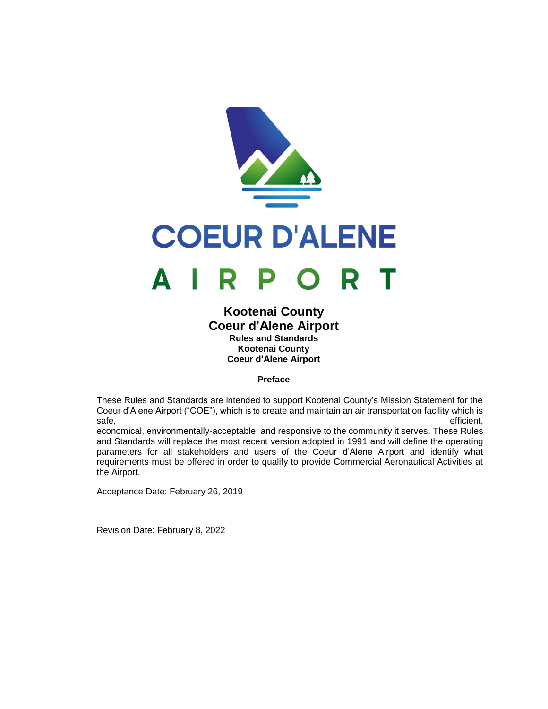

# **Kootenai County Coeur d'Alene Airport Rules and Standards Kootenai County Coeur d'Alene Airport**

# **Preface**

<span id="page-0-0"></span>These Rules and Standards are intended to support Kootenai County's Mission Statement for the Coeur d'Alene Airport ("COE"), which is to create and maintain an air transportation facility which is safe, efficient, efficient, efficient, efficient, efficient, efficient, efficient, efficient, efficient, efficient, efficient, efficient, efficient, efficient, efficient, efficient, efficient, efficient, efficient, efficie

economical, environmentally-acceptable, and responsive to the community it serves. These Rules and Standards will replace the most recent version adopted in 1991 and will define the operating parameters for all stakeholders and users of the Coeur d'Alene Airport and identify what requirements must be offered in order to qualify to provide Commercial Aeronautical Activities at the Airport.

Acceptance Date: February 26, 2019

Revision Date: February 8, 2022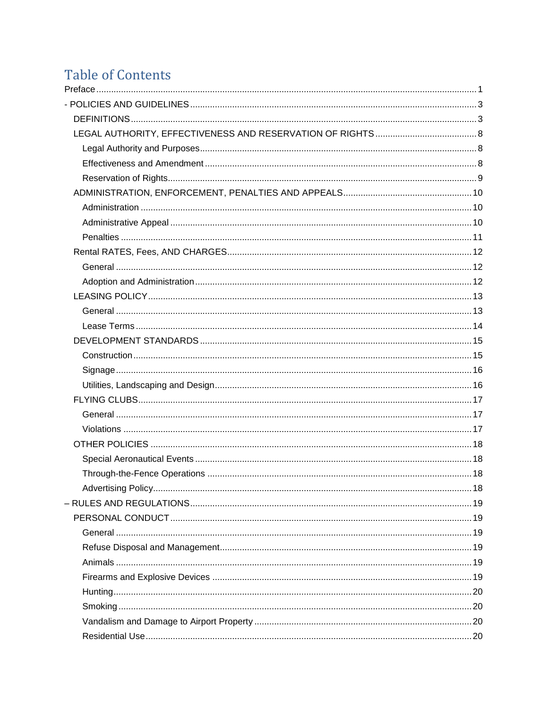# **Table of Contents**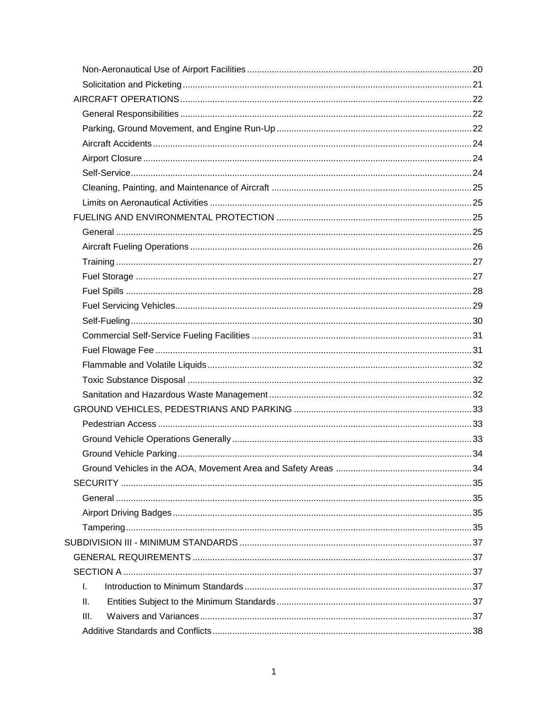| L.   |  |
|------|--|
| Ш.   |  |
| III. |  |
|      |  |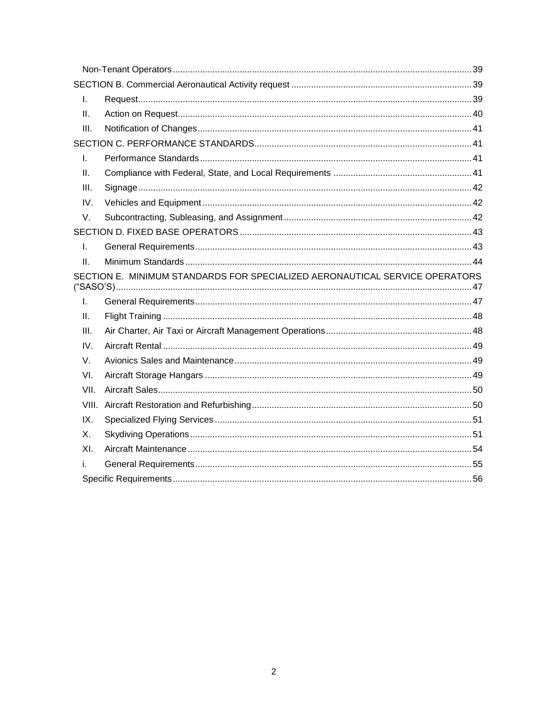| I.    |                                                                             |  |
|-------|-----------------------------------------------------------------------------|--|
| II.   |                                                                             |  |
| III.  |                                                                             |  |
|       |                                                                             |  |
| I.    |                                                                             |  |
| Ш.    |                                                                             |  |
| III.  |                                                                             |  |
| IV.   |                                                                             |  |
| V.    |                                                                             |  |
|       |                                                                             |  |
| I.    |                                                                             |  |
| II.   |                                                                             |  |
|       | SECTION E. MINIMUM STANDARDS FOR SPECIALIZED AERONAUTICAL SERVICE OPERATORS |  |
| I.    |                                                                             |  |
|       |                                                                             |  |
| Ш.    |                                                                             |  |
| III.  |                                                                             |  |
| IV.   |                                                                             |  |
| V.    |                                                                             |  |
| VI.   |                                                                             |  |
| VII.  |                                                                             |  |
| VIII. |                                                                             |  |
| IX.   |                                                                             |  |
| Х.    |                                                                             |  |
| XI.   |                                                                             |  |
| i.    |                                                                             |  |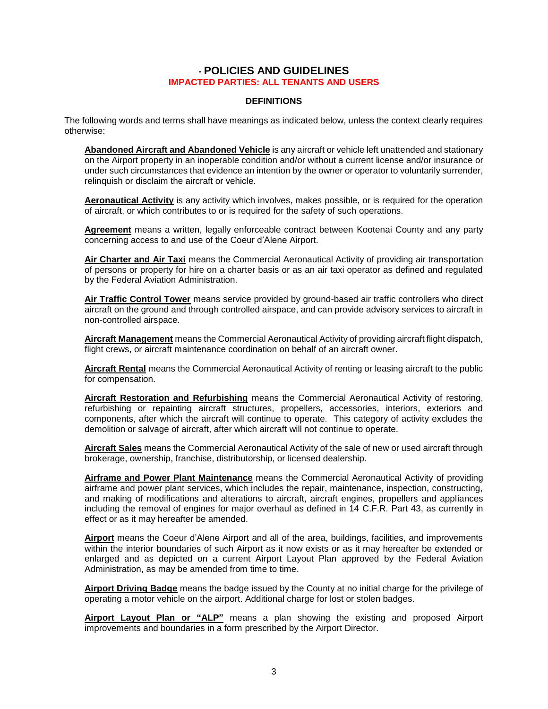# **- POLICIES AND GUIDELINES IMPACTED PARTIES: ALL TENANTS AND USERS**

# **DEFINITIONS**

<span id="page-4-1"></span><span id="page-4-0"></span>The following words and terms shall have meanings as indicated below, unless the context clearly requires otherwise:

**Abandoned Aircraft and Abandoned Vehicle** is any aircraft or vehicle left unattended and stationary on the Airport property in an inoperable condition and/or without a current license and/or insurance or under such circumstances that evidence an intention by the owner or operator to voluntarily surrender, relinquish or disclaim the aircraft or vehicle.

**Aeronautical Activity** is any activity which involves, makes possible, or is required for the operation of aircraft, or which contributes to or is required for the safety of such operations.

**Agreement** means a written, legally enforceable contract between Kootenai County and any party concerning access to and use of the Coeur d'Alene Airport.

**Air Charter and Air Taxi** means the Commercial Aeronautical Activity of providing air transportation of persons or property for hire on a charter basis or as an air taxi operator as defined and regulated by the Federal Aviation Administration.

**Air Traffic Control Tower** means service provided by ground-based air traffic controllers who direct aircraft on the ground and through controlled airspace, and can provide advisory services to aircraft in non-controlled airspace.

**Aircraft Management** means the Commercial Aeronautical Activity of providing aircraft flight dispatch, flight crews, or aircraft maintenance coordination on behalf of an aircraft owner.

**Aircraft Rental** means the Commercial Aeronautical Activity of renting or leasing aircraft to the public for compensation.

**Aircraft Restoration and Refurbishing** means the Commercial Aeronautical Activity of restoring, refurbishing or repainting aircraft structures, propellers, accessories, interiors, exteriors and components, after which the aircraft will continue to operate. This category of activity excludes the demolition or salvage of aircraft, after which aircraft will not continue to operate.

**Aircraft Sales** means the Commercial Aeronautical Activity of the sale of new or used aircraft through brokerage, ownership, franchise, distributorship, or licensed dealership.

**Airframe and Power Plant Maintenance** means the Commercial Aeronautical Activity of providing airframe and power plant services, which includes the repair, maintenance, inspection, constructing, and making of modifications and alterations to aircraft, aircraft engines, propellers and appliances including the removal of engines for major overhaul as defined in 14 C.F.R. Part 43, as currently in effect or as it may hereafter be amended.

**Airport** means the Coeur d'Alene Airport and all of the area, buildings, facilities, and improvements within the interior boundaries of such Airport as it now exists or as it may hereafter be extended or enlarged and as depicted on a current Airport Layout Plan approved by the Federal Aviation Administration, as may be amended from time to time.

**Airport Driving Badge** means the badge issued by the County at no initial charge for the privilege of operating a motor vehicle on the airport. Additional charge for lost or stolen badges.

**Airport Layout Plan or "ALP"** means a plan showing the existing and proposed Airport improvements and boundaries in a form prescribed by the Airport Director.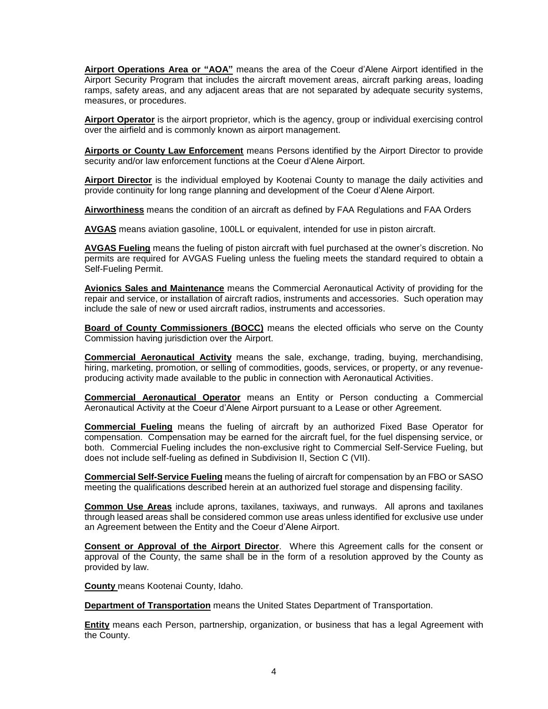**Airport Operations Area or "AOA"** means the area of the Coeur d'Alene Airport identified in the Airport Security Program that includes the aircraft movement areas, aircraft parking areas, loading ramps, safety areas, and any adjacent areas that are not separated by adequate security systems, measures, or procedures.

**Airport Operator** is the airport proprietor, which is the agency, group or individual exercising control over the airfield and is commonly known as airport management.

**Airports or County Law Enforcement** means Persons identified by the Airport Director to provide security and/or law enforcement functions at the Coeur d'Alene Airport.

**Airport Director** is the individual employed by Kootenai County to manage the daily activities and provide continuity for long range planning and development of the Coeur d'Alene Airport.

**Airworthiness** means the condition of an aircraft as defined by FAA Regulations and FAA Orders

**AVGAS** means aviation gasoline, 100LL or equivalent, intended for use in piston aircraft.

**AVGAS Fueling** means the fueling of piston aircraft with fuel purchased at the owner's discretion. No permits are required for AVGAS Fueling unless the fueling meets the standard required to obtain a Self-Fueling Permit.

**Avionics Sales and Maintenance** means the Commercial Aeronautical Activity of providing for the repair and service, or installation of aircraft radios, instruments and accessories. Such operation may include the sale of new or used aircraft radios, instruments and accessories.

**Board of County Commissioners (BOCC)** means the elected officials who serve on the County Commission having jurisdiction over the Airport.

**Commercial Aeronautical Activity** means the sale, exchange, trading, buying, merchandising, hiring, marketing, promotion, or selling of commodities, goods, services, or property, or any revenueproducing activity made available to the public in connection with Aeronautical Activities.

**Commercial Aeronautical Operator** means an Entity or Person conducting a Commercial Aeronautical Activity at the Coeur d'Alene Airport pursuant to a Lease or other Agreement.

**Commercial Fueling** means the fueling of aircraft by an authorized Fixed Base Operator for compensation. Compensation may be earned for the aircraft fuel, for the fuel dispensing service, or both. Commercial Fueling includes the non-exclusive right to Commercial Self-Service Fueling, but does not include self-fueling as defined in Subdivision II, Section C (VII).

**Commercial Self-Service Fueling** means the fueling of aircraft for compensation by an FBO or SASO meeting the qualifications described herein at an authorized fuel storage and dispensing facility.

**Common Use Areas** include aprons, taxilanes, taxiways, and runways. All aprons and taxilanes through leased areas shall be considered common use areas unless identified for exclusive use under an Agreement between the Entity and the Coeur d'Alene Airport.

**Consent or Approval of the Airport Director**. Where this Agreement calls for the consent or approval of the County, the same shall be in the form of a resolution approved by the County as provided by law.

**County** means Kootenai County, Idaho.

**Department of Transportation** means the United States Department of Transportation.

**Entity** means each Person, partnership, organization, or business that has a legal Agreement with the County.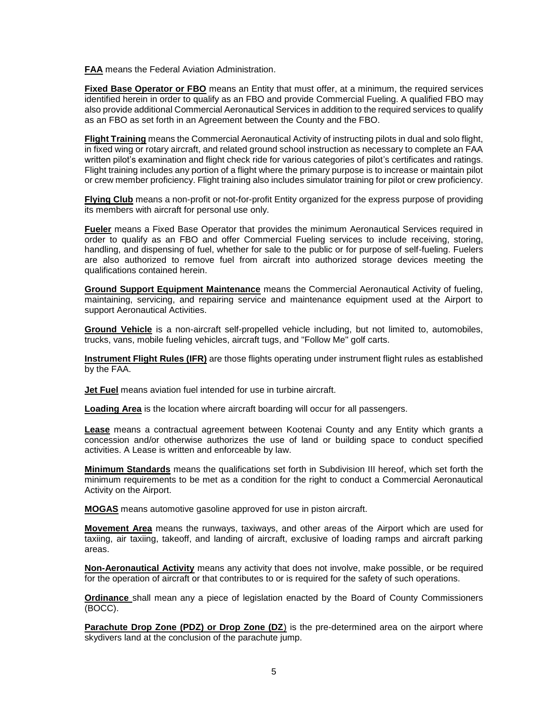**FAA** means the Federal Aviation Administration.

**Fixed Base Operator or FBO** means an Entity that must offer, at a minimum, the required services identified herein in order to qualify as an FBO and provide Commercial Fueling. A qualified FBO may also provide additional Commercial Aeronautical Services in addition to the required services to qualify as an FBO as set forth in an Agreement between the County and the FBO.

**Flight Training** means the Commercial Aeronautical Activity of instructing pilots in dual and solo flight, in fixed wing or rotary aircraft, and related ground school instruction as necessary to complete an FAA written pilot's examination and flight check ride for various categories of pilot's certificates and ratings. Flight training includes any portion of a flight where the primary purpose is to increase or maintain pilot or crew member proficiency. Flight training also includes simulator training for pilot or crew proficiency.

**Flying Club** means a non-profit or not-for-profit Entity organized for the express purpose of providing its members with aircraft for personal use only.

**Fueler** means a Fixed Base Operator that provides the minimum Aeronautical Services required in order to qualify as an FBO and offer Commercial Fueling services to include receiving, storing, handling, and dispensing of fuel, whether for sale to the public or for purpose of self-fueling. Fuelers are also authorized to remove fuel from aircraft into authorized storage devices meeting the qualifications contained herein.

**Ground Support Equipment Maintenance** means the Commercial Aeronautical Activity of fueling, maintaining, servicing, and repairing service and maintenance equipment used at the Airport to support Aeronautical Activities.

**Ground Vehicle** is a non-aircraft self-propelled vehicle including, but not limited to, automobiles, trucks, vans, mobile fueling vehicles, aircraft tugs, and "Follow Me" golf carts.

**Instrument Flight Rules (IFR)** are those flights operating under instrument flight rules as established by the FAA.

**Jet Fuel** means aviation fuel intended for use in turbine aircraft.

**Loading Area** is the location where aircraft boarding will occur for all passengers.

**Lease** means a contractual agreement between Kootenai County and any Entity which grants a concession and/or otherwise authorizes the use of land or building space to conduct specified activities. A Lease is written and enforceable by law.

**Minimum Standards** means the qualifications set forth in Subdivision III hereof, which set forth the minimum requirements to be met as a condition for the right to conduct a Commercial Aeronautical Activity on the Airport.

**MOGAS** means automotive gasoline approved for use in piston aircraft.

**Movement Area** means the runways, taxiways, and other areas of the Airport which are used for taxiing, air taxiing, takeoff, and landing of aircraft, exclusive of loading ramps and aircraft parking areas.

**Non-Aeronautical Activity** means any activity that does not involve, make possible, or be required for the operation of aircraft or that contributes to or is required for the safety of such operations.

**Ordinance** shall mean any a piece of legislation enacted by the Board of County Commissioners (BOCC).

**Parachute Drop Zone (PDZ) or Drop Zone (DZ)** is the pre-determined area on the airport where skydivers land at the conclusion of the parachute jump.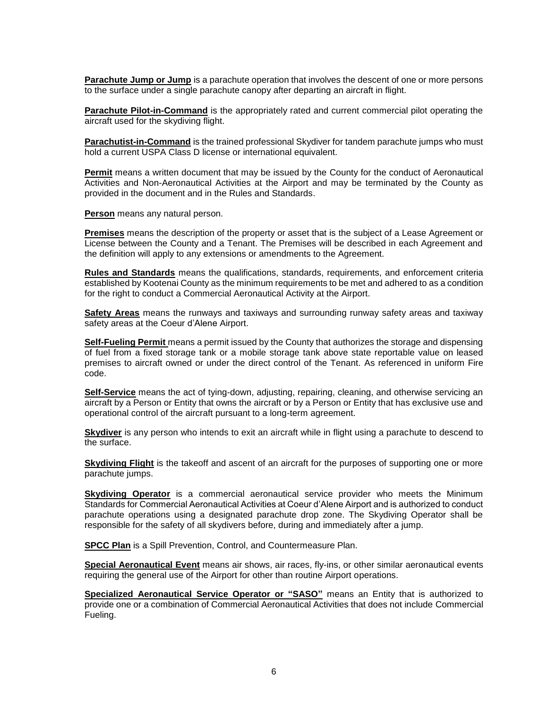**Parachute Jump or Jump** is a parachute operation that involves the descent of one or more persons to the surface under a single parachute canopy after departing an aircraft in flight.

**Parachute Pilot-in-Command** is the appropriately rated and current commercial pilot operating the aircraft used for the skydiving flight.

**Parachutist-in-Command** is the trained professional Skydiver for tandem parachute jumps who must hold a current USPA Class D license or international equivalent.

**Permit** means a written document that may be issued by the County for the conduct of Aeronautical Activities and Non-Aeronautical Activities at the Airport and may be terminated by the County as provided in the document and in the Rules and Standards.

**Person** means any natural person.

**Premises** means the description of the property or asset that is the subject of a Lease Agreement or License between the County and a Tenant. The Premises will be described in each Agreement and the definition will apply to any extensions or amendments to the Agreement.

**Rules and Standards** means the qualifications, standards, requirements, and enforcement criteria established by Kootenai County as the minimum requirements to be met and adhered to as a condition for the right to conduct a Commercial Aeronautical Activity at the Airport.

**Safety Areas** means the runways and taxiways and surrounding runway safety areas and taxiway safety areas at the Coeur d'Alene Airport.

**Self-Fueling Permit** means a permit issued by the County that authorizes the storage and dispensing of fuel from a fixed storage tank or a mobile storage tank above state reportable value on leased premises to aircraft owned or under the direct control of the Tenant. As referenced in uniform Fire code.

**Self-Service** means the act of tying-down, adjusting, repairing, cleaning, and otherwise servicing an aircraft by a Person or Entity that owns the aircraft or by a Person or Entity that has exclusive use and operational control of the aircraft pursuant to a long-term agreement.

**Skydiver** is any person who intends to exit an aircraft while in flight using a parachute to descend to the surface.

**Skydiving Flight** is the takeoff and ascent of an aircraft for the purposes of supporting one or more parachute jumps.

**Skydiving Operator** is a commercial aeronautical service provider who meets the Minimum Standards for Commercial Aeronautical Activities at Coeur d'Alene Airport and is authorized to conduct parachute operations using a designated parachute drop zone. The Skydiving Operator shall be responsible for the safety of all skydivers before, during and immediately after a jump.

**SPCC Plan** is a Spill Prevention, Control, and Countermeasure Plan.

**Special Aeronautical Event** means air shows, air races, fly-ins, or other similar aeronautical events requiring the general use of the Airport for other than routine Airport operations.

**Specialized Aeronautical Service Operator or "SASO"** means an Entity that is authorized to provide one or a combination of Commercial Aeronautical Activities that does not include Commercial Fueling.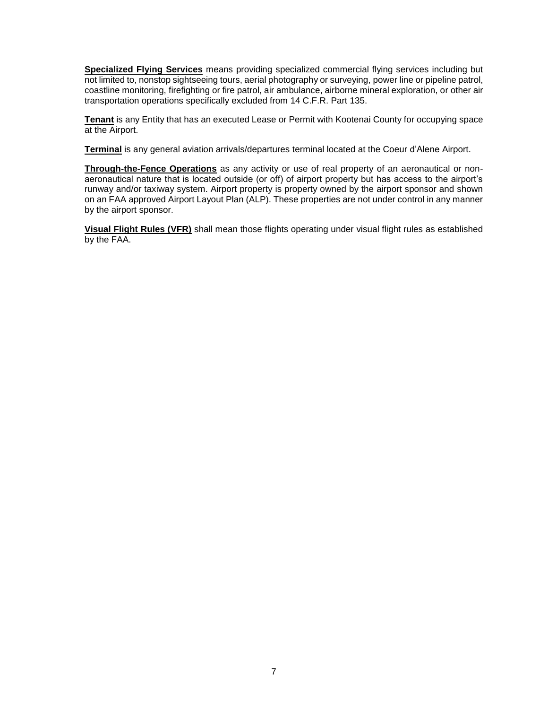**Specialized Flying Services** means providing specialized commercial flying services including but not limited to, nonstop sightseeing tours, aerial photography or surveying, power line or pipeline patrol, coastline monitoring, firefighting or fire patrol, air ambulance, airborne mineral exploration, or other air transportation operations specifically excluded from 14 C.F.R. Part 135.

**Tenant** is any Entity that has an executed Lease or Permit with Kootenai County for occupying space at the Airport.

**Terminal** is any general aviation arrivals/departures terminal located at the Coeur d'Alene Airport.

**Through-the-Fence Operations** as any activity or use of real property of an aeronautical or nonaeronautical nature that is located outside (or off) of airport property but has access to the airport's runway and/or taxiway system. Airport property is property owned by the airport sponsor and shown on an FAA approved Airport Layout Plan (ALP). These properties are not under control in any manner by the airport sponsor.

**Visual Flight Rules (VFR)** shall mean those flights operating under visual flight rules as established by the FAA.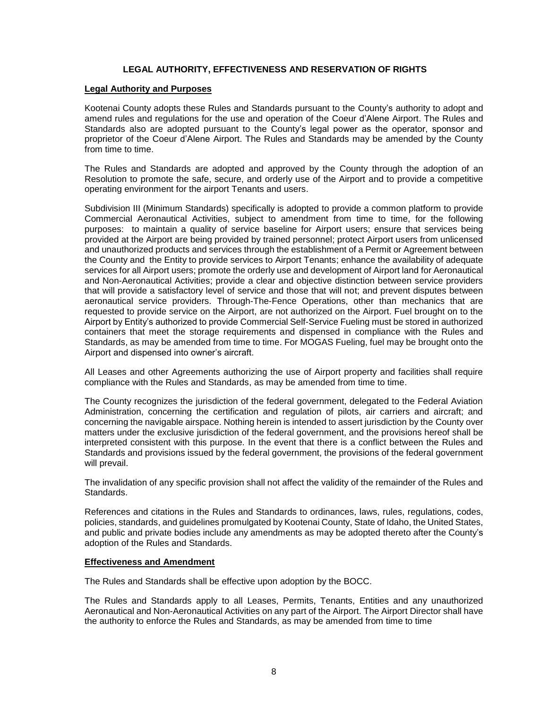# <span id="page-9-0"></span>**LEGAL AUTHORITY, EFFECTIVENESS AND RESERVATION OF RIGHTS**

#### <span id="page-9-1"></span>**Legal Authority and Purposes**

Kootenai County adopts these Rules and Standards pursuant to the County's authority to adopt and amend rules and regulations for the use and operation of the Coeur d'Alene Airport. The Rules and Standards also are adopted pursuant to the County's legal power as the operator, sponsor and proprietor of the Coeur d'Alene Airport. The Rules and Standards may be amended by the County from time to time.

The Rules and Standards are adopted and approved by the County through the adoption of an Resolution to promote the safe, secure, and orderly use of the Airport and to provide a competitive operating environment for the airport Tenants and users.

Subdivision III (Minimum Standards) specifically is adopted to provide a common platform to provide Commercial Aeronautical Activities, subject to amendment from time to time, for the following purposes: to maintain a quality of service baseline for Airport users; ensure that services being provided at the Airport are being provided by trained personnel; protect Airport users from unlicensed and unauthorized products and services through the establishment of a Permit or Agreement between the County and the Entity to provide services to Airport Tenants; enhance the availability of adequate services for all Airport users; promote the orderly use and development of Airport land for Aeronautical and Non-Aeronautical Activities; provide a clear and objective distinction between service providers that will provide a satisfactory level of service and those that will not; and prevent disputes between aeronautical service providers. Through-The-Fence Operations, other than mechanics that are requested to provide service on the Airport, are not authorized on the Airport. Fuel brought on to the Airport by Entity's authorized to provide Commercial Self-Service Fueling must be stored in authorized containers that meet the storage requirements and dispensed in compliance with the Rules and Standards, as may be amended from time to time. For MOGAS Fueling, fuel may be brought onto the Airport and dispensed into owner's aircraft.

All Leases and other Agreements authorizing the use of Airport property and facilities shall require compliance with the Rules and Standards, as may be amended from time to time.

The County recognizes the jurisdiction of the federal government, delegated to the Federal Aviation Administration, concerning the certification and regulation of pilots, air carriers and aircraft; and concerning the navigable airspace. Nothing herein is intended to assert jurisdiction by the County over matters under the exclusive jurisdiction of the federal government, and the provisions hereof shall be interpreted consistent with this purpose. In the event that there is a conflict between the Rules and Standards and provisions issued by the federal government, the provisions of the federal government will prevail.

The invalidation of any specific provision shall not affect the validity of the remainder of the Rules and **Standards** 

References and citations in the Rules and Standards to ordinances, laws, rules, regulations, codes, policies, standards, and guidelines promulgated by Kootenai County, State of Idaho, the United States, and public and private bodies include any amendments as may be adopted thereto after the County's adoption of the Rules and Standards.

#### <span id="page-9-2"></span>**Effectiveness and Amendment**

The Rules and Standards shall be effective upon adoption by the BOCC.

The Rules and Standards apply to all Leases, Permits, Tenants, Entities and any unauthorized Aeronautical and Non-Aeronautical Activities on any part of the Airport. The Airport Director shall have the authority to enforce the Rules and Standards, as may be amended from time to time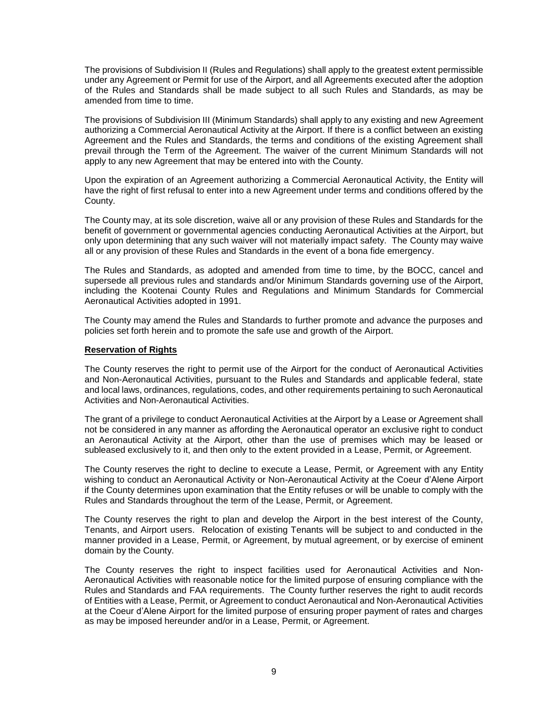The provisions of Subdivision II (Rules and Regulations) shall apply to the greatest extent permissible under any Agreement or Permit for use of the Airport, and all Agreements executed after the adoption of the Rules and Standards shall be made subject to all such Rules and Standards, as may be amended from time to time.

The provisions of Subdivision III (Minimum Standards) shall apply to any existing and new Agreement authorizing a Commercial Aeronautical Activity at the Airport. If there is a conflict between an existing Agreement and the Rules and Standards, the terms and conditions of the existing Agreement shall prevail through the Term of the Agreement. The waiver of the current Minimum Standards will not apply to any new Agreement that may be entered into with the County.

Upon the expiration of an Agreement authorizing a Commercial Aeronautical Activity, the Entity will have the right of first refusal to enter into a new Agreement under terms and conditions offered by the County.

The County may, at its sole discretion, waive all or any provision of these Rules and Standards for the benefit of government or governmental agencies conducting Aeronautical Activities at the Airport, but only upon determining that any such waiver will not materially impact safety. The County may waive all or any provision of these Rules and Standards in the event of a bona fide emergency.

The Rules and Standards, as adopted and amended from time to time, by the BOCC, cancel and supersede all previous rules and standards and/or Minimum Standards governing use of the Airport, including the Kootenai County Rules and Regulations and Minimum Standards for Commercial Aeronautical Activities adopted in 1991.

The County may amend the Rules and Standards to further promote and advance the purposes and policies set forth herein and to promote the safe use and growth of the Airport.

#### <span id="page-10-0"></span>**Reservation of Rights**

The County reserves the right to permit use of the Airport for the conduct of Aeronautical Activities and Non-Aeronautical Activities, pursuant to the Rules and Standards and applicable federal, state and local laws, ordinances, regulations, codes, and other requirements pertaining to such Aeronautical Activities and Non-Aeronautical Activities.

The grant of a privilege to conduct Aeronautical Activities at the Airport by a Lease or Agreement shall not be considered in any manner as affording the Aeronautical operator an exclusive right to conduct an Aeronautical Activity at the Airport, other than the use of premises which may be leased or subleased exclusively to it, and then only to the extent provided in a Lease, Permit, or Agreement.

The County reserves the right to decline to execute a Lease, Permit, or Agreement with any Entity wishing to conduct an Aeronautical Activity or Non-Aeronautical Activity at the Coeur d'Alene Airport if the County determines upon examination that the Entity refuses or will be unable to comply with the Rules and Standards throughout the term of the Lease, Permit, or Agreement.

The County reserves the right to plan and develop the Airport in the best interest of the County, Tenants, and Airport users. Relocation of existing Tenants will be subject to and conducted in the manner provided in a Lease, Permit, or Agreement, by mutual agreement, or by exercise of eminent domain by the County.

The County reserves the right to inspect facilities used for Aeronautical Activities and Non-Aeronautical Activities with reasonable notice for the limited purpose of ensuring compliance with the Rules and Standards and FAA requirements. The County further reserves the right to audit records of Entities with a Lease, Permit, or Agreement to conduct Aeronautical and Non-Aeronautical Activities at the Coeur d'Alene Airport for the limited purpose of ensuring proper payment of rates and charges as may be imposed hereunder and/or in a Lease, Permit, or Agreement.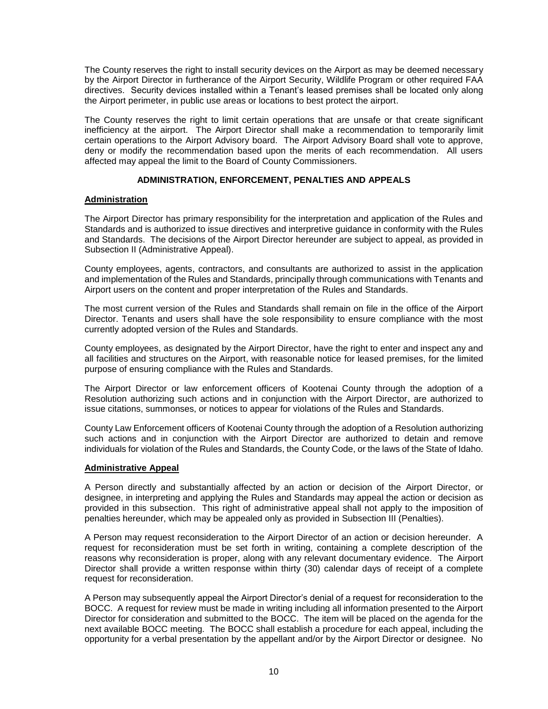The County reserves the right to install security devices on the Airport as may be deemed necessary by the Airport Director in furtherance of the Airport Security, Wildlife Program or other required FAA directives. Security devices installed within a Tenant's leased premises shall be located only along the Airport perimeter, in public use areas or locations to best protect the airport.

The County reserves the right to limit certain operations that are unsafe or that create significant inefficiency at the airport. The Airport Director shall make a recommendation to temporarily limit certain operations to the Airport Advisory board. The Airport Advisory Board shall vote to approve, deny or modify the recommendation based upon the merits of each recommendation. All users affected may appeal the limit to the Board of County Commissioners.

# **ADMINISTRATION, ENFORCEMENT, PENALTIES AND APPEALS**

# <span id="page-11-1"></span><span id="page-11-0"></span>**Administration**

The Airport Director has primary responsibility for the interpretation and application of the Rules and Standards and is authorized to issue directives and interpretive guidance in conformity with the Rules and Standards. The decisions of the Airport Director hereunder are subject to appeal, as provided in Subsection II (Administrative Appeal).

County employees, agents, contractors, and consultants are authorized to assist in the application and implementation of the Rules and Standards, principally through communications with Tenants and Airport users on the content and proper interpretation of the Rules and Standards.

The most current version of the Rules and Standards shall remain on file in the office of the Airport Director. Tenants and users shall have the sole responsibility to ensure compliance with the most currently adopted version of the Rules and Standards.

County employees, as designated by the Airport Director, have the right to enter and inspect any and all facilities and structures on the Airport, with reasonable notice for leased premises, for the limited purpose of ensuring compliance with the Rules and Standards.

The Airport Director or law enforcement officers of Kootenai County through the adoption of a Resolution authorizing such actions and in conjunction with the Airport Director, are authorized to issue citations, summonses, or notices to appear for violations of the Rules and Standards.

County Law Enforcement officers of Kootenai County through the adoption of a Resolution authorizing such actions and in conjunction with the Airport Director are authorized to detain and remove individuals for violation of the Rules and Standards, the County Code, or the laws of the State of Idaho.

# <span id="page-11-2"></span>**Administrative Appeal**

A Person directly and substantially affected by an action or decision of the Airport Director, or designee, in interpreting and applying the Rules and Standards may appeal the action or decision as provided in this subsection. This right of administrative appeal shall not apply to the imposition of penalties hereunder, which may be appealed only as provided in Subsection III (Penalties).

A Person may request reconsideration to the Airport Director of an action or decision hereunder. A request for reconsideration must be set forth in writing, containing a complete description of the reasons why reconsideration is proper, along with any relevant documentary evidence. The Airport Director shall provide a written response within thirty (30) calendar days of receipt of a complete request for reconsideration.

A Person may subsequently appeal the Airport Director's denial of a request for reconsideration to the BOCC. A request for review must be made in writing including all information presented to the Airport Director for consideration and submitted to the BOCC. The item will be placed on the agenda for the next available BOCC meeting. The BOCC shall establish a procedure for each appeal, including the opportunity for a verbal presentation by the appellant and/or by the Airport Director or designee. No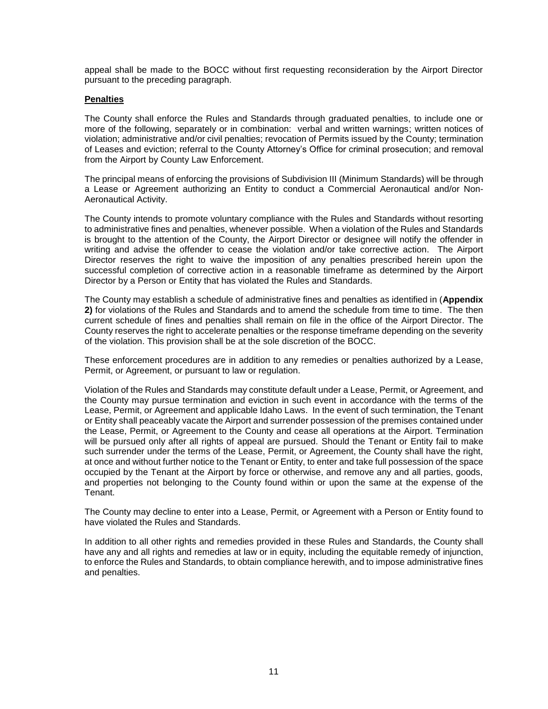appeal shall be made to the BOCC without first requesting reconsideration by the Airport Director pursuant to the preceding paragraph.

# <span id="page-12-0"></span>**Penalties**

The County shall enforce the Rules and Standards through graduated penalties, to include one or more of the following, separately or in combination: verbal and written warnings; written notices of violation; administrative and/or civil penalties; revocation of Permits issued by the County; termination of Leases and eviction; referral to the County Attorney's Office for criminal prosecution; and removal from the Airport by County Law Enforcement.

The principal means of enforcing the provisions of Subdivision III (Minimum Standards) will be through a Lease or Agreement authorizing an Entity to conduct a Commercial Aeronautical and/or Non-Aeronautical Activity.

The County intends to promote voluntary compliance with the Rules and Standards without resorting to administrative fines and penalties, whenever possible. When a violation of the Rules and Standards is brought to the attention of the County, the Airport Director or designee will notify the offender in writing and advise the offender to cease the violation and/or take corrective action. The Airport Director reserves the right to waive the imposition of any penalties prescribed herein upon the successful completion of corrective action in a reasonable timeframe as determined by the Airport Director by a Person or Entity that has violated the Rules and Standards.

The County may establish a schedule of administrative fines and penalties as identified in (**Appendix 2)** for violations of the Rules and Standards and to amend the schedule from time to time. The then current schedule of fines and penalties shall remain on file in the office of the Airport Director. The County reserves the right to accelerate penalties or the response timeframe depending on the severity of the violation. This provision shall be at the sole discretion of the BOCC.

These enforcement procedures are in addition to any remedies or penalties authorized by a Lease, Permit, or Agreement, or pursuant to law or regulation.

Violation of the Rules and Standards may constitute default under a Lease, Permit, or Agreement, and the County may pursue termination and eviction in such event in accordance with the terms of the Lease, Permit, or Agreement and applicable Idaho Laws. In the event of such termination, the Tenant or Entity shall peaceably vacate the Airport and surrender possession of the premises contained under the Lease, Permit, or Agreement to the County and cease all operations at the Airport. Termination will be pursued only after all rights of appeal are pursued. Should the Tenant or Entity fail to make such surrender under the terms of the Lease, Permit, or Agreement, the County shall have the right, at once and without further notice to the Tenant or Entity, to enter and take full possession of the space occupied by the Tenant at the Airport by force or otherwise, and remove any and all parties, goods, and properties not belonging to the County found within or upon the same at the expense of the Tenant.

The County may decline to enter into a Lease, Permit, or Agreement with a Person or Entity found to have violated the Rules and Standards.

In addition to all other rights and remedies provided in these Rules and Standards, the County shall have any and all rights and remedies at law or in equity, including the equitable remedy of injunction, to enforce the Rules and Standards, to obtain compliance herewith, and to impose administrative fines and penalties.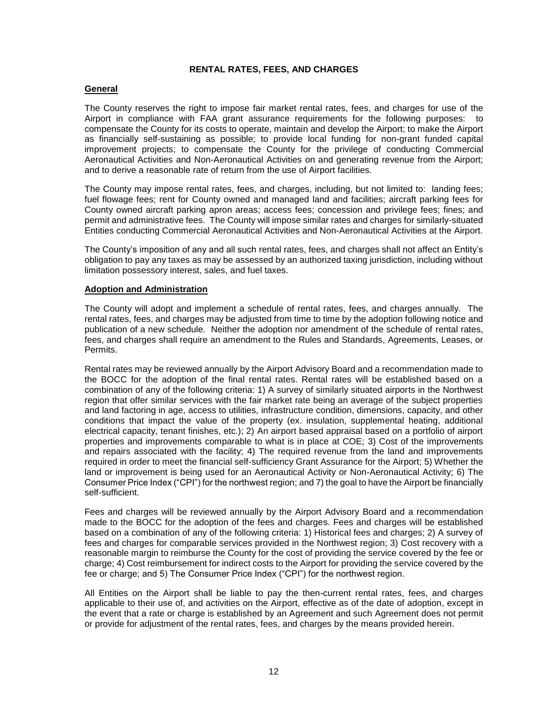# **RENTAL RATES, FEES, AND CHARGES**

# <span id="page-13-1"></span><span id="page-13-0"></span>**General**

The County reserves the right to impose fair market rental rates, fees, and charges for use of the Airport in compliance with FAA grant assurance requirements for the following purposes: to compensate the County for its costs to operate, maintain and develop the Airport; to make the Airport as financially self-sustaining as possible; to provide local funding for non-grant funded capital improvement projects; to compensate the County for the privilege of conducting Commercial Aeronautical Activities and Non-Aeronautical Activities on and generating revenue from the Airport; and to derive a reasonable rate of return from the use of Airport facilities.

The County may impose rental rates, fees, and charges, including, but not limited to: landing fees; fuel flowage fees; rent for County owned and managed land and facilities; aircraft parking fees for County owned aircraft parking apron areas; access fees; concession and privilege fees; fines; and permit and administrative fees. The County will impose similar rates and charges for similarly-situated Entities conducting Commercial Aeronautical Activities and Non-Aeronautical Activities at the Airport.

The County's imposition of any and all such rental rates, fees, and charges shall not affect an Entity's obligation to pay any taxes as may be assessed by an authorized taxing jurisdiction, including without limitation possessory interest, sales, and fuel taxes.

# <span id="page-13-2"></span>**Adoption and Administration**

The County will adopt and implement a schedule of rental rates, fees, and charges annually. The rental rates, fees, and charges may be adjusted from time to time by the adoption following notice and publication of a new schedule. Neither the adoption nor amendment of the schedule of rental rates, fees, and charges shall require an amendment to the Rules and Standards, Agreements, Leases, or Permits.

Rental rates may be reviewed annually by the Airport Advisory Board and a recommendation made to the BOCC for the adoption of the final rental rates. Rental rates will be established based on a combination of any of the following criteria: 1) A survey of similarly situated airports in the Northwest region that offer similar services with the fair market rate being an average of the subject properties and land factoring in age, access to utilities, infrastructure condition, dimensions, capacity, and other conditions that impact the value of the property (ex. insulation, supplemental heating, additional electrical capacity, tenant finishes, etc.); 2) An airport based appraisal based on a portfolio of airport properties and improvements comparable to what is in place at COE; 3) Cost of the improvements and repairs associated with the facility; 4) The required revenue from the land and improvements required in order to meet the financial self-sufficiency Grant Assurance for the Airport; 5) Whether the land or improvement is being used for an Aeronautical Activity or Non-Aeronautical Activity; 6) The Consumer Price Index ("CPI") for the northwest region; and 7) the goal to have the Airport be financially self-sufficient.

Fees and charges will be reviewed annually by the Airport Advisory Board and a recommendation made to the BOCC for the adoption of the fees and charges. Fees and charges will be established based on a combination of any of the following criteria: 1) Historical fees and charges; 2) A survey of fees and charges for comparable services provided in the Northwest region; 3) Cost recovery with a reasonable margin to reimburse the County for the cost of providing the service covered by the fee or charge; 4) Cost reimbursement for indirect costs to the Airport for providing the service covered by the fee or charge; and 5) The Consumer Price Index ("CPI") for the northwest region.

All Entities on the Airport shall be liable to pay the then-current rental rates, fees, and charges applicable to their use of, and activities on the Airport, effective as of the date of adoption, except in the event that a rate or charge is established by an Agreement and such Agreement does not permit or provide for adjustment of the rental rates, fees, and charges by the means provided herein.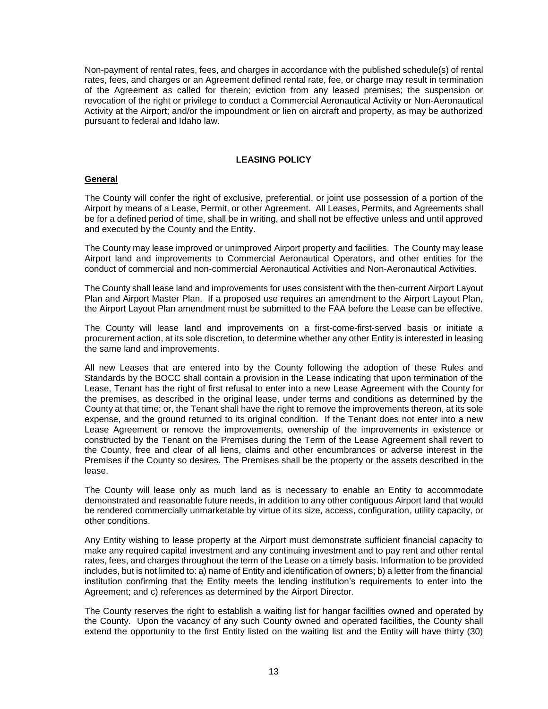Non-payment of rental rates, fees, and charges in accordance with the published schedule(s) of rental rates, fees, and charges or an Agreement defined rental rate, fee, or charge may result in termination of the Agreement as called for therein; eviction from any leased premises; the suspension or revocation of the right or privilege to conduct a Commercial Aeronautical Activity or Non-Aeronautical Activity at the Airport; and/or the impoundment or lien on aircraft and property, as may be authorized pursuant to federal and Idaho law.

# **LEASING POLICY**

# <span id="page-14-1"></span><span id="page-14-0"></span>**General**

The County will confer the right of exclusive, preferential, or joint use possession of a portion of the Airport by means of a Lease, Permit, or other Agreement. All Leases, Permits, and Agreements shall be for a defined period of time, shall be in writing, and shall not be effective unless and until approved and executed by the County and the Entity.

The County may lease improved or unimproved Airport property and facilities. The County may lease Airport land and improvements to Commercial Aeronautical Operators, and other entities for the conduct of commercial and non-commercial Aeronautical Activities and Non-Aeronautical Activities.

The County shall lease land and improvements for uses consistent with the then-current Airport Layout Plan and Airport Master Plan. If a proposed use requires an amendment to the Airport Layout Plan, the Airport Layout Plan amendment must be submitted to the FAA before the Lease can be effective.

The County will lease land and improvements on a first-come-first-served basis or initiate a procurement action, at its sole discretion, to determine whether any other Entity is interested in leasing the same land and improvements.

All new Leases that are entered into by the County following the adoption of these Rules and Standards by the BOCC shall contain a provision in the Lease indicating that upon termination of the Lease, Tenant has the right of first refusal to enter into a new Lease Agreement with the County for the premises, as described in the original lease, under terms and conditions as determined by the County at that time; or, the Tenant shall have the right to remove the improvements thereon, at its sole expense, and the ground returned to its original condition. If the Tenant does not enter into a new Lease Agreement or remove the improvements, ownership of the improvements in existence or constructed by the Tenant on the Premises during the Term of the Lease Agreement shall revert to the County, free and clear of all liens, claims and other encumbrances or adverse interest in the Premises if the County so desires. The Premises shall be the property or the assets described in the lease.

The County will lease only as much land as is necessary to enable an Entity to accommodate demonstrated and reasonable future needs, in addition to any other contiguous Airport land that would be rendered commercially unmarketable by virtue of its size, access, configuration, utility capacity, or other conditions.

Any Entity wishing to lease property at the Airport must demonstrate sufficient financial capacity to make any required capital investment and any continuing investment and to pay rent and other rental rates, fees, and charges throughout the term of the Lease on a timely basis. Information to be provided includes, but is not limited to: a) name of Entity and identification of owners; b) a letter from the financial institution confirming that the Entity meets the lending institution's requirements to enter into the Agreement; and c) references as determined by the Airport Director.

The County reserves the right to establish a waiting list for hangar facilities owned and operated by the County. Upon the vacancy of any such County owned and operated facilities, the County shall extend the opportunity to the first Entity listed on the waiting list and the Entity will have thirty (30)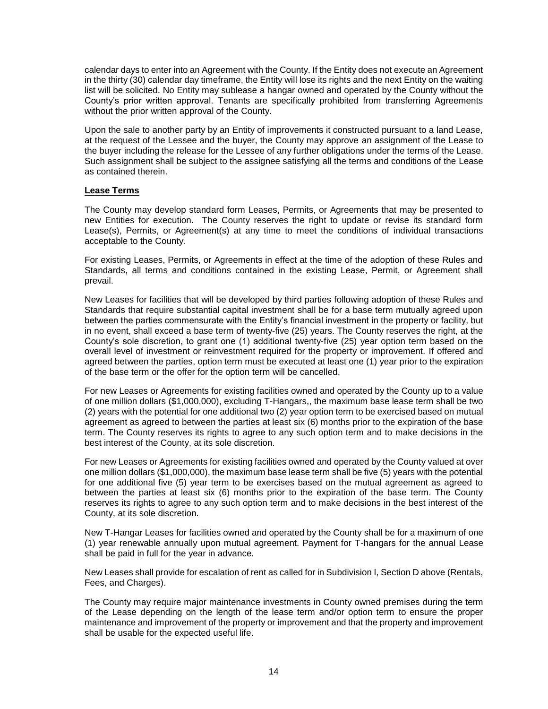calendar days to enter into an Agreement with the County. If the Entity does not execute an Agreement in the thirty (30) calendar day timeframe, the Entity will lose its rights and the next Entity on the waiting list will be solicited. No Entity may sublease a hangar owned and operated by the County without the County's prior written approval. Tenants are specifically prohibited from transferring Agreements without the prior written approval of the County.

Upon the sale to another party by an Entity of improvements it constructed pursuant to a land Lease, at the request of the Lessee and the buyer, the County may approve an assignment of the Lease to the buyer including the release for the Lessee of any further obligations under the terms of the Lease. Such assignment shall be subject to the assignee satisfying all the terms and conditions of the Lease as contained therein.

# <span id="page-15-0"></span>**Lease Terms**

The County may develop standard form Leases, Permits, or Agreements that may be presented to new Entities for execution. The County reserves the right to update or revise its standard form Lease(s), Permits, or Agreement(s) at any time to meet the conditions of individual transactions acceptable to the County.

For existing Leases, Permits, or Agreements in effect at the time of the adoption of these Rules and Standards, all terms and conditions contained in the existing Lease, Permit, or Agreement shall prevail.

New Leases for facilities that will be developed by third parties following adoption of these Rules and Standards that require substantial capital investment shall be for a base term mutually agreed upon between the parties commensurate with the Entity's financial investment in the property or facility, but in no event, shall exceed a base term of twenty-five (25) years. The County reserves the right, at the County's sole discretion, to grant one (1) additional twenty-five (25) year option term based on the overall level of investment or reinvestment required for the property or improvement. If offered and agreed between the parties, option term must be executed at least one (1) year prior to the expiration of the base term or the offer for the option term will be cancelled.

For new Leases or Agreements for existing facilities owned and operated by the County up to a value of one million dollars (\$1,000,000), excluding T-Hangars,, the maximum base lease term shall be two (2) years with the potential for one additional two (2) year option term to be exercised based on mutual agreement as agreed to between the parties at least six (6) months prior to the expiration of the base term. The County reserves its rights to agree to any such option term and to make decisions in the best interest of the County, at its sole discretion.

For new Leases or Agreements for existing facilities owned and operated by the County valued at over one million dollars (\$1,000,000), the maximum base lease term shall be five (5) years with the potential for one additional five (5) year term to be exercises based on the mutual agreement as agreed to between the parties at least six (6) months prior to the expiration of the base term. The County reserves its rights to agree to any such option term and to make decisions in the best interest of the County, at its sole discretion.

New T-Hangar Leases for facilities owned and operated by the County shall be for a maximum of one (1) year renewable annually upon mutual agreement. Payment for T-hangars for the annual Lease shall be paid in full for the year in advance.

New Leases shall provide for escalation of rent as called for in Subdivision I, Section D above (Rentals, Fees, and Charges).

The County may require major maintenance investments in County owned premises during the term of the Lease depending on the length of the lease term and/or option term to ensure the proper maintenance and improvement of the property or improvement and that the property and improvement shall be usable for the expected useful life.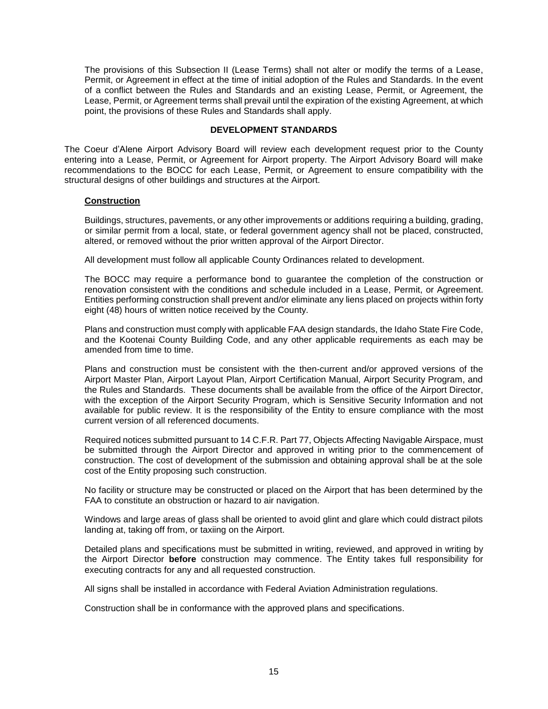The provisions of this Subsection II (Lease Terms) shall not alter or modify the terms of a Lease, Permit, or Agreement in effect at the time of initial adoption of the Rules and Standards. In the event of a conflict between the Rules and Standards and an existing Lease, Permit, or Agreement, the Lease, Permit, or Agreement terms shall prevail until the expiration of the existing Agreement, at which point, the provisions of these Rules and Standards shall apply.

# **DEVELOPMENT STANDARDS**

<span id="page-16-0"></span>The Coeur d'Alene Airport Advisory Board will review each development request prior to the County entering into a Lease, Permit, or Agreement for Airport property. The Airport Advisory Board will make recommendations to the BOCC for each Lease, Permit, or Agreement to ensure compatibility with the structural designs of other buildings and structures at the Airport.

# <span id="page-16-1"></span>**Construction**

Buildings, structures, pavements, or any other improvements or additions requiring a building, grading, or similar permit from a local, state, or federal government agency shall not be placed, constructed, altered, or removed without the prior written approval of the Airport Director.

All development must follow all applicable County Ordinances related to development.

The BOCC may require a performance bond to guarantee the completion of the construction or renovation consistent with the conditions and schedule included in a Lease, Permit, or Agreement. Entities performing construction shall prevent and/or eliminate any liens placed on projects within forty eight (48) hours of written notice received by the County.

Plans and construction must comply with applicable FAA design standards, the Idaho State Fire Code, and the Kootenai County Building Code, and any other applicable requirements as each may be amended from time to time.

Plans and construction must be consistent with the then-current and/or approved versions of the Airport Master Plan, Airport Layout Plan, Airport Certification Manual, Airport Security Program, and the Rules and Standards. These documents shall be available from the office of the Airport Director, with the exception of the Airport Security Program, which is Sensitive Security Information and not available for public review. It is the responsibility of the Entity to ensure compliance with the most current version of all referenced documents.

Required notices submitted pursuant to 14 C.F.R. Part 77, Objects Affecting Navigable Airspace, must be submitted through the Airport Director and approved in writing prior to the commencement of construction. The cost of development of the submission and obtaining approval shall be at the sole cost of the Entity proposing such construction.

No facility or structure may be constructed or placed on the Airport that has been determined by the FAA to constitute an obstruction or hazard to air navigation.

Windows and large areas of glass shall be oriented to avoid glint and glare which could distract pilots landing at, taking off from, or taxiing on the Airport.

Detailed plans and specifications must be submitted in writing, reviewed, and approved in writing by the Airport Director **before** construction may commence. The Entity takes full responsibility for executing contracts for any and all requested construction.

All signs shall be installed in accordance with Federal Aviation Administration regulations.

Construction shall be in conformance with the approved plans and specifications.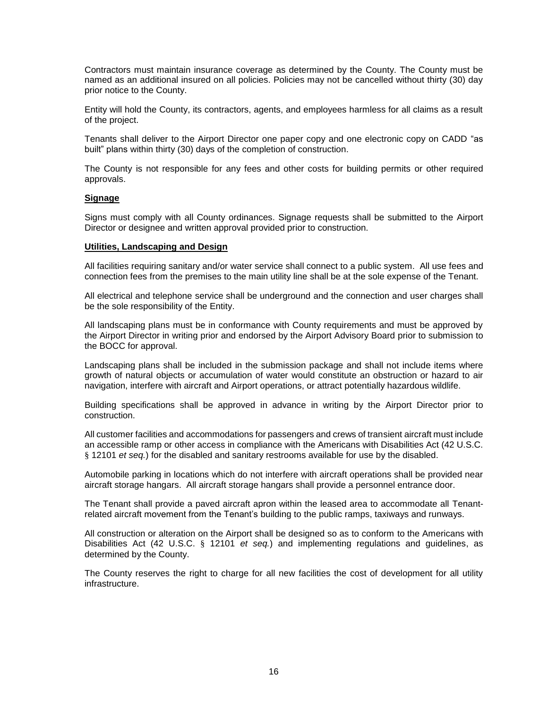Contractors must maintain insurance coverage as determined by the County. The County must be named as an additional insured on all policies. Policies may not be cancelled without thirty (30) day prior notice to the County.

Entity will hold the County, its contractors, agents, and employees harmless for all claims as a result of the project.

Tenants shall deliver to the Airport Director one paper copy and one electronic copy on CADD "as built" plans within thirty (30) days of the completion of construction.

The County is not responsible for any fees and other costs for building permits or other required approvals.

#### <span id="page-17-0"></span>**Signage**

Signs must comply with all County ordinances. Signage requests shall be submitted to the Airport Director or designee and written approval provided prior to construction.

#### <span id="page-17-1"></span>**Utilities, Landscaping and Design**

All facilities requiring sanitary and/or water service shall connect to a public system. All use fees and connection fees from the premises to the main utility line shall be at the sole expense of the Tenant.

All electrical and telephone service shall be underground and the connection and user charges shall be the sole responsibility of the Entity.

All landscaping plans must be in conformance with County requirements and must be approved by the Airport Director in writing prior and endorsed by the Airport Advisory Board prior to submission to the BOCC for approval.

Landscaping plans shall be included in the submission package and shall not include items where growth of natural objects or accumulation of water would constitute an obstruction or hazard to air navigation, interfere with aircraft and Airport operations, or attract potentially hazardous wildlife.

Building specifications shall be approved in advance in writing by the Airport Director prior to construction.

All customer facilities and accommodations for passengers and crews of transient aircraft must include an accessible ramp or other access in compliance with the Americans with Disabilities Act (42 U.S.C. § 12101 *et seq.*) for the disabled and sanitary restrooms available for use by the disabled.

Automobile parking in locations which do not interfere with aircraft operations shall be provided near aircraft storage hangars. All aircraft storage hangars shall provide a personnel entrance door.

The Tenant shall provide a paved aircraft apron within the leased area to accommodate all Tenantrelated aircraft movement from the Tenant's building to the public ramps, taxiways and runways.

All construction or alteration on the Airport shall be designed so as to conform to the Americans with Disabilities Act (42 U.S.C. § 12101 *et seq.*) and implementing regulations and guidelines, as determined by the County.

The County reserves the right to charge for all new facilities the cost of development for all utility infrastructure.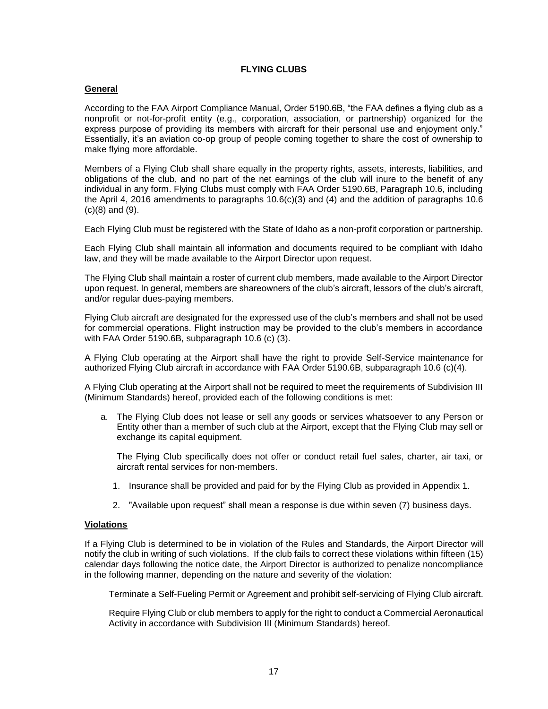# **FLYING CLUBS**

# <span id="page-18-1"></span><span id="page-18-0"></span>**General**

According to the FAA Airport Compliance Manual, Order 5190.6B, "the FAA defines a flying club as a nonprofit or not-for-profit entity (e.g., corporation, association, or partnership) organized for the express purpose of providing its members with aircraft for their personal use and enjoyment only." Essentially, it's an aviation co-op group of people coming together to share the cost of ownership to make flying more affordable.

Members of a Flying Club shall share equally in the property rights, assets, interests, liabilities, and obligations of the club, and no part of the net earnings of the club will inure to the benefit of any individual in any form. Flying Clubs must comply with FAA Order 5190.6B, Paragraph 10.6, including the April 4, 2016 amendments to paragraphs 10.6(c)(3) and (4) and the addition of paragraphs 10.6 (c)(8) and (9).

Each Flying Club must be registered with the State of Idaho as a non-profit corporation or partnership.

Each Flying Club shall maintain all information and documents required to be compliant with Idaho law, and they will be made available to the Airport Director upon request.

The Flying Club shall maintain a roster of current club members, made available to the Airport Director upon request. In general, members are shareowners of the club's aircraft, lessors of the club's aircraft, and/or regular dues-paying members.

Flying Club aircraft are designated for the expressed use of the club's members and shall not be used for commercial operations. Flight instruction may be provided to the club's members in accordance with FAA Order 5190.6B, subparagraph 10.6 (c) (3).

A Flying Club operating at the Airport shall have the right to provide Self-Service maintenance for authorized Flying Club aircraft in accordance with FAA Order 5190.6B, subparagraph 10.6 (c)(4).

A Flying Club operating at the Airport shall not be required to meet the requirements of Subdivision III (Minimum Standards) hereof, provided each of the following conditions is met:

a. The Flying Club does not lease or sell any goods or services whatsoever to any Person or Entity other than a member of such club at the Airport, except that the Flying Club may sell or exchange its capital equipment.

The Flying Club specifically does not offer or conduct retail fuel sales, charter, air taxi, or aircraft rental services for non-members.

- 1. Insurance shall be provided and paid for by the Flying Club as provided in Appendix 1.
- 2. "Available upon request" shall mean a response is due within seven (7) business days.

# <span id="page-18-2"></span>**Violations**

If a Flying Club is determined to be in violation of the Rules and Standards, the Airport Director will notify the club in writing of such violations. If the club fails to correct these violations within fifteen (15) calendar days following the notice date, the Airport Director is authorized to penalize noncompliance in the following manner, depending on the nature and severity of the violation:

Terminate a Self-Fueling Permit or Agreement and prohibit self-servicing of Flying Club aircraft.

Require Flying Club or club members to apply for the right to conduct a Commercial Aeronautical Activity in accordance with Subdivision III (Minimum Standards) hereof.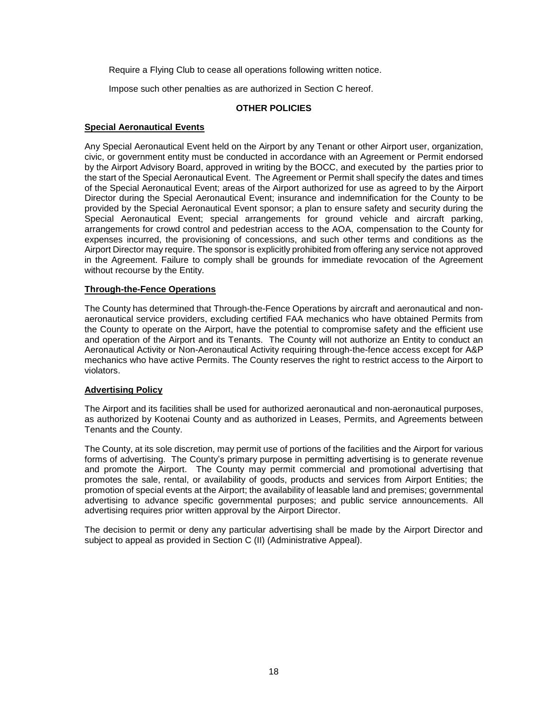Require a Flying Club to cease all operations following written notice.

Impose such other penalties as are authorized in Section C hereof.

# **OTHER POLICIES**

# <span id="page-19-1"></span><span id="page-19-0"></span>**Special Aeronautical Events**

Any Special Aeronautical Event held on the Airport by any Tenant or other Airport user, organization, civic, or government entity must be conducted in accordance with an Agreement or Permit endorsed by the Airport Advisory Board, approved in writing by the BOCC, and executed by the parties prior to the start of the Special Aeronautical Event. The Agreement or Permit shall specify the dates and times of the Special Aeronautical Event; areas of the Airport authorized for use as agreed to by the Airport Director during the Special Aeronautical Event; insurance and indemnification for the County to be provided by the Special Aeronautical Event sponsor; a plan to ensure safety and security during the Special Aeronautical Event; special arrangements for ground vehicle and aircraft parking, arrangements for crowd control and pedestrian access to the AOA, compensation to the County for expenses incurred, the provisioning of concessions, and such other terms and conditions as the Airport Director may require. The sponsor is explicitly prohibited from offering any service not approved in the Agreement. Failure to comply shall be grounds for immediate revocation of the Agreement without recourse by the Entity.

# <span id="page-19-2"></span>**Through-the-Fence Operations**

The County has determined that Through-the-Fence Operations by aircraft and aeronautical and nonaeronautical service providers, excluding certified FAA mechanics who have obtained Permits from the County to operate on the Airport, have the potential to compromise safety and the efficient use and operation of the Airport and its Tenants. The County will not authorize an Entity to conduct an Aeronautical Activity or Non-Aeronautical Activity requiring through-the-fence access except for A&P mechanics who have active Permits. The County reserves the right to restrict access to the Airport to violators.

# <span id="page-19-3"></span>**Advertising Policy**

The Airport and its facilities shall be used for authorized aeronautical and non-aeronautical purposes, as authorized by Kootenai County and as authorized in Leases, Permits, and Agreements between Tenants and the County.

The County, at its sole discretion, may permit use of portions of the facilities and the Airport for various forms of advertising. The County's primary purpose in permitting advertising is to generate revenue and promote the Airport. The County may permit commercial and promotional advertising that promotes the sale, rental, or availability of goods, products and services from Airport Entities; the promotion of special events at the Airport; the availability of leasable land and premises; governmental advertising to advance specific governmental purposes; and public service announcements. All advertising requires prior written approval by the Airport Director.

The decision to permit or deny any particular advertising shall be made by the Airport Director and subject to appeal as provided in Section C (II) (Administrative Appeal).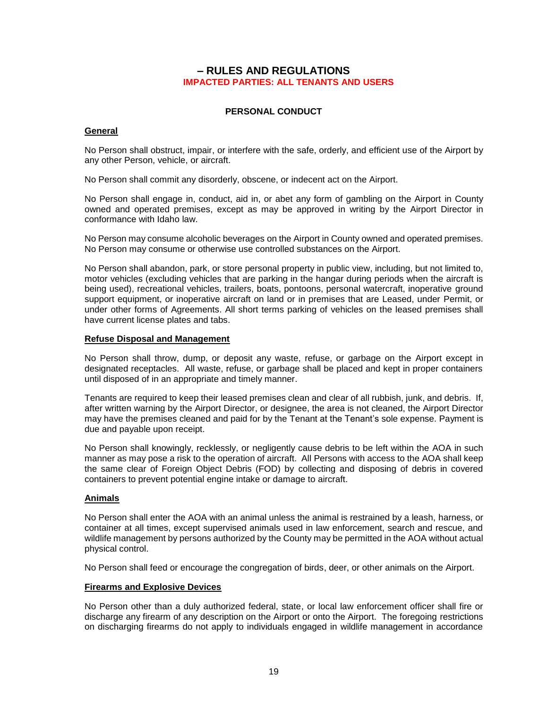# **– RULES AND REGULATIONS IMPACTED PARTIES: ALL TENANTS AND USERS**

# **PERSONAL CONDUCT**

#### <span id="page-20-2"></span><span id="page-20-1"></span><span id="page-20-0"></span>**General**

No Person shall obstruct, impair, or interfere with the safe, orderly, and efficient use of the Airport by any other Person, vehicle, or aircraft.

No Person shall commit any disorderly, obscene, or indecent act on the Airport.

No Person shall engage in, conduct, aid in, or abet any form of gambling on the Airport in County owned and operated premises, except as may be approved in writing by the Airport Director in conformance with Idaho law.

No Person may consume alcoholic beverages on the Airport in County owned and operated premises. No Person may consume or otherwise use controlled substances on the Airport.

No Person shall abandon, park, or store personal property in public view, including, but not limited to, motor vehicles (excluding vehicles that are parking in the hangar during periods when the aircraft is being used), recreational vehicles, trailers, boats, pontoons, personal watercraft, inoperative ground support equipment, or inoperative aircraft on land or in premises that are Leased, under Permit, or under other forms of Agreements. All short terms parking of vehicles on the leased premises shall have current license plates and tabs.

#### <span id="page-20-3"></span>**Refuse Disposal and Management**

No Person shall throw, dump, or deposit any waste, refuse, or garbage on the Airport except in designated receptacles. All waste, refuse, or garbage shall be placed and kept in proper containers until disposed of in an appropriate and timely manner.

Tenants are required to keep their leased premises clean and clear of all rubbish, junk, and debris. If, after written warning by the Airport Director, or designee, the area is not cleaned, the Airport Director may have the premises cleaned and paid for by the Tenant at the Tenant's sole expense. Payment is due and payable upon receipt.

No Person shall knowingly, recklessly, or negligently cause debris to be left within the AOA in such manner as may pose a risk to the operation of aircraft. All Persons with access to the AOA shall keep the same clear of Foreign Object Debris (FOD) by collecting and disposing of debris in covered containers to prevent potential engine intake or damage to aircraft.

# <span id="page-20-4"></span>**Animals**

No Person shall enter the AOA with an animal unless the animal is restrained by a leash, harness, or container at all times, except supervised animals used in law enforcement, search and rescue, and wildlife management by persons authorized by the County may be permitted in the AOA without actual physical control.

No Person shall feed or encourage the congregation of birds, deer, or other animals on the Airport.

#### <span id="page-20-5"></span>**Firearms and Explosive Devices**

No Person other than a duly authorized federal, state, or local law enforcement officer shall fire or discharge any firearm of any description on the Airport or onto the Airport. The foregoing restrictions on discharging firearms do not apply to individuals engaged in wildlife management in accordance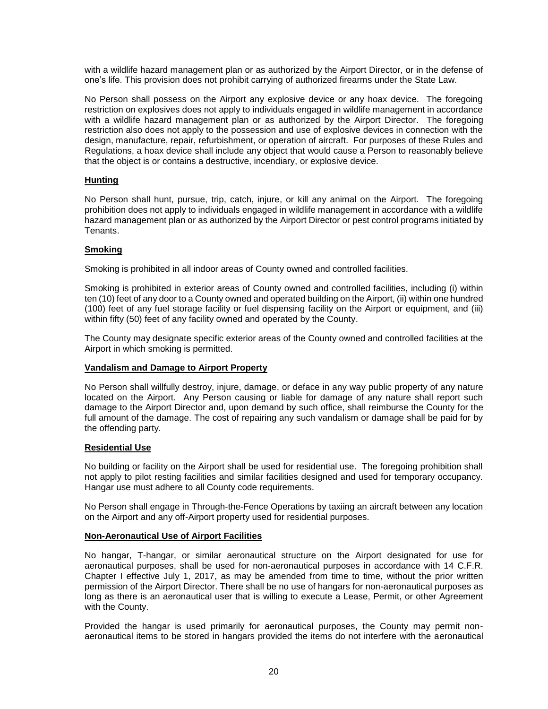with a wildlife hazard management plan or as authorized by the Airport Director, or in the defense of one's life. This provision does not prohibit carrying of authorized firearms under the State Law.

No Person shall possess on the Airport any explosive device or any hoax device. The foregoing restriction on explosives does not apply to individuals engaged in wildlife management in accordance with a wildlife hazard management plan or as authorized by the Airport Director. The foregoing restriction also does not apply to the possession and use of explosive devices in connection with the design, manufacture, repair, refurbishment, or operation of aircraft. For purposes of these Rules and Regulations, a hoax device shall include any object that would cause a Person to reasonably believe that the object is or contains a destructive, incendiary, or explosive device.

# <span id="page-21-0"></span>**Hunting**

No Person shall hunt, pursue, trip, catch, injure, or kill any animal on the Airport. The foregoing prohibition does not apply to individuals engaged in wildlife management in accordance with a wildlife hazard management plan or as authorized by the Airport Director or pest control programs initiated by Tenants.

# <span id="page-21-1"></span>**Smoking**

Smoking is prohibited in all indoor areas of County owned and controlled facilities.

Smoking is prohibited in exterior areas of County owned and controlled facilities, including (i) within ten (10) feet of any door to a County owned and operated building on the Airport, (ii) within one hundred (100) feet of any fuel storage facility or fuel dispensing facility on the Airport or equipment, and (iii) within fifty (50) feet of any facility owned and operated by the County.

The County may designate specific exterior areas of the County owned and controlled facilities at the Airport in which smoking is permitted.

# <span id="page-21-2"></span>**Vandalism and Damage to Airport Property**

No Person shall willfully destroy, injure, damage, or deface in any way public property of any nature located on the Airport. Any Person causing or liable for damage of any nature shall report such damage to the Airport Director and, upon demand by such office, shall reimburse the County for the full amount of the damage. The cost of repairing any such vandalism or damage shall be paid for by the offending party.

# <span id="page-21-3"></span>**Residential Use**

No building or facility on the Airport shall be used for residential use. The foregoing prohibition shall not apply to pilot resting facilities and similar facilities designed and used for temporary occupancy. Hangar use must adhere to all County code requirements.

No Person shall engage in Through-the-Fence Operations by taxiing an aircraft between any location on the Airport and any off-Airport property used for residential purposes.

# <span id="page-21-4"></span>**Non-Aeronautical Use of Airport Facilities**

No hangar, T-hangar, or similar aeronautical structure on the Airport designated for use for aeronautical purposes, shall be used for non-aeronautical purposes in accordance with 14 C.F.R. Chapter I effective July 1, 2017, as may be amended from time to time, without the prior written permission of the Airport Director. There shall be no use of hangars for non-aeronautical purposes as long as there is an aeronautical user that is willing to execute a Lease, Permit, or other Agreement with the County.

Provided the hangar is used primarily for aeronautical purposes, the County may permit nonaeronautical items to be stored in hangars provided the items do not interfere with the aeronautical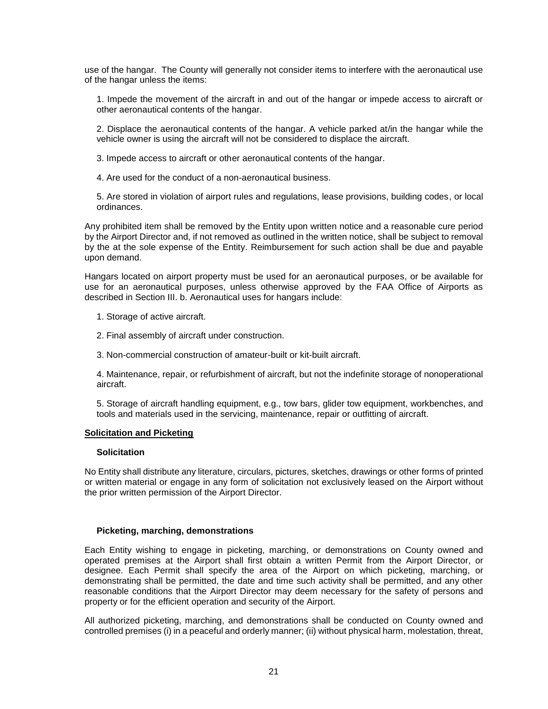use of the hangar. The County will generally not consider items to interfere with the aeronautical use of the hangar unless the items:

1. Impede the movement of the aircraft in and out of the hangar or impede access to aircraft or other aeronautical contents of the hangar.

2. Displace the aeronautical contents of the hangar. A vehicle parked at/in the hangar while the vehicle owner is using the aircraft will not be considered to displace the aircraft.

3. Impede access to aircraft or other aeronautical contents of the hangar.

4. Are used for the conduct of a non-aeronautical business.

5. Are stored in violation of airport rules and regulations, lease provisions, building codes, or local ordinances.

Any prohibited item shall be removed by the Entity upon written notice and a reasonable cure period by the Airport Director and, if not removed as outlined in the written notice, shall be subject to removal by the at the sole expense of the Entity. Reimbursement for such action shall be due and payable upon demand.

Hangars located on airport property must be used for an aeronautical purposes, or be available for use for an aeronautical purposes, unless otherwise approved by the FAA Office of Airports as described in Section III. b. Aeronautical uses for hangars include:

- 1. Storage of active aircraft.
- 2. Final assembly of aircraft under construction.
- 3. Non-commercial construction of amateur-built or kit-built aircraft.

4. Maintenance, repair, or refurbishment of aircraft, but not the indefinite storage of nonoperational aircraft.

5. Storage of aircraft handling equipment, e.g., tow bars, glider tow equipment, workbenches, and tools and materials used in the servicing, maintenance, repair or outfitting of aircraft.

#### <span id="page-22-0"></span>**Solicitation and Picketing**

#### **Solicitation**

No Entity shall distribute any literature, circulars, pictures, sketches, drawings or other forms of printed or written material or engage in any form of solicitation not exclusively leased on the Airport without the prior written permission of the Airport Director.

#### **Picketing, marching, demonstrations**

Each Entity wishing to engage in picketing, marching, or demonstrations on County owned and operated premises at the Airport shall first obtain a written Permit from the Airport Director, or designee. Each Permit shall specify the area of the Airport on which picketing, marching, or demonstrating shall be permitted, the date and time such activity shall be permitted, and any other reasonable conditions that the Airport Director may deem necessary for the safety of persons and property or for the efficient operation and security of the Airport.

All authorized picketing, marching, and demonstrations shall be conducted on County owned and controlled premises (i) in a peaceful and orderly manner; (ii) without physical harm, molestation, threat,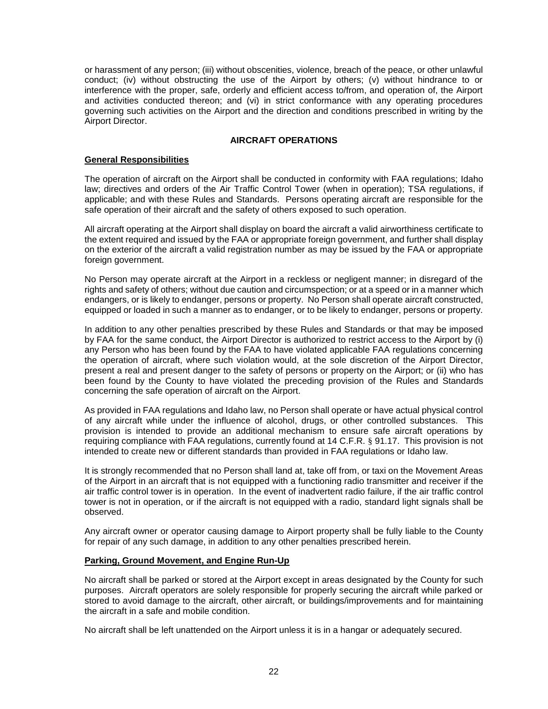or harassment of any person; (iii) without obscenities, violence, breach of the peace, or other unlawful conduct; (iv) without obstructing the use of the Airport by others; (v) without hindrance to or interference with the proper, safe, orderly and efficient access to/from, and operation of, the Airport and activities conducted thereon; and (vi) in strict conformance with any operating procedures governing such activities on the Airport and the direction and conditions prescribed in writing by the Airport Director.

# **AIRCRAFT OPERATIONS**

# <span id="page-23-1"></span><span id="page-23-0"></span>**General Responsibilities**

The operation of aircraft on the Airport shall be conducted in conformity with FAA regulations; Idaho law; directives and orders of the Air Traffic Control Tower (when in operation); TSA regulations, if applicable; and with these Rules and Standards. Persons operating aircraft are responsible for the safe operation of their aircraft and the safety of others exposed to such operation.

All aircraft operating at the Airport shall display on board the aircraft a valid airworthiness certificate to the extent required and issued by the FAA or appropriate foreign government, and further shall display on the exterior of the aircraft a valid registration number as may be issued by the FAA or appropriate foreign government.

No Person may operate aircraft at the Airport in a reckless or negligent manner; in disregard of the rights and safety of others; without due caution and circumspection; or at a speed or in a manner which endangers, or is likely to endanger, persons or property. No Person shall operate aircraft constructed, equipped or loaded in such a manner as to endanger, or to be likely to endanger, persons or property.

In addition to any other penalties prescribed by these Rules and Standards or that may be imposed by FAA for the same conduct, the Airport Director is authorized to restrict access to the Airport by (i) any Person who has been found by the FAA to have violated applicable FAA regulations concerning the operation of aircraft, where such violation would, at the sole discretion of the Airport Director, present a real and present danger to the safety of persons or property on the Airport; or (ii) who has been found by the County to have violated the preceding provision of the Rules and Standards concerning the safe operation of aircraft on the Airport.

As provided in FAA regulations and Idaho law, no Person shall operate or have actual physical control of any aircraft while under the influence of alcohol, drugs, or other controlled substances. This provision is intended to provide an additional mechanism to ensure safe aircraft operations by requiring compliance with FAA regulations, currently found at 14 C.F.R. § 91.17. This provision is not intended to create new or different standards than provided in FAA regulations or Idaho law.

It is strongly recommended that no Person shall land at, take off from, or taxi on the Movement Areas of the Airport in an aircraft that is not equipped with a functioning radio transmitter and receiver if the air traffic control tower is in operation. In the event of inadvertent radio failure, if the air traffic control tower is not in operation, or if the aircraft is not equipped with a radio, standard light signals shall be observed.

Any aircraft owner or operator causing damage to Airport property shall be fully liable to the County for repair of any such damage, in addition to any other penalties prescribed herein.

# <span id="page-23-2"></span>**Parking, Ground Movement, and Engine Run-Up**

No aircraft shall be parked or stored at the Airport except in areas designated by the County for such purposes. Aircraft operators are solely responsible for properly securing the aircraft while parked or stored to avoid damage to the aircraft, other aircraft, or buildings/improvements and for maintaining the aircraft in a safe and mobile condition.

No aircraft shall be left unattended on the Airport unless it is in a hangar or adequately secured.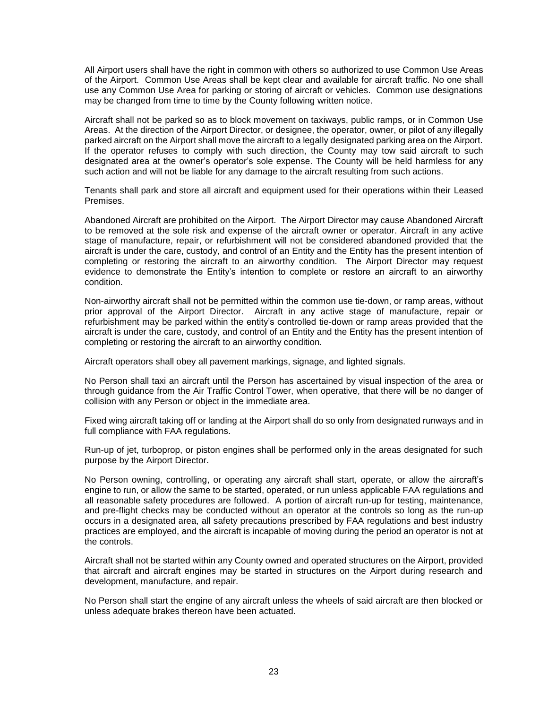All Airport users shall have the right in common with others so authorized to use Common Use Areas of the Airport. Common Use Areas shall be kept clear and available for aircraft traffic. No one shall use any Common Use Area for parking or storing of aircraft or vehicles. Common use designations may be changed from time to time by the County following written notice.

Aircraft shall not be parked so as to block movement on taxiways, public ramps, or in Common Use Areas. At the direction of the Airport Director, or designee, the operator, owner, or pilot of any illegally parked aircraft on the Airport shall move the aircraft to a legally designated parking area on the Airport. If the operator refuses to comply with such direction, the County may tow said aircraft to such designated area at the owner's operator's sole expense. The County will be held harmless for any such action and will not be liable for any damage to the aircraft resulting from such actions.

Tenants shall park and store all aircraft and equipment used for their operations within their Leased Premises.

Abandoned Aircraft are prohibited on the Airport. The Airport Director may cause Abandoned Aircraft to be removed at the sole risk and expense of the aircraft owner or operator. Aircraft in any active stage of manufacture, repair, or refurbishment will not be considered abandoned provided that the aircraft is under the care, custody, and control of an Entity and the Entity has the present intention of completing or restoring the aircraft to an airworthy condition. The Airport Director may request evidence to demonstrate the Entity's intention to complete or restore an aircraft to an airworthy condition.

Non-airworthy aircraft shall not be permitted within the common use tie-down, or ramp areas, without prior approval of the Airport Director. Aircraft in any active stage of manufacture, repair or refurbishment may be parked within the entity's controlled tie-down or ramp areas provided that the aircraft is under the care, custody, and control of an Entity and the Entity has the present intention of completing or restoring the aircraft to an airworthy condition.

Aircraft operators shall obey all pavement markings, signage, and lighted signals.

No Person shall taxi an aircraft until the Person has ascertained by visual inspection of the area or through guidance from the Air Traffic Control Tower, when operative, that there will be no danger of collision with any Person or object in the immediate area.

Fixed wing aircraft taking off or landing at the Airport shall do so only from designated runways and in full compliance with FAA regulations.

Run-up of jet, turboprop, or piston engines shall be performed only in the areas designated for such purpose by the Airport Director.

No Person owning, controlling, or operating any aircraft shall start, operate, or allow the aircraft's engine to run, or allow the same to be started, operated, or run unless applicable FAA regulations and all reasonable safety procedures are followed. A portion of aircraft run-up for testing, maintenance, and pre-flight checks may be conducted without an operator at the controls so long as the run-up occurs in a designated area, all safety precautions prescribed by FAA regulations and best industry practices are employed, and the aircraft is incapable of moving during the period an operator is not at the controls.

Aircraft shall not be started within any County owned and operated structures on the Airport, provided that aircraft and aircraft engines may be started in structures on the Airport during research and development, manufacture, and repair.

No Person shall start the engine of any aircraft unless the wheels of said aircraft are then blocked or unless adequate brakes thereon have been actuated.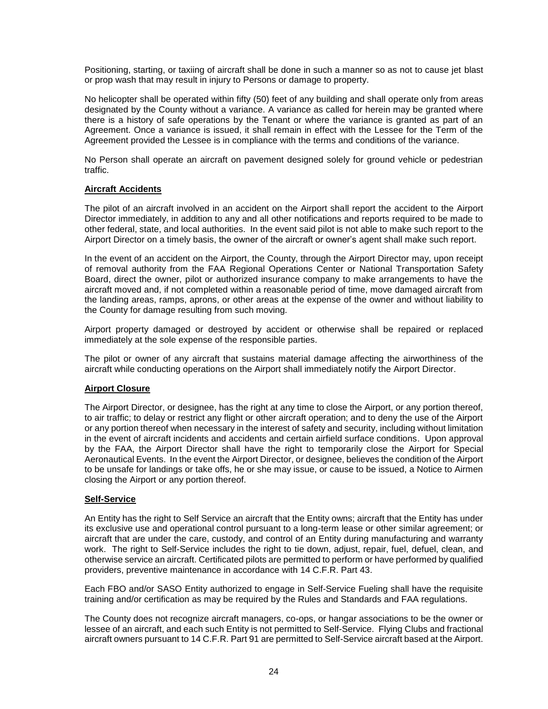Positioning, starting, or taxiing of aircraft shall be done in such a manner so as not to cause jet blast or prop wash that may result in injury to Persons or damage to property.

No helicopter shall be operated within fifty (50) feet of any building and shall operate only from areas designated by the County without a variance. A variance as called for herein may be granted where there is a history of safe operations by the Tenant or where the variance is granted as part of an Agreement. Once a variance is issued, it shall remain in effect with the Lessee for the Term of the Agreement provided the Lessee is in compliance with the terms and conditions of the variance.

No Person shall operate an aircraft on pavement designed solely for ground vehicle or pedestrian traffic.

# <span id="page-25-0"></span>**Aircraft Accidents**

The pilot of an aircraft involved in an accident on the Airport shall report the accident to the Airport Director immediately, in addition to any and all other notifications and reports required to be made to other federal, state, and local authorities. In the event said pilot is not able to make such report to the Airport Director on a timely basis, the owner of the aircraft or owner's agent shall make such report.

In the event of an accident on the Airport, the County, through the Airport Director may, upon receipt of removal authority from the FAA Regional Operations Center or National Transportation Safety Board, direct the owner, pilot or authorized insurance company to make arrangements to have the aircraft moved and, if not completed within a reasonable period of time, move damaged aircraft from the landing areas, ramps, aprons, or other areas at the expense of the owner and without liability to the County for damage resulting from such moving.

Airport property damaged or destroyed by accident or otherwise shall be repaired or replaced immediately at the sole expense of the responsible parties.

The pilot or owner of any aircraft that sustains material damage affecting the airworthiness of the aircraft while conducting operations on the Airport shall immediately notify the Airport Director.

# <span id="page-25-1"></span>**Airport Closure**

The Airport Director, or designee, has the right at any time to close the Airport, or any portion thereof, to air traffic; to delay or restrict any flight or other aircraft operation; and to deny the use of the Airport or any portion thereof when necessary in the interest of safety and security, including without limitation in the event of aircraft incidents and accidents and certain airfield surface conditions. Upon approval by the FAA, the Airport Director shall have the right to temporarily close the Airport for Special Aeronautical Events. In the event the Airport Director, or designee, believes the condition of the Airport to be unsafe for landings or take offs, he or she may issue, or cause to be issued, a Notice to Airmen closing the Airport or any portion thereof.

# <span id="page-25-2"></span>**Self-Service**

An Entity has the right to Self Service an aircraft that the Entity owns; aircraft that the Entity has under its exclusive use and operational control pursuant to a long-term lease or other similar agreement; or aircraft that are under the care, custody, and control of an Entity during manufacturing and warranty work. The right to Self-Service includes the right to tie down, adjust, repair, fuel, defuel, clean, and otherwise service an aircraft. Certificated pilots are permitted to perform or have performed by qualified providers, preventive maintenance in accordance with 14 C.F.R. Part 43.

Each FBO and/or SASO Entity authorized to engage in Self-Service Fueling shall have the requisite training and/or certification as may be required by the Rules and Standards and FAA regulations.

The County does not recognize aircraft managers, co-ops, or hangar associations to be the owner or lessee of an aircraft, and each such Entity is not permitted to Self-Service. Flying Clubs and fractional aircraft owners pursuant to 14 C.F.R. Part 91 are permitted to Self-Service aircraft based at the Airport.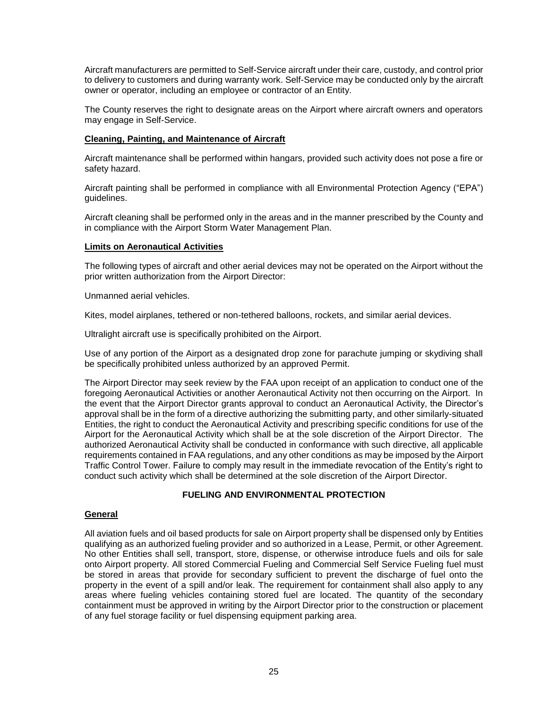Aircraft manufacturers are permitted to Self-Service aircraft under their care, custody, and control prior to delivery to customers and during warranty work. Self-Service may be conducted only by the aircraft owner or operator, including an employee or contractor of an Entity.

The County reserves the right to designate areas on the Airport where aircraft owners and operators may engage in Self-Service.

# <span id="page-26-0"></span>**Cleaning, Painting, and Maintenance of Aircraft**

Aircraft maintenance shall be performed within hangars, provided such activity does not pose a fire or safety hazard.

Aircraft painting shall be performed in compliance with all Environmental Protection Agency ("EPA") guidelines.

Aircraft cleaning shall be performed only in the areas and in the manner prescribed by the County and in compliance with the Airport Storm Water Management Plan.

#### <span id="page-26-1"></span>**Limits on Aeronautical Activities**

The following types of aircraft and other aerial devices may not be operated on the Airport without the prior written authorization from the Airport Director:

Unmanned aerial vehicles.

Kites, model airplanes, tethered or non-tethered balloons, rockets, and similar aerial devices.

Ultralight aircraft use is specifically prohibited on the Airport.

Use of any portion of the Airport as a designated drop zone for parachute jumping or skydiving shall be specifically prohibited unless authorized by an approved Permit.

The Airport Director may seek review by the FAA upon receipt of an application to conduct one of the foregoing Aeronautical Activities or another Aeronautical Activity not then occurring on the Airport. In the event that the Airport Director grants approval to conduct an Aeronautical Activity, the Director's approval shall be in the form of a directive authorizing the submitting party, and other similarly-situated Entities, the right to conduct the Aeronautical Activity and prescribing specific conditions for use of the Airport for the Aeronautical Activity which shall be at the sole discretion of the Airport Director. The authorized Aeronautical Activity shall be conducted in conformance with such directive, all applicable requirements contained in FAA regulations, and any other conditions as may be imposed by the Airport Traffic Control Tower. Failure to comply may result in the immediate revocation of the Entity's right to conduct such activity which shall be determined at the sole discretion of the Airport Director.

# **FUELING AND ENVIRONMENTAL PROTECTION**

# <span id="page-26-3"></span><span id="page-26-2"></span>**General**

All aviation fuels and oil based products for sale on Airport property shall be dispensed only by Entities qualifying as an authorized fueling provider and so authorized in a Lease, Permit, or other Agreement. No other Entities shall sell, transport, store, dispense, or otherwise introduce fuels and oils for sale onto Airport property. All stored Commercial Fueling and Commercial Self Service Fueling fuel must be stored in areas that provide for secondary sufficient to prevent the discharge of fuel onto the property in the event of a spill and/or leak. The requirement for containment shall also apply to any areas where fueling vehicles containing stored fuel are located. The quantity of the secondary containment must be approved in writing by the Airport Director prior to the construction or placement of any fuel storage facility or fuel dispensing equipment parking area.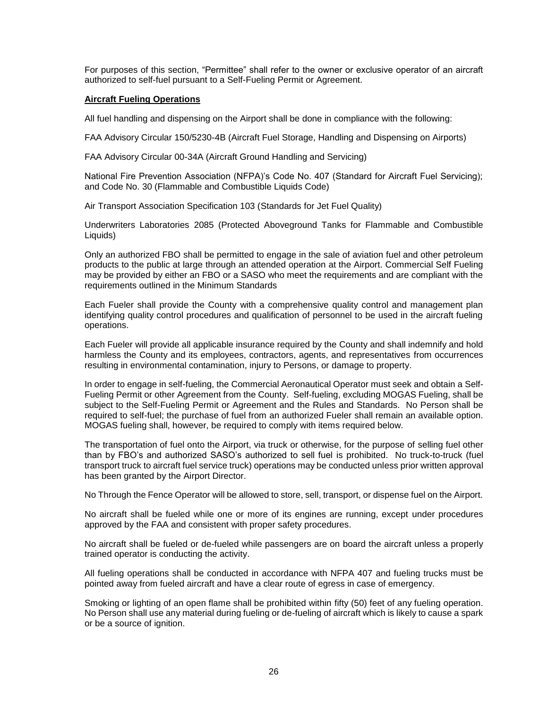For purposes of this section, "Permittee" shall refer to the owner or exclusive operator of an aircraft authorized to self-fuel pursuant to a Self-Fueling Permit or Agreement.

# <span id="page-27-0"></span>**Aircraft Fueling Operations**

All fuel handling and dispensing on the Airport shall be done in compliance with the following:

FAA Advisory Circular 150/5230-4B (Aircraft Fuel Storage, Handling and Dispensing on Airports)

FAA Advisory Circular 00-34A (Aircraft Ground Handling and Servicing)

National Fire Prevention Association (NFPA)'s Code No. 407 (Standard for Aircraft Fuel Servicing); and Code No. 30 (Flammable and Combustible Liquids Code)

Air Transport Association Specification 103 (Standards for Jet Fuel Quality)

Underwriters Laboratories 2085 (Protected Aboveground Tanks for Flammable and Combustible Liquids)

Only an authorized FBO shall be permitted to engage in the sale of aviation fuel and other petroleum products to the public at large through an attended operation at the Airport. Commercial Self Fueling may be provided by either an FBO or a SASO who meet the requirements and are compliant with the requirements outlined in the Minimum Standards

Each Fueler shall provide the County with a comprehensive quality control and management plan identifying quality control procedures and qualification of personnel to be used in the aircraft fueling operations.

Each Fueler will provide all applicable insurance required by the County and shall indemnify and hold harmless the County and its employees, contractors, agents, and representatives from occurrences resulting in environmental contamination, injury to Persons, or damage to property.

In order to engage in self-fueling, the Commercial Aeronautical Operator must seek and obtain a Self-Fueling Permit or other Agreement from the County. Self-fueling, excluding MOGAS Fueling, shall be subject to the Self-Fueling Permit or Agreement and the Rules and Standards. No Person shall be required to self-fuel; the purchase of fuel from an authorized Fueler shall remain an available option. MOGAS fueling shall, however, be required to comply with items required below.

The transportation of fuel onto the Airport, via truck or otherwise, for the purpose of selling fuel other than by FBO's and authorized SASO's authorized to sell fuel is prohibited. No truck-to-truck (fuel transport truck to aircraft fuel service truck) operations may be conducted unless prior written approval has been granted by the Airport Director.

No Through the Fence Operator will be allowed to store, sell, transport, or dispense fuel on the Airport.

No aircraft shall be fueled while one or more of its engines are running, except under procedures approved by the FAA and consistent with proper safety procedures.

No aircraft shall be fueled or de-fueled while passengers are on board the aircraft unless a properly trained operator is conducting the activity.

All fueling operations shall be conducted in accordance with NFPA 407 and fueling trucks must be pointed away from fueled aircraft and have a clear route of egress in case of emergency.

Smoking or lighting of an open flame shall be prohibited within fifty (50) feet of any fueling operation. No Person shall use any material during fueling or de-fueling of aircraft which is likely to cause a spark or be a source of ignition.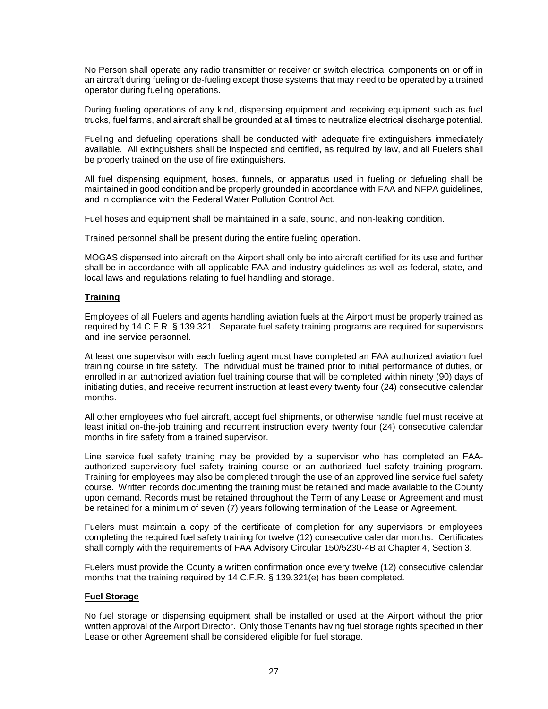No Person shall operate any radio transmitter or receiver or switch electrical components on or off in an aircraft during fueling or de-fueling except those systems that may need to be operated by a trained operator during fueling operations.

During fueling operations of any kind, dispensing equipment and receiving equipment such as fuel trucks, fuel farms, and aircraft shall be grounded at all times to neutralize electrical discharge potential.

Fueling and defueling operations shall be conducted with adequate fire extinguishers immediately available. All extinguishers shall be inspected and certified, as required by law, and all Fuelers shall be properly trained on the use of fire extinguishers.

All fuel dispensing equipment, hoses, funnels, or apparatus used in fueling or defueling shall be maintained in good condition and be properly grounded in accordance with FAA and NFPA guidelines, and in compliance with the Federal Water Pollution Control Act.

Fuel hoses and equipment shall be maintained in a safe, sound, and non-leaking condition.

Trained personnel shall be present during the entire fueling operation.

MOGAS dispensed into aircraft on the Airport shall only be into aircraft certified for its use and further shall be in accordance with all applicable FAA and industry guidelines as well as federal, state, and local laws and regulations relating to fuel handling and storage.

# <span id="page-28-0"></span>**Training**

Employees of all Fuelers and agents handling aviation fuels at the Airport must be properly trained as required by 14 C.F.R. § 139.321. Separate fuel safety training programs are required for supervisors and line service personnel.

At least one supervisor with each fueling agent must have completed an FAA authorized aviation fuel training course in fire safety. The individual must be trained prior to initial performance of duties, or enrolled in an authorized aviation fuel training course that will be completed within ninety (90) days of initiating duties, and receive recurrent instruction at least every twenty four (24) consecutive calendar months.

All other employees who fuel aircraft, accept fuel shipments, or otherwise handle fuel must receive at least initial on-the-job training and recurrent instruction every twenty four (24) consecutive calendar months in fire safety from a trained supervisor.

Line service fuel safety training may be provided by a supervisor who has completed an FAAauthorized supervisory fuel safety training course or an authorized fuel safety training program. Training for employees may also be completed through the use of an approved line service fuel safety course. Written records documenting the training must be retained and made available to the County upon demand. Records must be retained throughout the Term of any Lease or Agreement and must be retained for a minimum of seven (7) years following termination of the Lease or Agreement.

Fuelers must maintain a copy of the certificate of completion for any supervisors or employees completing the required fuel safety training for twelve (12) consecutive calendar months. Certificates shall comply with the requirements of FAA Advisory Circular 150/5230-4B at Chapter 4, Section 3.

Fuelers must provide the County a written confirmation once every twelve (12) consecutive calendar months that the training required by 14 C.F.R. § 139.321(e) has been completed.

# <span id="page-28-1"></span>**Fuel Storage**

No fuel storage or dispensing equipment shall be installed or used at the Airport without the prior written approval of the Airport Director. Only those Tenants having fuel storage rights specified in their Lease or other Agreement shall be considered eligible for fuel storage.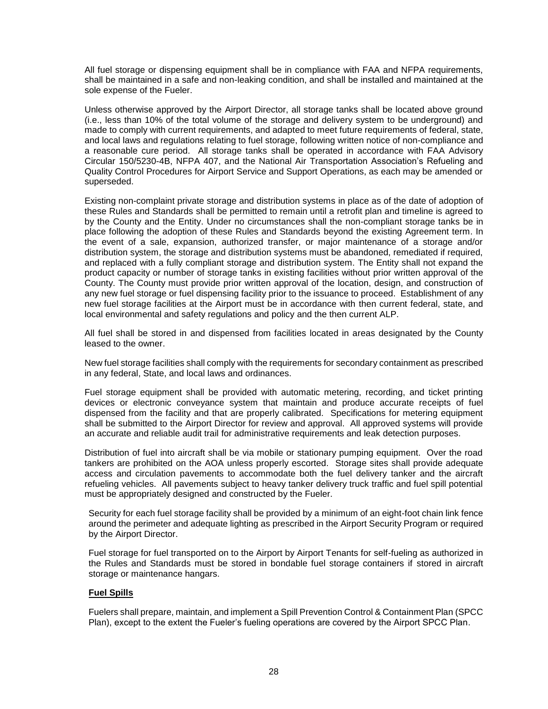All fuel storage or dispensing equipment shall be in compliance with FAA and NFPA requirements, shall be maintained in a safe and non-leaking condition, and shall be installed and maintained at the sole expense of the Fueler.

Unless otherwise approved by the Airport Director, all storage tanks shall be located above ground (i.e., less than 10% of the total volume of the storage and delivery system to be underground) and made to comply with current requirements, and adapted to meet future requirements of federal, state, and local laws and regulations relating to fuel storage, following written notice of non-compliance and a reasonable cure period. All storage tanks shall be operated in accordance with FAA Advisory Circular 150/5230-4B, NFPA 407, and the National Air Transportation Association's Refueling and Quality Control Procedures for Airport Service and Support Operations, as each may be amended or superseded.

Existing non-complaint private storage and distribution systems in place as of the date of adoption of these Rules and Standards shall be permitted to remain until a retrofit plan and timeline is agreed to by the County and the Entity. Under no circumstances shall the non-compliant storage tanks be in place following the adoption of these Rules and Standards beyond the existing Agreement term. In the event of a sale, expansion, authorized transfer, or major maintenance of a storage and/or distribution system, the storage and distribution systems must be abandoned, remediated if required, and replaced with a fully compliant storage and distribution system. The Entity shall not expand the product capacity or number of storage tanks in existing facilities without prior written approval of the County. The County must provide prior written approval of the location, design, and construction of any new fuel storage or fuel dispensing facility prior to the issuance to proceed. Establishment of any new fuel storage facilities at the Airport must be in accordance with then current federal, state, and local environmental and safety regulations and policy and the then current ALP.

All fuel shall be stored in and dispensed from facilities located in areas designated by the County leased to the owner.

New fuel storage facilities shall comply with the requirements for secondary containment as prescribed in any federal, State, and local laws and ordinances.

Fuel storage equipment shall be provided with automatic metering, recording, and ticket printing devices or electronic conveyance system that maintain and produce accurate receipts of fuel dispensed from the facility and that are properly calibrated. Specifications for metering equipment shall be submitted to the Airport Director for review and approval. All approved systems will provide an accurate and reliable audit trail for administrative requirements and leak detection purposes.

Distribution of fuel into aircraft shall be via mobile or stationary pumping equipment. Over the road tankers are prohibited on the AOA unless properly escorted. Storage sites shall provide adequate access and circulation pavements to accommodate both the fuel delivery tanker and the aircraft refueling vehicles. All pavements subject to heavy tanker delivery truck traffic and fuel spill potential must be appropriately designed and constructed by the Fueler.

Security for each fuel storage facility shall be provided by a minimum of an eight-foot chain link fence around the perimeter and adequate lighting as prescribed in the Airport Security Program or required by the Airport Director.

Fuel storage for fuel transported on to the Airport by Airport Tenants for self-fueling as authorized in the Rules and Standards must be stored in bondable fuel storage containers if stored in aircraft storage or maintenance hangars.

# <span id="page-29-0"></span>**Fuel Spills**

Fuelers shall prepare, maintain, and implement a Spill Prevention Control & Containment Plan (SPCC Plan), except to the extent the Fueler's fueling operations are covered by the Airport SPCC Plan.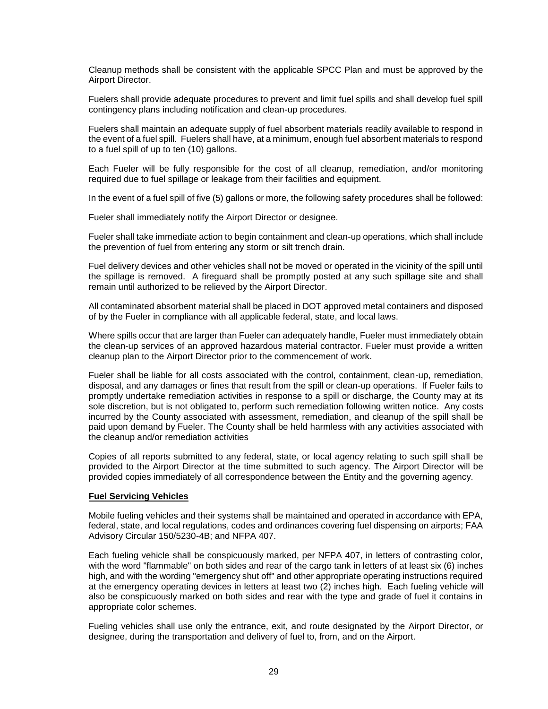Cleanup methods shall be consistent with the applicable SPCC Plan and must be approved by the Airport Director.

Fuelers shall provide adequate procedures to prevent and limit fuel spills and shall develop fuel spill contingency plans including notification and clean-up procedures.

Fuelers shall maintain an adequate supply of fuel absorbent materials readily available to respond in the event of a fuel spill. Fuelers shall have, at a minimum, enough fuel absorbent materials to respond to a fuel spill of up to ten (10) gallons.

Each Fueler will be fully responsible for the cost of all cleanup, remediation, and/or monitoring required due to fuel spillage or leakage from their facilities and equipment.

In the event of a fuel spill of five (5) gallons or more, the following safety procedures shall be followed:

Fueler shall immediately notify the Airport Director or designee.

Fueler shall take immediate action to begin containment and clean-up operations, which shall include the prevention of fuel from entering any storm or silt trench drain.

Fuel delivery devices and other vehicles shall not be moved or operated in the vicinity of the spill until the spillage is removed. A fireguard shall be promptly posted at any such spillage site and shall remain until authorized to be relieved by the Airport Director.

All contaminated absorbent material shall be placed in DOT approved metal containers and disposed of by the Fueler in compliance with all applicable federal, state, and local laws.

Where spills occur that are larger than Fueler can adequately handle, Fueler must immediately obtain the clean-up services of an approved hazardous material contractor. Fueler must provide a written cleanup plan to the Airport Director prior to the commencement of work.

Fueler shall be liable for all costs associated with the control, containment, clean-up, remediation, disposal, and any damages or fines that result from the spill or clean-up operations. If Fueler fails to promptly undertake remediation activities in response to a spill or discharge, the County may at its sole discretion, but is not obligated to, perform such remediation following written notice. Any costs incurred by the County associated with assessment, remediation, and cleanup of the spill shall be paid upon demand by Fueler. The County shall be held harmless with any activities associated with the cleanup and/or remediation activities

Copies of all reports submitted to any federal, state, or local agency relating to such spill shall be provided to the Airport Director at the time submitted to such agency. The Airport Director will be provided copies immediately of all correspondence between the Entity and the governing agency.

#### <span id="page-30-0"></span>**Fuel Servicing Vehicles**

Mobile fueling vehicles and their systems shall be maintained and operated in accordance with EPA, federal, state, and local regulations, codes and ordinances covering fuel dispensing on airports; FAA Advisory Circular 150/5230-4B; and NFPA 407.

Each fueling vehicle shall be conspicuously marked, per NFPA 407, in letters of contrasting color, with the word "flammable" on both sides and rear of the cargo tank in letters of at least six (6) inches high, and with the wording "emergency shut off" and other appropriate operating instructions required at the emergency operating devices in letters at least two (2) inches high. Each fueling vehicle will also be conspicuously marked on both sides and rear with the type and grade of fuel it contains in appropriate color schemes.

Fueling vehicles shall use only the entrance, exit, and route designated by the Airport Director, or designee, during the transportation and delivery of fuel to, from, and on the Airport.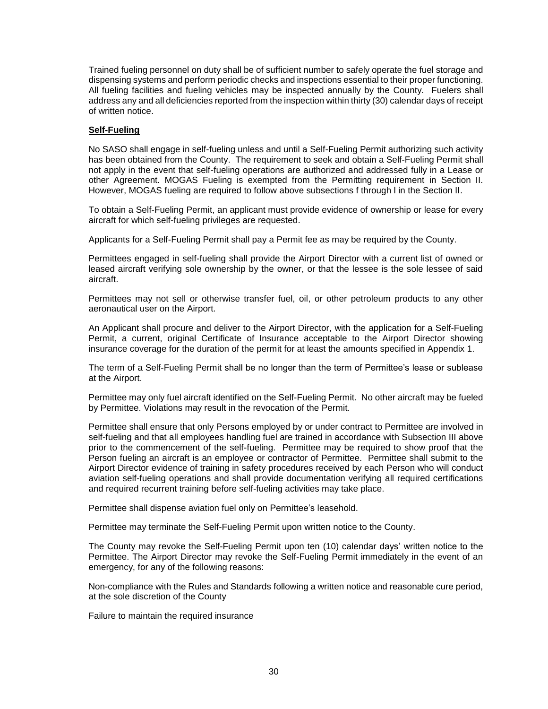Trained fueling personnel on duty shall be of sufficient number to safely operate the fuel storage and dispensing systems and perform periodic checks and inspections essential to their proper functioning. All fueling facilities and fueling vehicles may be inspected annually by the County. Fuelers shall address any and all deficiencies reported from the inspection within thirty (30) calendar days of receipt of written notice.

# <span id="page-31-0"></span>**Self-Fueling**

No SASO shall engage in self-fueling unless and until a Self-Fueling Permit authorizing such activity has been obtained from the County. The requirement to seek and obtain a Self-Fueling Permit shall not apply in the event that self-fueling operations are authorized and addressed fully in a Lease or other Agreement. MOGAS Fueling is exempted from the Permitting requirement in Section II. However, MOGAS fueling are required to follow above subsections f through l in the Section II.

To obtain a Self-Fueling Permit, an applicant must provide evidence of ownership or lease for every aircraft for which self-fueling privileges are requested.

Applicants for a Self-Fueling Permit shall pay a Permit fee as may be required by the County.

Permittees engaged in self-fueling shall provide the Airport Director with a current list of owned or leased aircraft verifying sole ownership by the owner, or that the lessee is the sole lessee of said aircraft.

Permittees may not sell or otherwise transfer fuel, oil, or other petroleum products to any other aeronautical user on the Airport.

An Applicant shall procure and deliver to the Airport Director, with the application for a Self-Fueling Permit, a current, original Certificate of Insurance acceptable to the Airport Director showing insurance coverage for the duration of the permit for at least the amounts specified in Appendix 1.

The term of a Self-Fueling Permit shall be no longer than the term of Permittee's lease or sublease at the Airport.

Permittee may only fuel aircraft identified on the Self-Fueling Permit. No other aircraft may be fueled by Permittee. Violations may result in the revocation of the Permit.

Permittee shall ensure that only Persons employed by or under contract to Permittee are involved in self-fueling and that all employees handling fuel are trained in accordance with Subsection III above prior to the commencement of the self-fueling. Permittee may be required to show proof that the Person fueling an aircraft is an employee or contractor of Permittee. Permittee shall submit to the Airport Director evidence of training in safety procedures received by each Person who will conduct aviation self-fueling operations and shall provide documentation verifying all required certifications and required recurrent training before self-fueling activities may take place.

Permittee shall dispense aviation fuel only on Permittee's leasehold.

Permittee may terminate the Self-Fueling Permit upon written notice to the County.

The County may revoke the Self-Fueling Permit upon ten (10) calendar days' written notice to the Permittee. The Airport Director may revoke the Self-Fueling Permit immediately in the event of an emergency, for any of the following reasons:

Non-compliance with the Rules and Standards following a written notice and reasonable cure period, at the sole discretion of the County

Failure to maintain the required insurance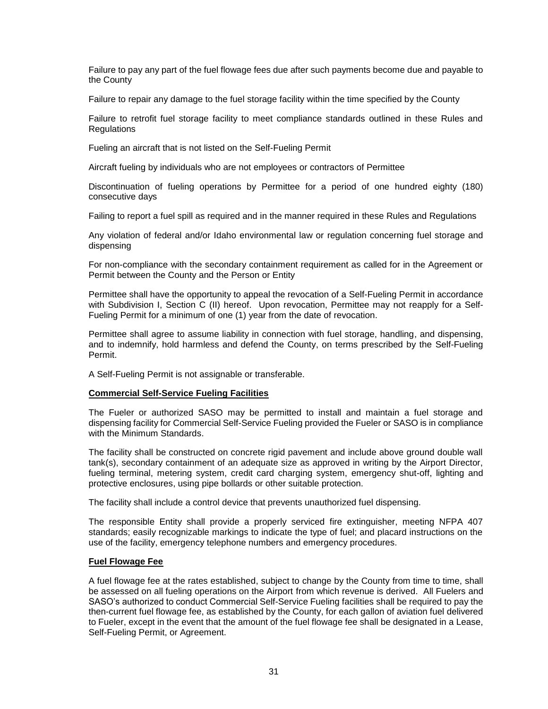Failure to pay any part of the fuel flowage fees due after such payments become due and payable to the County

Failure to repair any damage to the fuel storage facility within the time specified by the County

Failure to retrofit fuel storage facility to meet compliance standards outlined in these Rules and **Regulations** 

Fueling an aircraft that is not listed on the Self-Fueling Permit

Aircraft fueling by individuals who are not employees or contractors of Permittee

Discontinuation of fueling operations by Permittee for a period of one hundred eighty (180) consecutive days

Failing to report a fuel spill as required and in the manner required in these Rules and Regulations

Any violation of federal and/or Idaho environmental law or regulation concerning fuel storage and dispensing

For non-compliance with the secondary containment requirement as called for in the Agreement or Permit between the County and the Person or Entity

Permittee shall have the opportunity to appeal the revocation of a Self-Fueling Permit in accordance with Subdivision I, Section C (II) hereof. Upon revocation, Permittee may not reapply for a Self-Fueling Permit for a minimum of one (1) year from the date of revocation.

Permittee shall agree to assume liability in connection with fuel storage, handling, and dispensing, and to indemnify, hold harmless and defend the County, on terms prescribed by the Self-Fueling Permit.

A Self-Fueling Permit is not assignable or transferable.

# <span id="page-32-0"></span>**Commercial Self-Service Fueling Facilities**

The Fueler or authorized SASO may be permitted to install and maintain a fuel storage and dispensing facility for Commercial Self-Service Fueling provided the Fueler or SASO is in compliance with the Minimum Standards.

The facility shall be constructed on concrete rigid pavement and include above ground double wall tank(s), secondary containment of an adequate size as approved in writing by the Airport Director, fueling terminal, metering system, credit card charging system, emergency shut-off, lighting and protective enclosures, using pipe bollards or other suitable protection.

The facility shall include a control device that prevents unauthorized fuel dispensing.

The responsible Entity shall provide a properly serviced fire extinguisher, meeting NFPA 407 standards; easily recognizable markings to indicate the type of fuel; and placard instructions on the use of the facility, emergency telephone numbers and emergency procedures.

# <span id="page-32-1"></span>**Fuel Flowage Fee**

A fuel flowage fee at the rates established, subject to change by the County from time to time, shall be assessed on all fueling operations on the Airport from which revenue is derived. All Fuelers and SASO's authorized to conduct Commercial Self-Service Fueling facilities shall be required to pay the then-current fuel flowage fee, as established by the County, for each gallon of aviation fuel delivered to Fueler, except in the event that the amount of the fuel flowage fee shall be designated in a Lease, Self-Fueling Permit, or Agreement.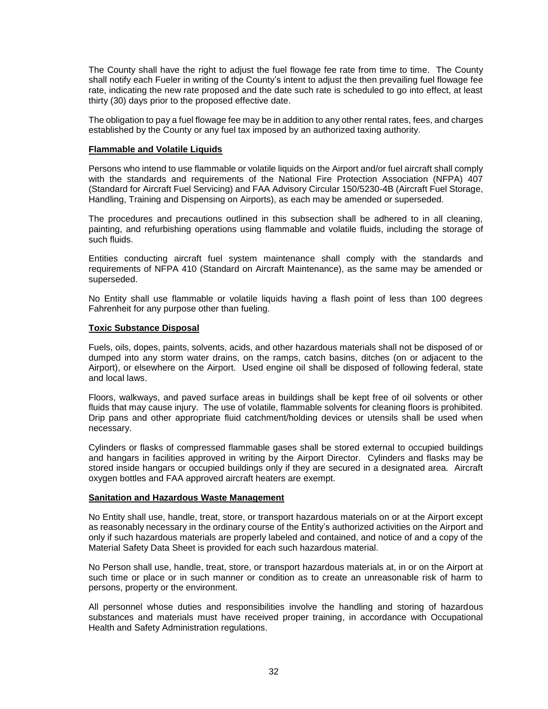The County shall have the right to adjust the fuel flowage fee rate from time to time. The County shall notify each Fueler in writing of the County's intent to adjust the then prevailing fuel flowage fee rate, indicating the new rate proposed and the date such rate is scheduled to go into effect, at least thirty (30) days prior to the proposed effective date.

The obligation to pay a fuel flowage fee may be in addition to any other rental rates, fees, and charges established by the County or any fuel tax imposed by an authorized taxing authority.

#### <span id="page-33-0"></span>**Flammable and Volatile Liquids**

Persons who intend to use flammable or volatile liquids on the Airport and/or fuel aircraft shall comply with the standards and requirements of the National Fire Protection Association (NFPA) 407 (Standard for Aircraft Fuel Servicing) and FAA Advisory Circular 150/5230-4B (Aircraft Fuel Storage, Handling, Training and Dispensing on Airports), as each may be amended or superseded.

The procedures and precautions outlined in this subsection shall be adhered to in all cleaning, painting, and refurbishing operations using flammable and volatile fluids, including the storage of such fluids.

Entities conducting aircraft fuel system maintenance shall comply with the standards and requirements of NFPA 410 (Standard on Aircraft Maintenance), as the same may be amended or superseded.

No Entity shall use flammable or volatile liquids having a flash point of less than 100 degrees Fahrenheit for any purpose other than fueling.

#### <span id="page-33-1"></span>**Toxic Substance Disposal**

Fuels, oils, dopes, paints, solvents, acids, and other hazardous materials shall not be disposed of or dumped into any storm water drains, on the ramps, catch basins, ditches (on or adjacent to the Airport), or elsewhere on the Airport. Used engine oil shall be disposed of following federal, state and local laws.

Floors, walkways, and paved surface areas in buildings shall be kept free of oil solvents or other fluids that may cause injury. The use of volatile, flammable solvents for cleaning floors is prohibited. Drip pans and other appropriate fluid catchment/holding devices or utensils shall be used when necessary.

Cylinders or flasks of compressed flammable gases shall be stored external to occupied buildings and hangars in facilities approved in writing by the Airport Director. Cylinders and flasks may be stored inside hangars or occupied buildings only if they are secured in a designated area. Aircraft oxygen bottles and FAA approved aircraft heaters are exempt.

# <span id="page-33-2"></span>**Sanitation and Hazardous Waste Management**

No Entity shall use, handle, treat, store, or transport hazardous materials on or at the Airport except as reasonably necessary in the ordinary course of the Entity's authorized activities on the Airport and only if such hazardous materials are properly labeled and contained, and notice of and a copy of the Material Safety Data Sheet is provided for each such hazardous material.

No Person shall use, handle, treat, store, or transport hazardous materials at, in or on the Airport at such time or place or in such manner or condition as to create an unreasonable risk of harm to persons, property or the environment.

All personnel whose duties and responsibilities involve the handling and storing of hazardous substances and materials must have received proper training, in accordance with Occupational Health and Safety Administration regulations.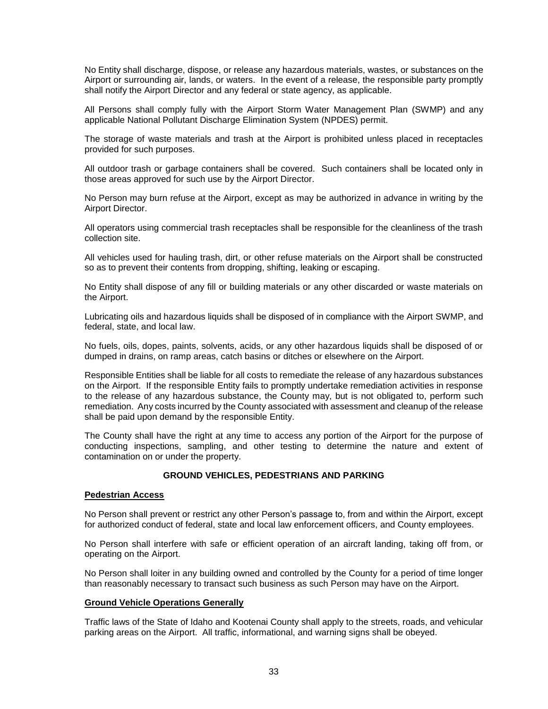No Entity shall discharge, dispose, or release any hazardous materials, wastes, or substances on the Airport or surrounding air, lands, or waters. In the event of a release, the responsible party promptly shall notify the Airport Director and any federal or state agency, as applicable.

All Persons shall comply fully with the Airport Storm Water Management Plan (SWMP) and any applicable National Pollutant Discharge Elimination System (NPDES) permit.

The storage of waste materials and trash at the Airport is prohibited unless placed in receptacles provided for such purposes.

All outdoor trash or garbage containers shall be covered. Such containers shall be located only in those areas approved for such use by the Airport Director.

No Person may burn refuse at the Airport, except as may be authorized in advance in writing by the Airport Director.

All operators using commercial trash receptacles shall be responsible for the cleanliness of the trash collection site.

All vehicles used for hauling trash, dirt, or other refuse materials on the Airport shall be constructed so as to prevent their contents from dropping, shifting, leaking or escaping.

No Entity shall dispose of any fill or building materials or any other discarded or waste materials on the Airport.

Lubricating oils and hazardous liquids shall be disposed of in compliance with the Airport SWMP, and federal, state, and local law.

No fuels, oils, dopes, paints, solvents, acids, or any other hazardous liquids shall be disposed of or dumped in drains, on ramp areas, catch basins or ditches or elsewhere on the Airport.

Responsible Entities shall be liable for all costs to remediate the release of any hazardous substances on the Airport. If the responsible Entity fails to promptly undertake remediation activities in response to the release of any hazardous substance, the County may, but is not obligated to, perform such remediation. Any costs incurred by the County associated with assessment and cleanup of the release shall be paid upon demand by the responsible Entity.

The County shall have the right at any time to access any portion of the Airport for the purpose of conducting inspections, sampling, and other testing to determine the nature and extent of contamination on or under the property.

# **GROUND VEHICLES, PEDESTRIANS AND PARKING**

#### <span id="page-34-1"></span><span id="page-34-0"></span>**Pedestrian Access**

No Person shall prevent or restrict any other Person's passage to, from and within the Airport, except for authorized conduct of federal, state and local law enforcement officers, and County employees.

No Person shall interfere with safe or efficient operation of an aircraft landing, taking off from, or operating on the Airport.

No Person shall loiter in any building owned and controlled by the County for a period of time longer than reasonably necessary to transact such business as such Person may have on the Airport.

#### <span id="page-34-2"></span>**Ground Vehicle Operations Generally**

Traffic laws of the State of Idaho and Kootenai County shall apply to the streets, roads, and vehicular parking areas on the Airport. All traffic, informational, and warning signs shall be obeyed.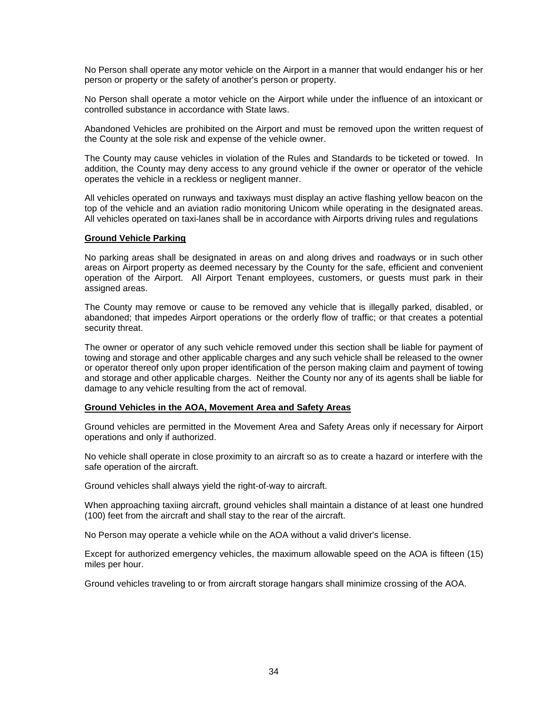No Person shall operate any motor vehicle on the Airport in a manner that would endanger his or her person or property or the safety of another's person or property.

No Person shall operate a motor vehicle on the Airport while under the influence of an intoxicant or controlled substance in accordance with State laws.

Abandoned Vehicles are prohibited on the Airport and must be removed upon the written request of the County at the sole risk and expense of the vehicle owner.

The County may cause vehicles in violation of the Rules and Standards to be ticketed or towed. In addition, the County may deny access to any ground vehicle if the owner or operator of the vehicle operates the vehicle in a reckless or negligent manner.

All vehicles operated on runways and taxiways must display an active flashing yellow beacon on the top of the vehicle and an aviation radio monitoring Unicom while operating in the designated areas. All vehicles operated on taxi-lanes shall be in accordance with Airports driving rules and regulations

#### <span id="page-35-0"></span>**Ground Vehicle Parking**

No parking areas shall be designated in areas on and along drives and roadways or in such other areas on Airport property as deemed necessary by the County for the safe, efficient and convenient operation of the Airport. All Airport Tenant employees, customers, or guests must park in their assigned areas.

The County may remove or cause to be removed any vehicle that is illegally parked, disabled, or abandoned; that impedes Airport operations or the orderly flow of traffic; or that creates a potential security threat.

The owner or operator of any such vehicle removed under this section shall be liable for payment of towing and storage and other applicable charges and any such vehicle shall be released to the owner or operator thereof only upon proper identification of the person making claim and payment of towing and storage and other applicable charges. Neither the County nor any of its agents shall be liable for damage to any vehicle resulting from the act of removal.

#### <span id="page-35-1"></span>**Ground Vehicles in the AOA, Movement Area and Safety Areas**

Ground vehicles are permitted in the Movement Area and Safety Areas only if necessary for Airport operations and only if authorized.

No vehicle shall operate in close proximity to an aircraft so as to create a hazard or interfere with the safe operation of the aircraft.

Ground vehicles shall always yield the right-of-way to aircraft.

When approaching taxiing aircraft, ground vehicles shall maintain a distance of at least one hundred (100) feet from the aircraft and shall stay to the rear of the aircraft.

No Person may operate a vehicle while on the AOA without a valid driver's license.

Except for authorized emergency vehicles, the maximum allowable speed on the AOA is fifteen (15) miles per hour.

Ground vehicles traveling to or from aircraft storage hangars shall minimize crossing of the AOA.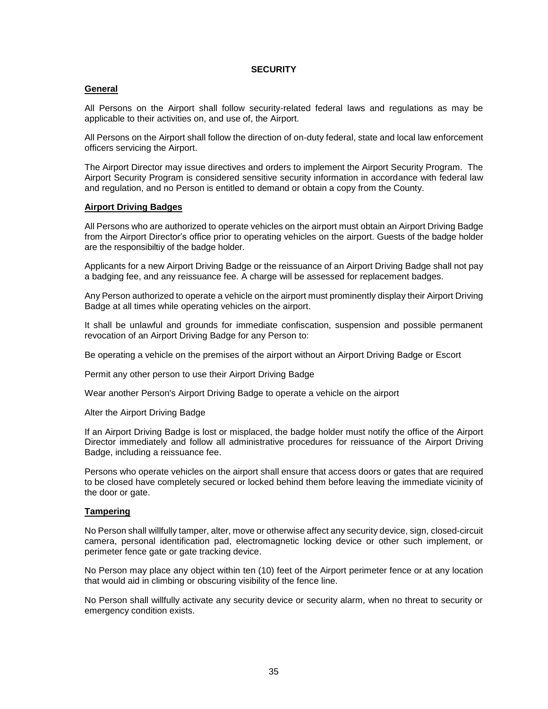# **SECURITY**

# <span id="page-36-1"></span><span id="page-36-0"></span>**General**

All Persons on the Airport shall follow security-related federal laws and regulations as may be applicable to their activities on, and use of, the Airport.

All Persons on the Airport shall follow the direction of on-duty federal, state and local law enforcement officers servicing the Airport.

The Airport Director may issue directives and orders to implement the Airport Security Program. The Airport Security Program is considered sensitive security information in accordance with federal law and regulation, and no Person is entitled to demand or obtain a copy from the County.

# <span id="page-36-2"></span>**Airport Driving Badges**

All Persons who are authorized to operate vehicles on the airport must obtain an Airport Driving Badge from the Airport Director's office prior to operating vehicles on the airport. Guests of the badge holder are the responsibiltiy of the badge holder.

Applicants for a new Airport Driving Badge or the reissuance of an Airport Driving Badge shall not pay a badging fee, and any reissuance fee. A charge will be assessed for replacement badges.

Any Person authorized to operate a vehicle on the airport must prominently display their Airport Driving Badge at all times while operating vehicles on the airport.

It shall be unlawful and grounds for immediate confiscation, suspension and possible permanent revocation of an Airport Driving Badge for any Person to:

Be operating a vehicle on the premises of the airport without an Airport Driving Badge or Escort

Permit any other person to use their Airport Driving Badge

Wear another Person's Airport Driving Badge to operate a vehicle on the airport

Alter the Airport Driving Badge

If an Airport Driving Badge is lost or misplaced, the badge holder must notify the office of the Airport Director immediately and follow all administrative procedures for reissuance of the Airport Driving Badge, including a reissuance fee.

Persons who operate vehicles on the airport shall ensure that access doors or gates that are required to be closed have completely secured or locked behind them before leaving the immediate vicinity of the door or gate.

# <span id="page-36-3"></span>**Tampering**

No Person shall willfully tamper, alter, move or otherwise affect any security device, sign, closed-circuit camera, personal identification pad, electromagnetic locking device or other such implement, or perimeter fence gate or gate tracking device.

No Person may place any object within ten (10) feet of the Airport perimeter fence or at any location that would aid in climbing or obscuring visibility of the fence line.

No Person shall willfully activate any security device or security alarm, when no threat to security or emergency condition exists.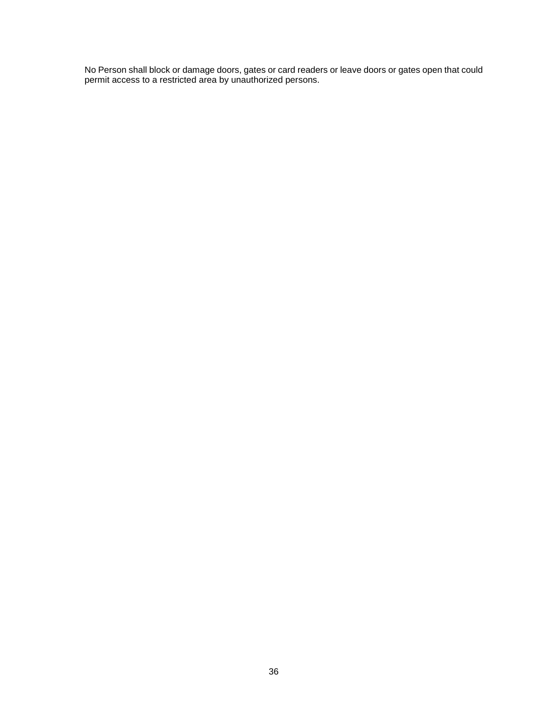No Person shall block or damage doors, gates or card readers or leave doors or gates open that could permit access to a restricted area by unauthorized persons.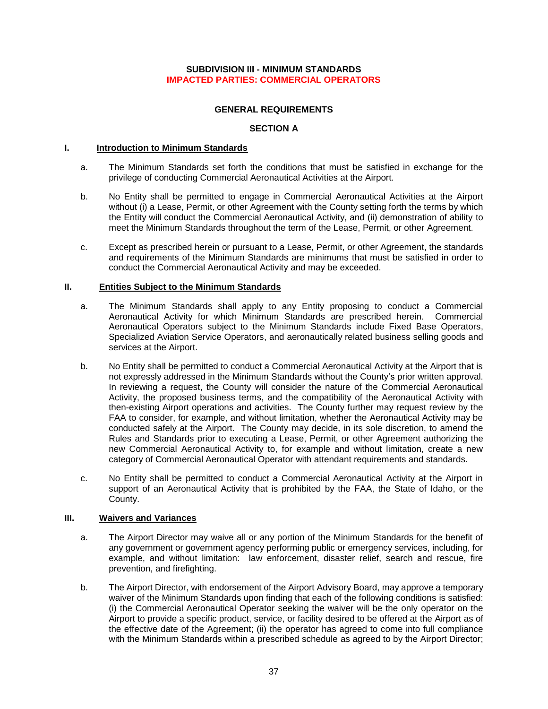# **SUBDIVISION III - MINIMUM STANDARDS IMPACTED PARTIES: COMMERCIAL OPERATORS**

# **GENERAL REQUIREMENTS**

# **SECTION A**

# <span id="page-38-3"></span><span id="page-38-2"></span><span id="page-38-1"></span><span id="page-38-0"></span>**I. Introduction to Minimum Standards**

- a. The Minimum Standards set forth the conditions that must be satisfied in exchange for the privilege of conducting Commercial Aeronautical Activities at the Airport.
- b. No Entity shall be permitted to engage in Commercial Aeronautical Activities at the Airport without (i) a Lease, Permit, or other Agreement with the County setting forth the terms by which the Entity will conduct the Commercial Aeronautical Activity, and (ii) demonstration of ability to meet the Minimum Standards throughout the term of the Lease, Permit, or other Agreement.
- c. Except as prescribed herein or pursuant to a Lease, Permit, or other Agreement, the standards and requirements of the Minimum Standards are minimums that must be satisfied in order to conduct the Commercial Aeronautical Activity and may be exceeded.

# <span id="page-38-4"></span>**II. Entities Subject to the Minimum Standards**

- a. The Minimum Standards shall apply to any Entity proposing to conduct a Commercial Aeronautical Activity for which Minimum Standards are prescribed herein. Commercial Aeronautical Operators subject to the Minimum Standards include Fixed Base Operators, Specialized Aviation Service Operators, and aeronautically related business selling goods and services at the Airport.
- b. No Entity shall be permitted to conduct a Commercial Aeronautical Activity at the Airport that is not expressly addressed in the Minimum Standards without the County's prior written approval. In reviewing a request, the County will consider the nature of the Commercial Aeronautical Activity, the proposed business terms, and the compatibility of the Aeronautical Activity with then-existing Airport operations and activities. The County further may request review by the FAA to consider, for example, and without limitation, whether the Aeronautical Activity may be conducted safely at the Airport. The County may decide, in its sole discretion, to amend the Rules and Standards prior to executing a Lease, Permit, or other Agreement authorizing the new Commercial Aeronautical Activity to, for example and without limitation, create a new category of Commercial Aeronautical Operator with attendant requirements and standards.
- c. No Entity shall be permitted to conduct a Commercial Aeronautical Activity at the Airport in support of an Aeronautical Activity that is prohibited by the FAA, the State of Idaho, or the County.

# <span id="page-38-5"></span>**III. Waivers and Variances**

- a. The Airport Director may waive all or any portion of the Minimum Standards for the benefit of any government or government agency performing public or emergency services, including, for example, and without limitation: law enforcement, disaster relief, search and rescue, fire prevention, and firefighting.
- b. The Airport Director, with endorsement of the Airport Advisory Board, may approve a temporary waiver of the Minimum Standards upon finding that each of the following conditions is satisfied: (i) the Commercial Aeronautical Operator seeking the waiver will be the only operator on the Airport to provide a specific product, service, or facility desired to be offered at the Airport as of the effective date of the Agreement; (ii) the operator has agreed to come into full compliance with the Minimum Standards within a prescribed schedule as agreed to by the Airport Director;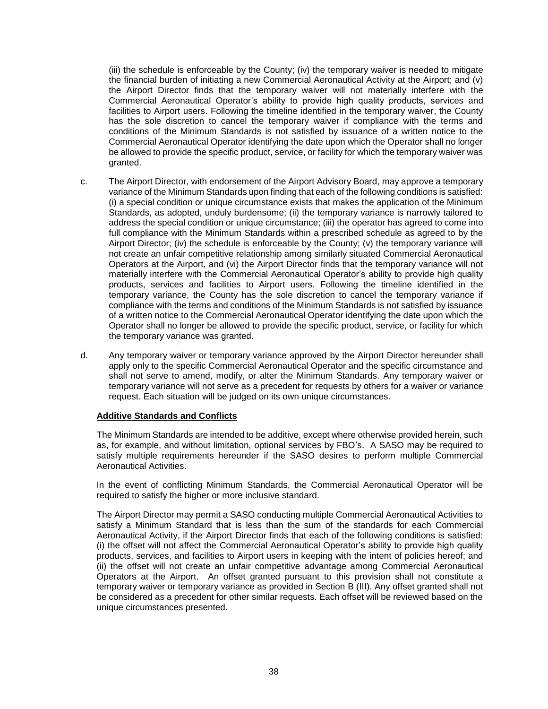(iii) the schedule is enforceable by the County; (iv) the temporary waiver is needed to mitigate the financial burden of initiating a new Commercial Aeronautical Activity at the Airport; and (v) the Airport Director finds that the temporary waiver will not materially interfere with the Commercial Aeronautical Operator's ability to provide high quality products, services and facilities to Airport users. Following the timeline identified in the temporary waiver, the County has the sole discretion to cancel the temporary waiver if compliance with the terms and conditions of the Minimum Standards is not satisfied by issuance of a written notice to the Commercial Aeronautical Operator identifying the date upon which the Operator shall no longer be allowed to provide the specific product, service, or facility for which the temporary waiver was granted.

- c. The Airport Director, with endorsement of the Airport Advisory Board, may approve a temporary variance of the Minimum Standards upon finding that each of the following conditions is satisfied: (i) a special condition or unique circumstance exists that makes the application of the Minimum Standards, as adopted, unduly burdensome; (ii) the temporary variance is narrowly tailored to address the special condition or unique circumstance; (iii) the operator has agreed to come into full compliance with the Minimum Standards within a prescribed schedule as agreed to by the Airport Director; (iv) the schedule is enforceable by the County; (v) the temporary variance will not create an unfair competitive relationship among similarly situated Commercial Aeronautical Operators at the Airport, and (vi) the Airport Director finds that the temporary variance will not materially interfere with the Commercial Aeronautical Operator's ability to provide high quality products, services and facilities to Airport users. Following the timeline identified in the temporary variance, the County has the sole discretion to cancel the temporary variance if compliance with the terms and conditions of the Minimum Standards is not satisfied by issuance of a written notice to the Commercial Aeronautical Operator identifying the date upon which the Operator shall no longer be allowed to provide the specific product, service, or facility for which the temporary variance was granted.
- d. Any temporary waiver or temporary variance approved by the Airport Director hereunder shall apply only to the specific Commercial Aeronautical Operator and the specific circumstance and shall not serve to amend, modify, or alter the Minimum Standards. Any temporary waiver or temporary variance will not serve as a precedent for requests by others for a waiver or variance request. Each situation will be judged on its own unique circumstances.

# <span id="page-39-0"></span>**Additive Standards and Conflicts**

The Minimum Standards are intended to be additive, except where otherwise provided herein, such as, for example, and without limitation, optional services by FBO's. A SASO may be required to satisfy multiple requirements hereunder if the SASO desires to perform multiple Commercial Aeronautical Activities.

In the event of conflicting Minimum Standards, the Commercial Aeronautical Operator will be required to satisfy the higher or more inclusive standard.

The Airport Director may permit a SASO conducting multiple Commercial Aeronautical Activities to satisfy a Minimum Standard that is less than the sum of the standards for each Commercial Aeronautical Activity, if the Airport Director finds that each of the following conditions is satisfied: (i) the offset will not affect the Commercial Aeronautical Operator's ability to provide high quality products, services, and facilities to Airport users in keeping with the intent of policies hereof; and (ii) the offset will not create an unfair competitive advantage among Commercial Aeronautical Operators at the Airport. An offset granted pursuant to this provision shall not constitute a temporary waiver or temporary variance as provided in Section B (III). Any offset granted shall not be considered as a precedent for other similar requests. Each offset will be reviewed based on the unique circumstances presented.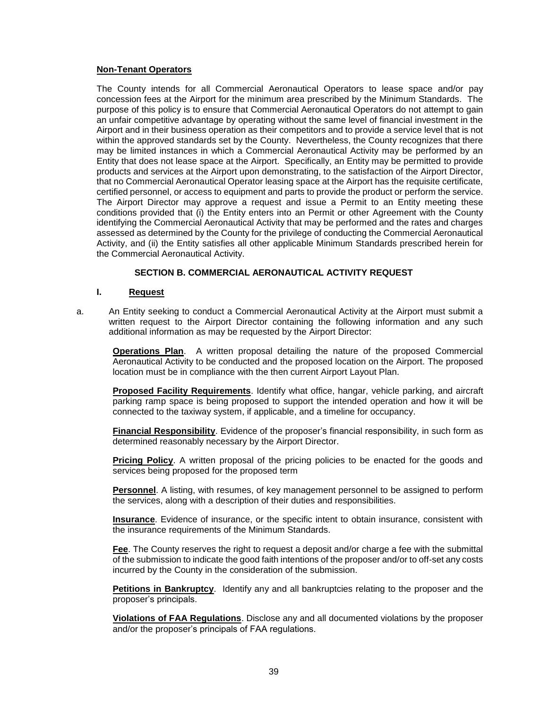# <span id="page-40-0"></span>**Non-Tenant Operators**

The County intends for all Commercial Aeronautical Operators to lease space and/or pay concession fees at the Airport for the minimum area prescribed by the Minimum Standards. The purpose of this policy is to ensure that Commercial Aeronautical Operators do not attempt to gain an unfair competitive advantage by operating without the same level of financial investment in the Airport and in their business operation as their competitors and to provide a service level that is not within the approved standards set by the County. Nevertheless, the County recognizes that there may be limited instances in which a Commercial Aeronautical Activity may be performed by an Entity that does not lease space at the Airport. Specifically, an Entity may be permitted to provide products and services at the Airport upon demonstrating, to the satisfaction of the Airport Director, that no Commercial Aeronautical Operator leasing space at the Airport has the requisite certificate, certified personnel, or access to equipment and parts to provide the product or perform the service. The Airport Director may approve a request and issue a Permit to an Entity meeting these conditions provided that (i) the Entity enters into an Permit or other Agreement with the County identifying the Commercial Aeronautical Activity that may be performed and the rates and charges assessed as determined by the County for the privilege of conducting the Commercial Aeronautical Activity, and (ii) the Entity satisfies all other applicable Minimum Standards prescribed herein for the Commercial Aeronautical Activity.

# **SECTION B. COMMERCIAL AERONAUTICAL ACTIVITY REQUEST**

# <span id="page-40-1"></span>**I. Request**

<span id="page-40-2"></span>a. An Entity seeking to conduct a Commercial Aeronautical Activity at the Airport must submit a written request to the Airport Director containing the following information and any such additional information as may be requested by the Airport Director:

**Operations Plan**. A written proposal detailing the nature of the proposed Commercial Aeronautical Activity to be conducted and the proposed location on the Airport. The proposed location must be in compliance with the then current Airport Layout Plan.

**Proposed Facility Requirements**. Identify what office, hangar, vehicle parking, and aircraft parking ramp space is being proposed to support the intended operation and how it will be connected to the taxiway system, if applicable, and a timeline for occupancy.

**Financial Responsibility**. Evidence of the proposer's financial responsibility, in such form as determined reasonably necessary by the Airport Director.

**Pricing Policy**. A written proposal of the pricing policies to be enacted for the goods and services being proposed for the proposed term

**Personnel**. A listing, with resumes, of key management personnel to be assigned to perform the services, along with a description of their duties and responsibilities.

**Insurance**. Evidence of insurance, or the specific intent to obtain insurance, consistent with the insurance requirements of the Minimum Standards.

**Fee**. The County reserves the right to request a deposit and/or charge a fee with the submittal of the submission to indicate the good faith intentions of the proposer and/or to off-set any costs incurred by the County in the consideration of the submission.

**Petitions in Bankruptcy**. Identify any and all bankruptcies relating to the proposer and the proposer's principals.

**Violations of FAA Regulations**. Disclose any and all documented violations by the proposer and/or the proposer's principals of FAA regulations.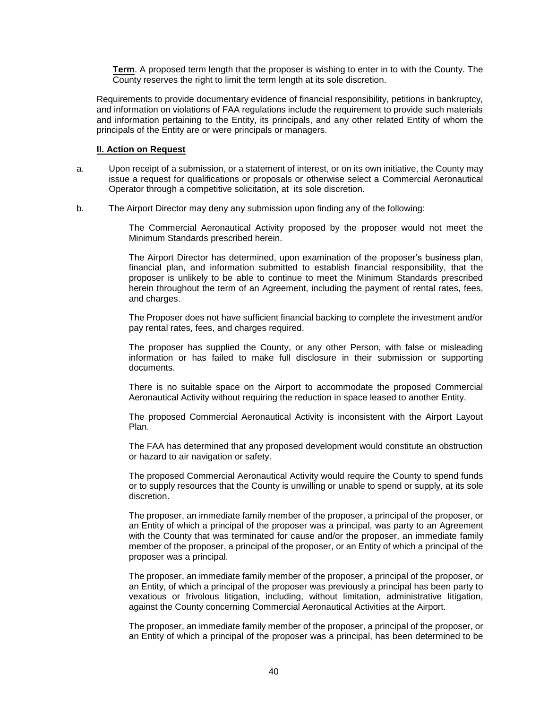**Term**. A proposed term length that the proposer is wishing to enter in to with the County. The County reserves the right to limit the term length at its sole discretion.

Requirements to provide documentary evidence of financial responsibility, petitions in bankruptcy, and information on violations of FAA regulations include the requirement to provide such materials and information pertaining to the Entity, its principals, and any other related Entity of whom the principals of the Entity are or were principals or managers.

#### **II. Action on Request**

- <span id="page-41-0"></span>a. Upon receipt of a submission, or a statement of interest, or on its own initiative, the County may issue a request for qualifications or proposals or otherwise select a Commercial Aeronautical Operator through a competitive solicitation, at its sole discretion.
- b. The Airport Director may deny any submission upon finding any of the following:

The Commercial Aeronautical Activity proposed by the proposer would not meet the Minimum Standards prescribed herein.

The Airport Director has determined, upon examination of the proposer's business plan, financial plan, and information submitted to establish financial responsibility, that the proposer is unlikely to be able to continue to meet the Minimum Standards prescribed herein throughout the term of an Agreement, including the payment of rental rates, fees, and charges.

The Proposer does not have sufficient financial backing to complete the investment and/or pay rental rates, fees, and charges required.

The proposer has supplied the County, or any other Person, with false or misleading information or has failed to make full disclosure in their submission or supporting documents.

There is no suitable space on the Airport to accommodate the proposed Commercial Aeronautical Activity without requiring the reduction in space leased to another Entity.

The proposed Commercial Aeronautical Activity is inconsistent with the Airport Layout Plan.

The FAA has determined that any proposed development would constitute an obstruction or hazard to air navigation or safety.

The proposed Commercial Aeronautical Activity would require the County to spend funds or to supply resources that the County is unwilling or unable to spend or supply, at its sole discretion.

The proposer, an immediate family member of the proposer, a principal of the proposer, or an Entity of which a principal of the proposer was a principal, was party to an Agreement with the County that was terminated for cause and/or the proposer, an immediate family member of the proposer, a principal of the proposer, or an Entity of which a principal of the proposer was a principal.

The proposer, an immediate family member of the proposer, a principal of the proposer, or an Entity, of which a principal of the proposer was previously a principal has been party to vexatious or frivolous litigation, including, without limitation, administrative litigation, against the County concerning Commercial Aeronautical Activities at the Airport.

The proposer, an immediate family member of the proposer, a principal of the proposer, or an Entity of which a principal of the proposer was a principal, has been determined to be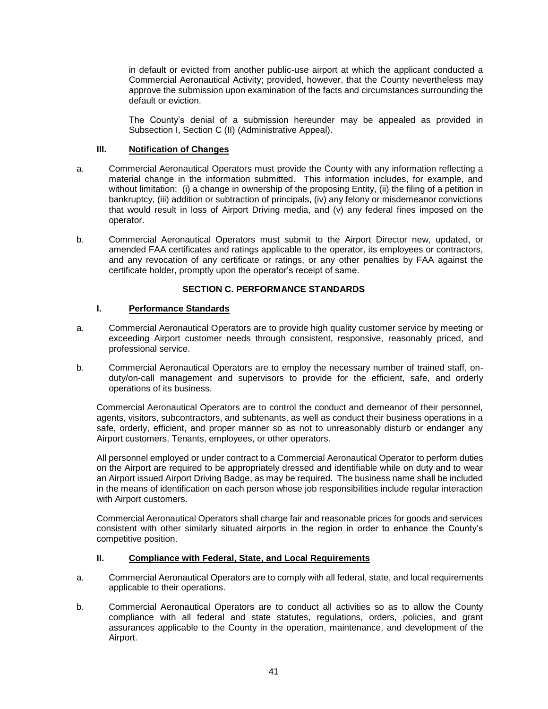in default or evicted from another public-use airport at which the applicant conducted a Commercial Aeronautical Activity; provided, however, that the County nevertheless may approve the submission upon examination of the facts and circumstances surrounding the default or eviction.

The County's denial of a submission hereunder may be appealed as provided in Subsection I, Section C (II) (Administrative Appeal).

# **III. Notification of Changes**

- <span id="page-42-0"></span>a. Commercial Aeronautical Operators must provide the County with any information reflecting a material change in the information submitted. This information includes, for example, and without limitation: (i) a change in ownership of the proposing Entity, (ii) the filing of a petition in bankruptcy, (iii) addition or subtraction of principals, (iv) any felony or misdemeanor convictions that would result in loss of Airport Driving media, and (v) any federal fines imposed on the operator.
- b. Commercial Aeronautical Operators must submit to the Airport Director new, updated, or amended FAA certificates and ratings applicable to the operator, its employees or contractors, and any revocation of any certificate or ratings, or any other penalties by FAA against the certificate holder, promptly upon the operator's receipt of same.

# **SECTION C. PERFORMANCE STANDARDS**

# <span id="page-42-1"></span>**I. Performance Standards**

- <span id="page-42-2"></span>a. Commercial Aeronautical Operators are to provide high quality customer service by meeting or exceeding Airport customer needs through consistent, responsive, reasonably priced, and professional service.
- b. Commercial Aeronautical Operators are to employ the necessary number of trained staff, onduty/on-call management and supervisors to provide for the efficient, safe, and orderly operations of its business.

Commercial Aeronautical Operators are to control the conduct and demeanor of their personnel, agents, visitors, subcontractors, and subtenants, as well as conduct their business operations in a safe, orderly, efficient, and proper manner so as not to unreasonably disturb or endanger any Airport customers, Tenants, employees, or other operators.

All personnel employed or under contract to a Commercial Aeronautical Operator to perform duties on the Airport are required to be appropriately dressed and identifiable while on duty and to wear an Airport issued Airport Driving Badge, as may be required. The business name shall be included in the means of identification on each person whose job responsibilities include regular interaction with Airport customers.

Commercial Aeronautical Operators shall charge fair and reasonable prices for goods and services consistent with other similarly situated airports in the region in order to enhance the County's competitive position.

# **II. Compliance with Federal, State, and Local Requirements**

- <span id="page-42-3"></span>a. Commercial Aeronautical Operators are to comply with all federal, state, and local requirements applicable to their operations.
- b. Commercial Aeronautical Operators are to conduct all activities so as to allow the County compliance with all federal and state statutes, regulations, orders, policies, and grant assurances applicable to the County in the operation, maintenance, and development of the Airport.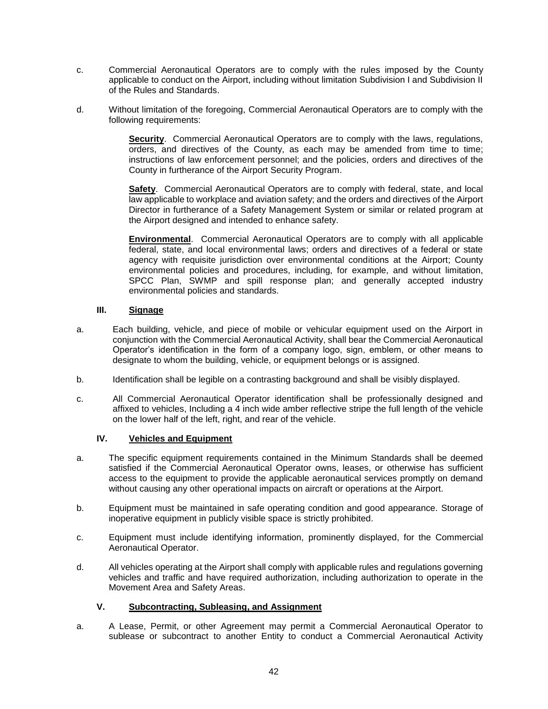- c. Commercial Aeronautical Operators are to comply with the rules imposed by the County applicable to conduct on the Airport, including without limitation Subdivision I and Subdivision II of the Rules and Standards.
- d. Without limitation of the foregoing, Commercial Aeronautical Operators are to comply with the following requirements:

**Security**. Commercial Aeronautical Operators are to comply with the laws, regulations, orders, and directives of the County, as each may be amended from time to time; instructions of law enforcement personnel; and the policies, orders and directives of the County in furtherance of the Airport Security Program.

**Safety**. Commercial Aeronautical Operators are to comply with federal, state, and local law applicable to workplace and aviation safety; and the orders and directives of the Airport Director in furtherance of a Safety Management System or similar or related program at the Airport designed and intended to enhance safety.

**Environmental**. Commercial Aeronautical Operators are to comply with all applicable federal, state, and local environmental laws; orders and directives of a federal or state agency with requisite jurisdiction over environmental conditions at the Airport; County environmental policies and procedures, including, for example, and without limitation, SPCC Plan, SWMP and spill response plan; and generally accepted industry environmental policies and standards.

# **III. Signage**

- <span id="page-43-0"></span>a. Each building, vehicle, and piece of mobile or vehicular equipment used on the Airport in conjunction with the Commercial Aeronautical Activity, shall bear the Commercial Aeronautical Operator's identification in the form of a company logo, sign, emblem, or other means to designate to whom the building, vehicle, or equipment belongs or is assigned.
- b. Identification shall be legible on a contrasting background and shall be visibly displayed.
- c. All Commercial Aeronautical Operator identification shall be professionally designed and affixed to vehicles, Including a 4 inch wide amber reflective stripe the full length of the vehicle on the lower half of the left, right, and rear of the vehicle.

# **IV. Vehicles and Equipment**

- <span id="page-43-1"></span>a. The specific equipment requirements contained in the Minimum Standards shall be deemed satisfied if the Commercial Aeronautical Operator owns, leases, or otherwise has sufficient access to the equipment to provide the applicable aeronautical services promptly on demand without causing any other operational impacts on aircraft or operations at the Airport.
- b. Equipment must be maintained in safe operating condition and good appearance. Storage of inoperative equipment in publicly visible space is strictly prohibited.
- c. Equipment must include identifying information, prominently displayed, for the Commercial Aeronautical Operator.
- d. All vehicles operating at the Airport shall comply with applicable rules and regulations governing vehicles and traffic and have required authorization, including authorization to operate in the Movement Area and Safety Areas.

# **V. Subcontracting, Subleasing, and Assignment**

<span id="page-43-2"></span>a. A Lease, Permit, or other Agreement may permit a Commercial Aeronautical Operator to sublease or subcontract to another Entity to conduct a Commercial Aeronautical Activity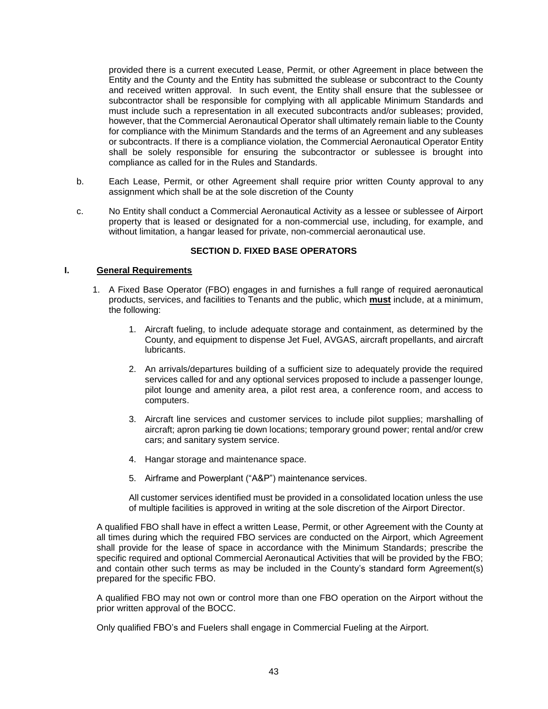provided there is a current executed Lease, Permit, or other Agreement in place between the Entity and the County and the Entity has submitted the sublease or subcontract to the County and received written approval. In such event, the Entity shall ensure that the sublessee or subcontractor shall be responsible for complying with all applicable Minimum Standards and must include such a representation in all executed subcontracts and/or subleases; provided, however, that the Commercial Aeronautical Operator shall ultimately remain liable to the County for compliance with the Minimum Standards and the terms of an Agreement and any subleases or subcontracts. If there is a compliance violation, the Commercial Aeronautical Operator Entity shall be solely responsible for ensuring the subcontractor or sublessee is brought into compliance as called for in the Rules and Standards.

- b. Each Lease, Permit, or other Agreement shall require prior written County approval to any assignment which shall be at the sole discretion of the County
- c. No Entity shall conduct a Commercial Aeronautical Activity as a lessee or sublessee of Airport property that is leased or designated for a non-commercial use, including, for example, and without limitation, a hangar leased for private, non-commercial aeronautical use.

# **SECTION D. FIXED BASE OPERATORS**

#### <span id="page-44-1"></span><span id="page-44-0"></span>**I. General Requirements**

- 1. A Fixed Base Operator (FBO) engages in and furnishes a full range of required aeronautical products, services, and facilities to Tenants and the public, which **must** include, at a minimum, the following:
	- 1. Aircraft fueling, to include adequate storage and containment, as determined by the County, and equipment to dispense Jet Fuel, AVGAS, aircraft propellants, and aircraft lubricants.
	- 2. An arrivals/departures building of a sufficient size to adequately provide the required services called for and any optional services proposed to include a passenger lounge, pilot lounge and amenity area, a pilot rest area, a conference room, and access to computers.
	- 3. Aircraft line services and customer services to include pilot supplies; marshalling of aircraft; apron parking tie down locations; temporary ground power; rental and/or crew cars; and sanitary system service.
	- 4. Hangar storage and maintenance space.
	- 5. Airframe and Powerplant ("A&P") maintenance services.

All customer services identified must be provided in a consolidated location unless the use of multiple facilities is approved in writing at the sole discretion of the Airport Director.

A qualified FBO shall have in effect a written Lease, Permit, or other Agreement with the County at all times during which the required FBO services are conducted on the Airport, which Agreement shall provide for the lease of space in accordance with the Minimum Standards; prescribe the specific required and optional Commercial Aeronautical Activities that will be provided by the FBO; and contain other such terms as may be included in the County's standard form Agreement(s) prepared for the specific FBO.

A qualified FBO may not own or control more than one FBO operation on the Airport without the prior written approval of the BOCC.

Only qualified FBO's and Fuelers shall engage in Commercial Fueling at the Airport.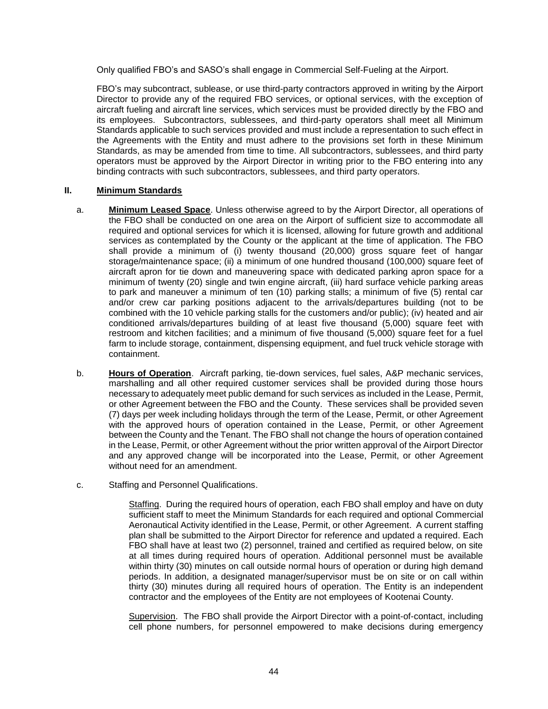Only qualified FBO's and SASO's shall engage in Commercial Self-Fueling at the Airport.

FBO's may subcontract, sublease, or use third-party contractors approved in writing by the Airport Director to provide any of the required FBO services, or optional services, with the exception of aircraft fueling and aircraft line services, which services must be provided directly by the FBO and its employees. Subcontractors, sublessees, and third-party operators shall meet all Minimum Standards applicable to such services provided and must include a representation to such effect in the Agreements with the Entity and must adhere to the provisions set forth in these Minimum Standards, as may be amended from time to time. All subcontractors, sublessees, and third party operators must be approved by the Airport Director in writing prior to the FBO entering into any binding contracts with such subcontractors, sublessees, and third party operators.

# <span id="page-45-0"></span>**II. Minimum Standards**

- a. **Minimum Leased Space**. Unless otherwise agreed to by the Airport Director, all operations of the FBO shall be conducted on one area on the Airport of sufficient size to accommodate all required and optional services for which it is licensed, allowing for future growth and additional services as contemplated by the County or the applicant at the time of application. The FBO shall provide a minimum of (i) twenty thousand (20,000) gross square feet of hangar storage/maintenance space; (ii) a minimum of one hundred thousand (100,000) square feet of aircraft apron for tie down and maneuvering space with dedicated parking apron space for a minimum of twenty (20) single and twin engine aircraft, (iii) hard surface vehicle parking areas to park and maneuver a minimum of ten (10) parking stalls; a minimum of five (5) rental car and/or crew car parking positions adjacent to the arrivals/departures building (not to be combined with the 10 vehicle parking stalls for the customers and/or public); (iv) heated and air conditioned arrivals/departures building of at least five thousand (5,000) square feet with restroom and kitchen facilities; and a minimum of five thousand (5,000) square feet for a fuel farm to include storage, containment, dispensing equipment, and fuel truck vehicle storage with containment.
- b. **Hours of Operation**. Aircraft parking, tie-down services, fuel sales, A&P mechanic services, marshalling and all other required customer services shall be provided during those hours necessary to adequately meet public demand for such services as included in the Lease, Permit, or other Agreement between the FBO and the County. These services shall be provided seven (7) days per week including holidays through the term of the Lease, Permit, or other Agreement with the approved hours of operation contained in the Lease, Permit, or other Agreement between the County and the Tenant. The FBO shall not change the hours of operation contained in the Lease, Permit, or other Agreement without the prior written approval of the Airport Director and any approved change will be incorporated into the Lease, Permit, or other Agreement without need for an amendment.
- c. Staffing and Personnel Qualifications.

Staffing. During the required hours of operation, each FBO shall employ and have on duty sufficient staff to meet the Minimum Standards for each required and optional Commercial Aeronautical Activity identified in the Lease, Permit, or other Agreement. A current staffing plan shall be submitted to the Airport Director for reference and updated a required. Each FBO shall have at least two (2) personnel, trained and certified as required below, on site at all times during required hours of operation. Additional personnel must be available within thirty (30) minutes on call outside normal hours of operation or during high demand periods. In addition, a designated manager/supervisor must be on site or on call within thirty (30) minutes during all required hours of operation. The Entity is an independent contractor and the employees of the Entity are not employees of Kootenai County.

Supervision. The FBO shall provide the Airport Director with a point-of-contact, including cell phone numbers, for personnel empowered to make decisions during emergency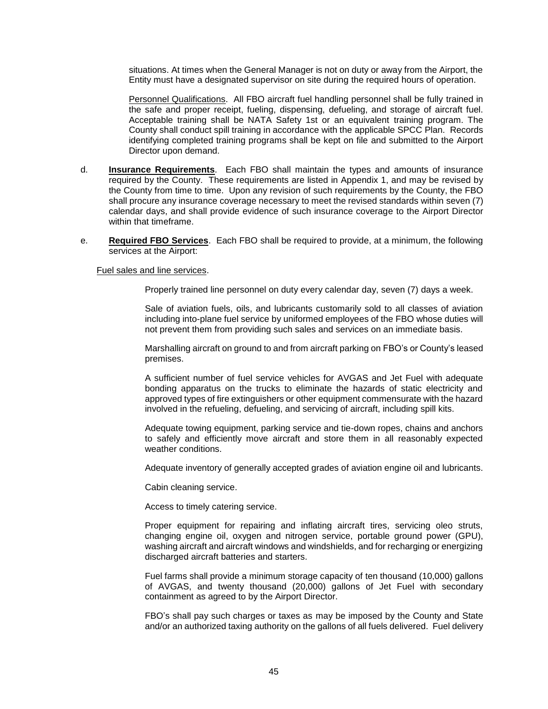situations. At times when the General Manager is not on duty or away from the Airport, the Entity must have a designated supervisor on site during the required hours of operation.

Personnel Qualifications. All FBO aircraft fuel handling personnel shall be fully trained in the safe and proper receipt, fueling, dispensing, defueling, and storage of aircraft fuel. Acceptable training shall be NATA Safety 1st or an equivalent training program. The County shall conduct spill training in accordance with the applicable SPCC Plan. Records identifying completed training programs shall be kept on file and submitted to the Airport Director upon demand.

- d. **Insurance Requirements**. Each FBO shall maintain the types and amounts of insurance required by the County. These requirements are listed in Appendix 1, and may be revised by the County from time to time. Upon any revision of such requirements by the County, the FBO shall procure any insurance coverage necessary to meet the revised standards within seven (7) calendar days, and shall provide evidence of such insurance coverage to the Airport Director within that timeframe.
- e. **Required FBO Services**. Each FBO shall be required to provide, at a minimum, the following services at the Airport:

#### Fuel sales and line services.

Properly trained line personnel on duty every calendar day, seven (7) days a week.

Sale of aviation fuels, oils, and lubricants customarily sold to all classes of aviation including into-plane fuel service by uniformed employees of the FBO whose duties will not prevent them from providing such sales and services on an immediate basis.

Marshalling aircraft on ground to and from aircraft parking on FBO's or County's leased premises.

A sufficient number of fuel service vehicles for AVGAS and Jet Fuel with adequate bonding apparatus on the trucks to eliminate the hazards of static electricity and approved types of fire extinguishers or other equipment commensurate with the hazard involved in the refueling, defueling, and servicing of aircraft, including spill kits.

Adequate towing equipment, parking service and tie-down ropes, chains and anchors to safely and efficiently move aircraft and store them in all reasonably expected weather conditions.

Adequate inventory of generally accepted grades of aviation engine oil and lubricants.

Cabin cleaning service.

Access to timely catering service.

Proper equipment for repairing and inflating aircraft tires, servicing oleo struts, changing engine oil, oxygen and nitrogen service, portable ground power (GPU), washing aircraft and aircraft windows and windshields, and for recharging or energizing discharged aircraft batteries and starters.

Fuel farms shall provide a minimum storage capacity of ten thousand (10,000) gallons of AVGAS, and twenty thousand (20,000) gallons of Jet Fuel with secondary containment as agreed to by the Airport Director.

FBO's shall pay such charges or taxes as may be imposed by the County and State and/or an authorized taxing authority on the gallons of all fuels delivered. Fuel delivery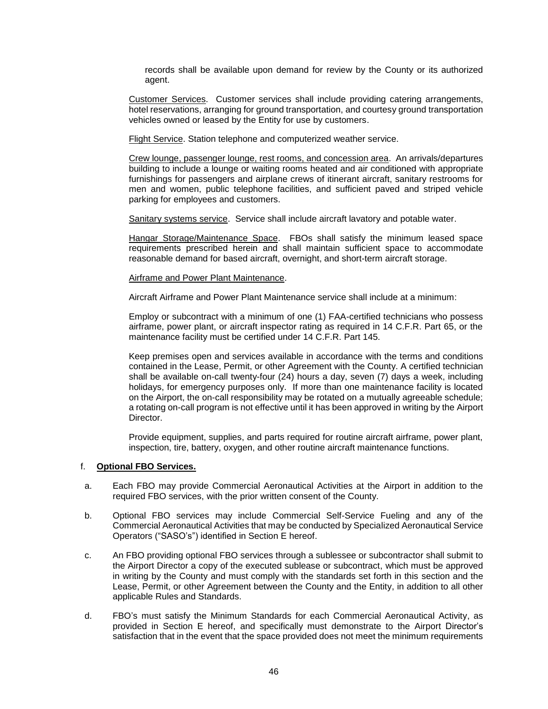records shall be available upon demand for review by the County or its authorized agent.

Customer Services. Customer services shall include providing catering arrangements, hotel reservations, arranging for ground transportation, and courtesy ground transportation vehicles owned or leased by the Entity for use by customers.

Flight Service. Station telephone and computerized weather service.

Crew lounge, passenger lounge, rest rooms, and concession area. An arrivals/departures building to include a lounge or waiting rooms heated and air conditioned with appropriate furnishings for passengers and airplane crews of itinerant aircraft, sanitary restrooms for men and women, public telephone facilities, and sufficient paved and striped vehicle parking for employees and customers.

Sanitary systems service. Service shall include aircraft lavatory and potable water.

Hangar Storage/Maintenance Space. FBOs shall satisfy the minimum leased space requirements prescribed herein and shall maintain sufficient space to accommodate reasonable demand for based aircraft, overnight, and short-term aircraft storage.

#### Airframe and Power Plant Maintenance.

Aircraft Airframe and Power Plant Maintenance service shall include at a minimum:

Employ or subcontract with a minimum of one (1) FAA-certified technicians who possess airframe, power plant, or aircraft inspector rating as required in 14 C.F.R. Part 65, or the maintenance facility must be certified under 14 C.F.R. Part 145.

Keep premises open and services available in accordance with the terms and conditions contained in the Lease, Permit, or other Agreement with the County. A certified technician shall be available on-call twenty-four (24) hours a day, seven (7) days a week, including holidays, for emergency purposes only. If more than one maintenance facility is located on the Airport, the on-call responsibility may be rotated on a mutually agreeable schedule; a rotating on-call program is not effective until it has been approved in writing by the Airport Director.

Provide equipment, supplies, and parts required for routine aircraft airframe, power plant, inspection, tire, battery, oxygen, and other routine aircraft maintenance functions.

#### f. **Optional FBO Services.**

- a. Each FBO may provide Commercial Aeronautical Activities at the Airport in addition to the required FBO services, with the prior written consent of the County.
- b. Optional FBO services may include Commercial Self-Service Fueling and any of the Commercial Aeronautical Activities that may be conducted by Specialized Aeronautical Service Operators ("SASO's") identified in Section E hereof.
- c. An FBO providing optional FBO services through a sublessee or subcontractor shall submit to the Airport Director a copy of the executed sublease or subcontract, which must be approved in writing by the County and must comply with the standards set forth in this section and the Lease, Permit, or other Agreement between the County and the Entity, in addition to all other applicable Rules and Standards.
- d. FBO's must satisfy the Minimum Standards for each Commercial Aeronautical Activity, as provided in Section E hereof, and specifically must demonstrate to the Airport Director's satisfaction that in the event that the space provided does not meet the minimum requirements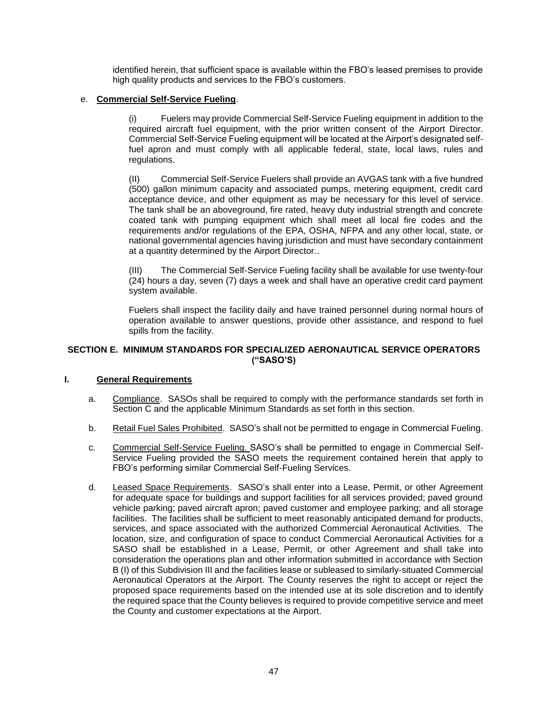identified herein, that sufficient space is available within the FBO's leased premises to provide high quality products and services to the FBO's customers.

# e. **Commercial Self-Service Fueling**.

(i) Fuelers may provide Commercial Self-Service Fueling equipment in addition to the required aircraft fuel equipment, with the prior written consent of the Airport Director. Commercial Self-Service Fueling equipment will be located at the Airport's designated selffuel apron and must comply with all applicable federal, state, local laws, rules and regulations.

(II) Commercial Self-Service Fuelers shall provide an AVGAS tank with a five hundred (500) gallon minimum capacity and associated pumps, metering equipment, credit card acceptance device, and other equipment as may be necessary for this level of service. The tank shall be an aboveground, fire rated, heavy duty industrial strength and concrete coated tank with pumping equipment which shall meet all local fire codes and the requirements and/or regulations of the EPA, OSHA, NFPA and any other local, state, or national governmental agencies having jurisdiction and must have secondary containment at a quantity determined by the Airport Director..

(III) The Commercial Self-Service Fueling facility shall be available for use twenty-four (24) hours a day, seven (7) days a week and shall have an operative credit card payment system available.

Fuelers shall inspect the facility daily and have trained personnel during normal hours of operation available to answer questions, provide other assistance, and respond to fuel spills from the facility.

# <span id="page-48-0"></span>**SECTION E. MINIMUM STANDARDS FOR SPECIALIZED AERONAUTICAL SERVICE OPERATORS ("SASO'S)**

# <span id="page-48-1"></span>**I. General Requirements**

- a. Compliance. SASOs shall be required to comply with the performance standards set forth in Section C and the applicable Minimum Standards as set forth in this section.
- b. Retail Fuel Sales Prohibited. SASO's shall not be permitted to engage in Commercial Fueling.
- c. Commercial Self-Service Fueling. SASO's shall be permitted to engage in Commercial Self-Service Fueling provided the SASO meets the requirement contained herein that apply to FBO's performing similar Commercial Self-Fueling Services.
- d. Leased Space Requirements. SASO's shall enter into a Lease, Permit, or other Agreement for adequate space for buildings and support facilities for all services provided; paved ground vehicle parking; paved aircraft apron; paved customer and employee parking; and all storage facilities. The facilities shall be sufficient to meet reasonably anticipated demand for products, services, and space associated with the authorized Commercial Aeronautical Activities. The location, size, and configuration of space to conduct Commercial Aeronautical Activities for a SASO shall be established in a Lease, Permit, or other Agreement and shall take into consideration the operations plan and other information submitted in accordance with Section B (I) of this Subdivision III and the facilities lease or subleased to similarly-situated Commercial Aeronautical Operators at the Airport. The County reserves the right to accept or reject the proposed space requirements based on the intended use at its sole discretion and to identify the required space that the County believes is required to provide competitive service and meet the County and customer expectations at the Airport.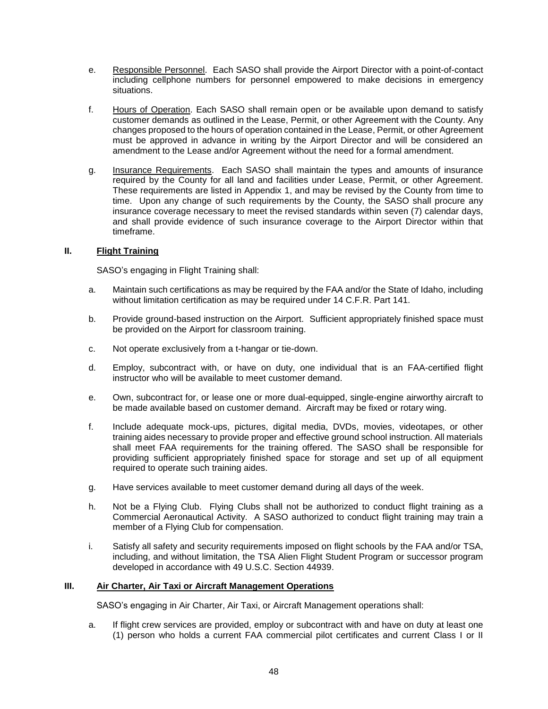- e. Responsible Personnel. Each SASO shall provide the Airport Director with a point-of-contact including cellphone numbers for personnel empowered to make decisions in emergency situations.
- f. Hours of Operation. Each SASO shall remain open or be available upon demand to satisfy customer demands as outlined in the Lease, Permit, or other Agreement with the County. Any changes proposed to the hours of operation contained in the Lease, Permit, or other Agreement must be approved in advance in writing by the Airport Director and will be considered an amendment to the Lease and/or Agreement without the need for a formal amendment.
- g. Insurance Requirements. Each SASO shall maintain the types and amounts of insurance required by the County for all land and facilities under Lease, Permit, or other Agreement. These requirements are listed in Appendix 1, and may be revised by the County from time to time. Upon any change of such requirements by the County, the SASO shall procure any insurance coverage necessary to meet the revised standards within seven (7) calendar days, and shall provide evidence of such insurance coverage to the Airport Director within that timeframe.

# <span id="page-49-0"></span>**II. Flight Training**

SASO's engaging in Flight Training shall:

- a. Maintain such certifications as may be required by the FAA and/or the State of Idaho, including without limitation certification as may be required under 14 C.F.R. Part 141.
- b. Provide ground-based instruction on the Airport. Sufficient appropriately finished space must be provided on the Airport for classroom training.
- c. Not operate exclusively from a t-hangar or tie-down.
- d. Employ, subcontract with, or have on duty, one individual that is an FAA-certified flight instructor who will be available to meet customer demand.
- e. Own, subcontract for, or lease one or more dual-equipped, single-engine airworthy aircraft to be made available based on customer demand. Aircraft may be fixed or rotary wing.
- f. Include adequate mock-ups, pictures, digital media, DVDs, movies, videotapes, or other training aides necessary to provide proper and effective ground school instruction. All materials shall meet FAA requirements for the training offered. The SASO shall be responsible for providing sufficient appropriately finished space for storage and set up of all equipment required to operate such training aides.
- g. Have services available to meet customer demand during all days of the week.
- h. Not be a Flying Club. Flying Clubs shall not be authorized to conduct flight training as a Commercial Aeronautical Activity. A SASO authorized to conduct flight training may train a member of a Flying Club for compensation.
- i. Satisfy all safety and security requirements imposed on flight schools by the FAA and/or TSA, including, and without limitation, the TSA Alien Flight Student Program or successor program developed in accordance with 49 U.S.C. Section 44939.

# <span id="page-49-1"></span>**III. Air Charter, Air Taxi or Aircraft Management Operations**

SASO's engaging in Air Charter, Air Taxi, or Aircraft Management operations shall:

a. If flight crew services are provided, employ or subcontract with and have on duty at least one (1) person who holds a current FAA commercial pilot certificates and current Class I or II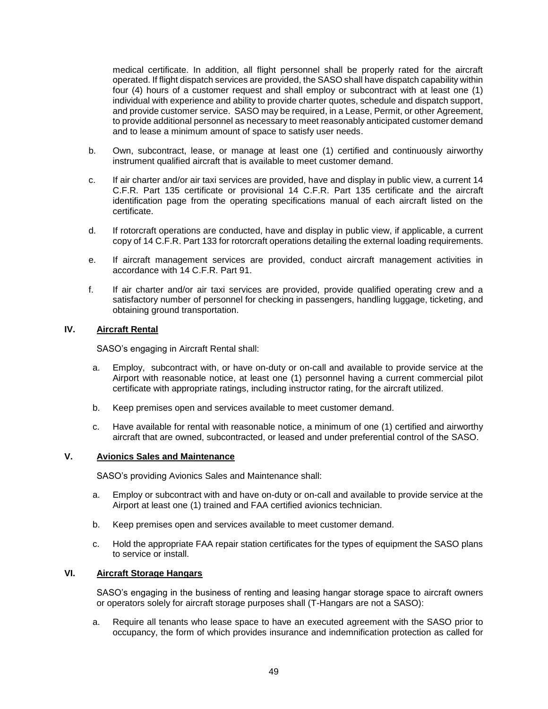medical certificate. In addition, all flight personnel shall be properly rated for the aircraft operated. If flight dispatch services are provided, the SASO shall have dispatch capability within four (4) hours of a customer request and shall employ or subcontract with at least one (1) individual with experience and ability to provide charter quotes, schedule and dispatch support, and provide customer service. SASO may be required, in a Lease, Permit, or other Agreement, to provide additional personnel as necessary to meet reasonably anticipated customer demand and to lease a minimum amount of space to satisfy user needs.

- b. Own, subcontract, lease, or manage at least one (1) certified and continuously airworthy instrument qualified aircraft that is available to meet customer demand.
- c. If air charter and/or air taxi services are provided, have and display in public view, a current 14 C.F.R. Part 135 certificate or provisional 14 C.F.R. Part 135 certificate and the aircraft identification page from the operating specifications manual of each aircraft listed on the certificate.
- d. If rotorcraft operations are conducted, have and display in public view, if applicable, a current copy of 14 C.F.R. Part 133 for rotorcraft operations detailing the external loading requirements.
- e. If aircraft management services are provided, conduct aircraft management activities in accordance with 14 C.F.R. Part 91.
- f. If air charter and/or air taxi services are provided, provide qualified operating crew and a satisfactory number of personnel for checking in passengers, handling luggage, ticketing, and obtaining ground transportation.

# <span id="page-50-0"></span>**IV. Aircraft Rental**

SASO's engaging in Aircraft Rental shall:

- a. Employ, subcontract with, or have on-duty or on-call and available to provide service at the Airport with reasonable notice, at least one (1) personnel having a current commercial pilot certificate with appropriate ratings, including instructor rating, for the aircraft utilized.
- b. Keep premises open and services available to meet customer demand.
- c. Have available for rental with reasonable notice, a minimum of one (1) certified and airworthy aircraft that are owned, subcontracted, or leased and under preferential control of the SASO.

# <span id="page-50-1"></span>**V. Avionics Sales and Maintenance**

SASO's providing Avionics Sales and Maintenance shall:

- a. Employ or subcontract with and have on-duty or on-call and available to provide service at the Airport at least one (1) trained and FAA certified avionics technician.
- b. Keep premises open and services available to meet customer demand.
- c. Hold the appropriate FAA repair station certificates for the types of equipment the SASO plans to service or install.

# <span id="page-50-2"></span>**VI. Aircraft Storage Hangars**

SASO's engaging in the business of renting and leasing hangar storage space to aircraft owners or operators solely for aircraft storage purposes shall (T-Hangars are not a SASO):

a. Require all tenants who lease space to have an executed agreement with the SASO prior to occupancy, the form of which provides insurance and indemnification protection as called for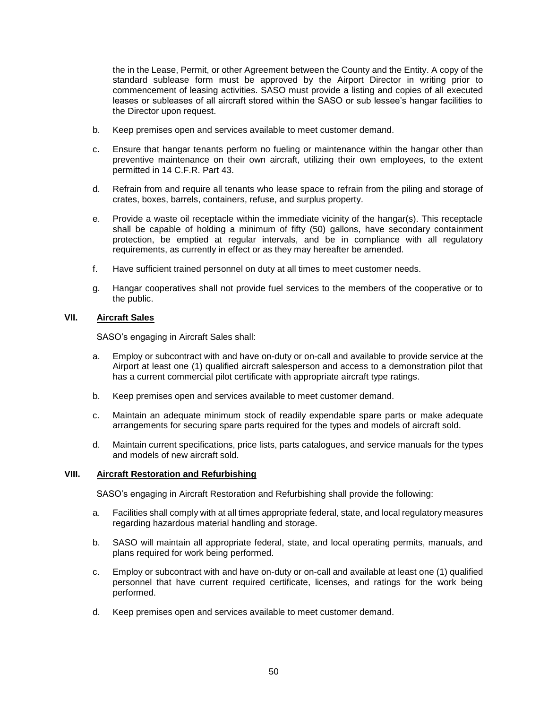the in the Lease, Permit, or other Agreement between the County and the Entity. A copy of the standard sublease form must be approved by the Airport Director in writing prior to commencement of leasing activities. SASO must provide a listing and copies of all executed leases or subleases of all aircraft stored within the SASO or sub lessee's hangar facilities to the Director upon request.

- b. Keep premises open and services available to meet customer demand.
- c. Ensure that hangar tenants perform no fueling or maintenance within the hangar other than preventive maintenance on their own aircraft, utilizing their own employees, to the extent permitted in 14 C.F.R. Part 43.
- d. Refrain from and require all tenants who lease space to refrain from the piling and storage of crates, boxes, barrels, containers, refuse, and surplus property.
- e. Provide a waste oil receptacle within the immediate vicinity of the hangar(s). This receptacle shall be capable of holding a minimum of fifty (50) gallons, have secondary containment protection, be emptied at regular intervals, and be in compliance with all regulatory requirements, as currently in effect or as they may hereafter be amended.
- f. Have sufficient trained personnel on duty at all times to meet customer needs.
- g. Hangar cooperatives shall not provide fuel services to the members of the cooperative or to the public.

# <span id="page-51-0"></span>**VII. Aircraft Sales**

SASO's engaging in Aircraft Sales shall:

- a. Employ or subcontract with and have on-duty or on-call and available to provide service at the Airport at least one (1) qualified aircraft salesperson and access to a demonstration pilot that has a current commercial pilot certificate with appropriate aircraft type ratings.
- b. Keep premises open and services available to meet customer demand.
- c. Maintain an adequate minimum stock of readily expendable spare parts or make adequate arrangements for securing spare parts required for the types and models of aircraft sold.
- d. Maintain current specifications, price lists, parts catalogues, and service manuals for the types and models of new aircraft sold.

# <span id="page-51-1"></span>**VIII. Aircraft Restoration and Refurbishing**

SASO's engaging in Aircraft Restoration and Refurbishing shall provide the following:

- a. Facilities shall comply with at all times appropriate federal, state, and local regulatory measures regarding hazardous material handling and storage.
- b. SASO will maintain all appropriate federal, state, and local operating permits, manuals, and plans required for work being performed.
- c. Employ or subcontract with and have on-duty or on-call and available at least one (1) qualified personnel that have current required certificate, licenses, and ratings for the work being performed.
- d. Keep premises open and services available to meet customer demand.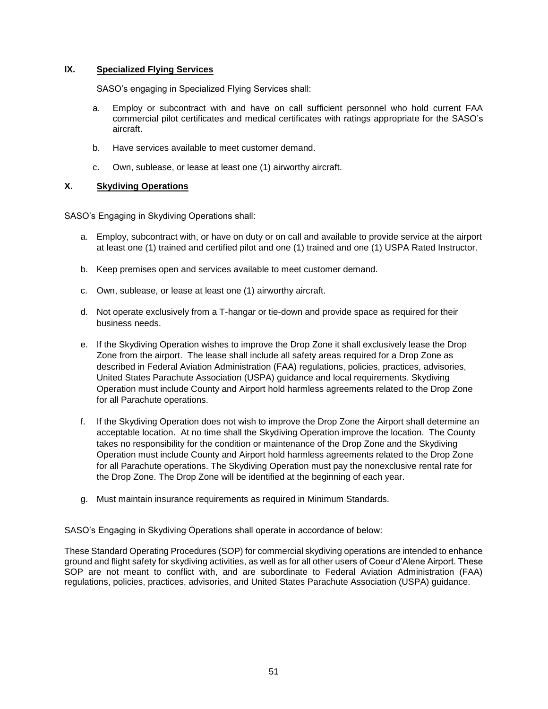# <span id="page-52-0"></span>**IX. Specialized Flying Services**

SASO's engaging in Specialized Flying Services shall:

- a. Employ or subcontract with and have on call sufficient personnel who hold current FAA commercial pilot certificates and medical certificates with ratings appropriate for the SASO's aircraft.
- b. Have services available to meet customer demand.
- c. Own, sublease, or lease at least one (1) airworthy aircraft.

# <span id="page-52-1"></span>**X. Skydiving Operations**

SASO's Engaging in Skydiving Operations shall:

- a. Employ, subcontract with, or have on duty or on call and available to provide service at the airport at least one (1) trained and certified pilot and one (1) trained and one (1) USPA Rated Instructor.
- b. Keep premises open and services available to meet customer demand.
- c. Own, sublease, or lease at least one (1) airworthy aircraft.
- d. Not operate exclusively from a T-hangar or tie-down and provide space as required for their business needs.
- e. If the Skydiving Operation wishes to improve the Drop Zone it shall exclusively lease the Drop Zone from the airport. The lease shall include all safety areas required for a Drop Zone as described in Federal Aviation Administration (FAA) regulations, policies, practices, advisories, United States Parachute Association (USPA) guidance and local requirements. Skydiving Operation must include County and Airport hold harmless agreements related to the Drop Zone for all Parachute operations.
- f. If the Skydiving Operation does not wish to improve the Drop Zone the Airport shall determine an acceptable location. At no time shall the Skydiving Operation improve the location. The County takes no responsibility for the condition or maintenance of the Drop Zone and the Skydiving Operation must include County and Airport hold harmless agreements related to the Drop Zone for all Parachute operations. The Skydiving Operation must pay the nonexclusive rental rate for the Drop Zone. The Drop Zone will be identified at the beginning of each year.
- g. Must maintain insurance requirements as required in Minimum Standards.

SASO's Engaging in Skydiving Operations shall operate in accordance of below:

These Standard Operating Procedures (SOP) for commercial skydiving operations are intended to enhance ground and flight safety for skydiving activities, as well as for all other users of Coeur d'Alene Airport. These SOP are not meant to conflict with, and are subordinate to Federal Aviation Administration (FAA) regulations, policies, practices, advisories, and United States Parachute Association (USPA) guidance.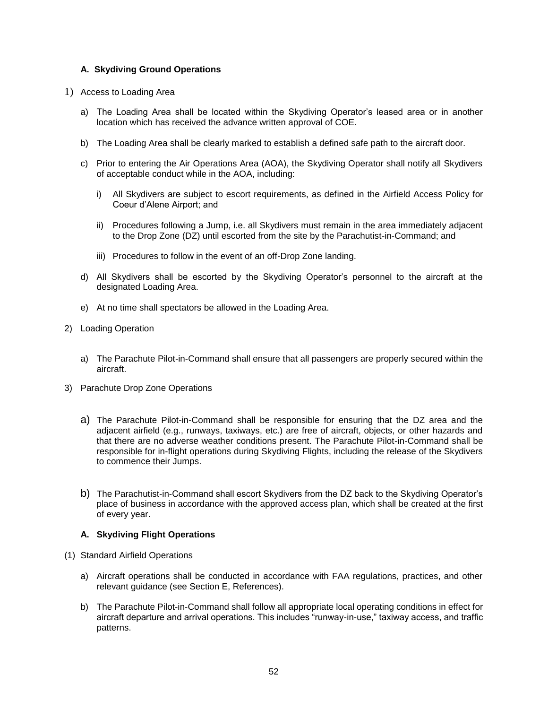# **A. Skydiving Ground Operations**

- 1) Access to Loading Area
	- a) The Loading Area shall be located within the Skydiving Operator's leased area or in another location which has received the advance written approval of COE.
	- b) The Loading Area shall be clearly marked to establish a defined safe path to the aircraft door.
	- c) Prior to entering the Air Operations Area (AOA), the Skydiving Operator shall notify all Skydivers of acceptable conduct while in the AOA, including:
		- i) All Skydivers are subject to escort requirements, as defined in the Airfield Access Policy for Coeur d'Alene Airport; and
		- ii) Procedures following a Jump, i.e. all Skydivers must remain in the area immediately adjacent to the Drop Zone (DZ) until escorted from the site by the Parachutist-in-Command; and
		- iii) Procedures to follow in the event of an off-Drop Zone landing.
	- d) All Skydivers shall be escorted by the Skydiving Operator's personnel to the aircraft at the designated Loading Area.
	- e) At no time shall spectators be allowed in the Loading Area.
- 2) Loading Operation
	- a) The Parachute Pilot-in-Command shall ensure that all passengers are properly secured within the aircraft.
- 3) Parachute Drop Zone Operations
	- a) The Parachute Pilot-in-Command shall be responsible for ensuring that the DZ area and the adjacent airfield (e.g., runways, taxiways, etc.) are free of aircraft, objects, or other hazards and that there are no adverse weather conditions present. The Parachute Pilot-in-Command shall be responsible for in-flight operations during Skydiving Flights, including the release of the Skydivers to commence their Jumps.
	- b) The Parachutist-in-Command shall escort Skydivers from the DZ back to the Skydiving Operator's place of business in accordance with the approved access plan, which shall be created at the first of every year.

# **A. Skydiving Flight Operations**

- (1) Standard Airfield Operations
	- a) Aircraft operations shall be conducted in accordance with FAA regulations, practices, and other relevant guidance (see Section E, References).
	- b) The Parachute Pilot-in-Command shall follow all appropriate local operating conditions in effect for aircraft departure and arrival operations. This includes "runway-in-use," taxiway access, and traffic patterns.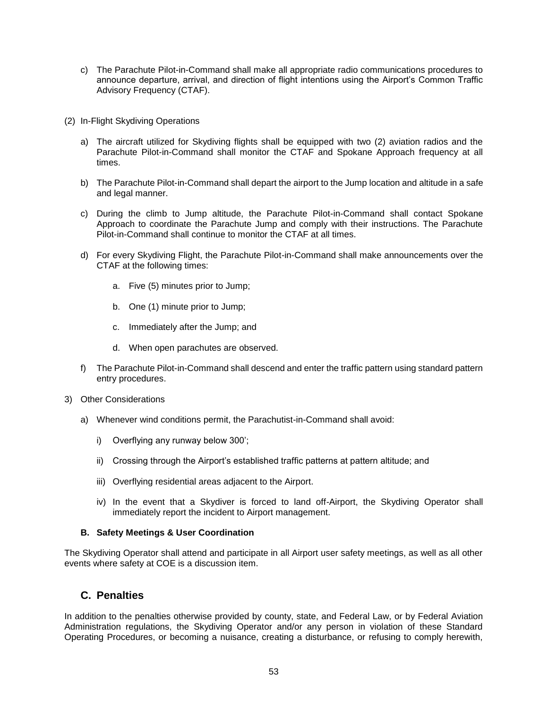- c) The Parachute Pilot-in-Command shall make all appropriate radio communications procedures to announce departure, arrival, and direction of flight intentions using the Airport's Common Traffic Advisory Frequency (CTAF).
- (2) In-Flight Skydiving Operations
	- a) The aircraft utilized for Skydiving flights shall be equipped with two (2) aviation radios and the Parachute Pilot-in-Command shall monitor the CTAF and Spokane Approach frequency at all times.
	- b) The Parachute Pilot-in-Command shall depart the airport to the Jump location and altitude in a safe and legal manner.
	- c) During the climb to Jump altitude, the Parachute Pilot-in-Command shall contact Spokane Approach to coordinate the Parachute Jump and comply with their instructions. The Parachute Pilot-in-Command shall continue to monitor the CTAF at all times.
	- d) For every Skydiving Flight, the Parachute Pilot-in-Command shall make announcements over the CTAF at the following times:
		- a. Five (5) minutes prior to Jump;
		- b. One (1) minute prior to Jump;
		- c. Immediately after the Jump; and
		- d. When open parachutes are observed.
	- f) The Parachute Pilot-in-Command shall descend and enter the traffic pattern using standard pattern entry procedures.
- 3) Other Considerations
	- a) Whenever wind conditions permit, the Parachutist-in-Command shall avoid:
		- i) Overflying any runway below 300';
		- ii) Crossing through the Airport's established traffic patterns at pattern altitude; and
		- iii) Overflying residential areas adjacent to the Airport.
		- iv) In the event that a Skydiver is forced to land off-Airport, the Skydiving Operator shall immediately report the incident to Airport management.

# **B. Safety Meetings & User Coordination**

The Skydiving Operator shall attend and participate in all Airport user safety meetings, as well as all other events where safety at COE is a discussion item.

# **C. Penalties**

In addition to the penalties otherwise provided by county, state, and Federal Law, or by Federal Aviation Administration regulations, the Skydiving Operator and/or any person in violation of these Standard Operating Procedures, or becoming a nuisance, creating a disturbance, or refusing to comply herewith,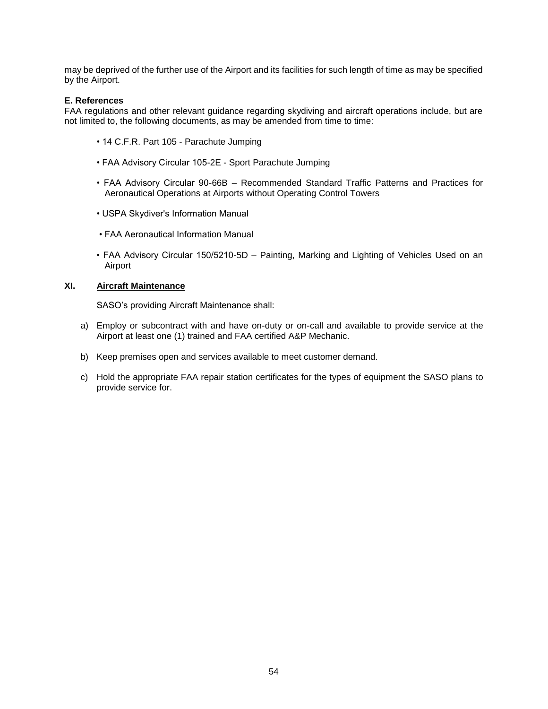may be deprived of the further use of the Airport and its facilities for such length of time as may be specified by the Airport.

# **E. References**

FAA regulations and other relevant guidance regarding skydiving and aircraft operations include, but are not limited to, the following documents, as may be amended from time to time:

- 14 C.F.R. Part 105 Parachute Jumping
- FAA Advisory Circular 105-2E Sport Parachute Jumping
- FAA Advisory Circular 90-66B Recommended Standard Traffic Patterns and Practices for Aeronautical Operations at Airports without Operating Control Towers
- USPA Skydiver's Information Manual
- FAA Aeronautical Information Manual
- FAA Advisory Circular 150/5210-5D Painting, Marking and Lighting of Vehicles Used on an Airport

# <span id="page-55-0"></span>**XI. Aircraft Maintenance**

SASO's providing Aircraft Maintenance shall:

- a) Employ or subcontract with and have on-duty or on-call and available to provide service at the Airport at least one (1) trained and FAA certified A&P Mechanic.
- b) Keep premises open and services available to meet customer demand.
- c) Hold the appropriate FAA repair station certificates for the types of equipment the SASO plans to provide service for.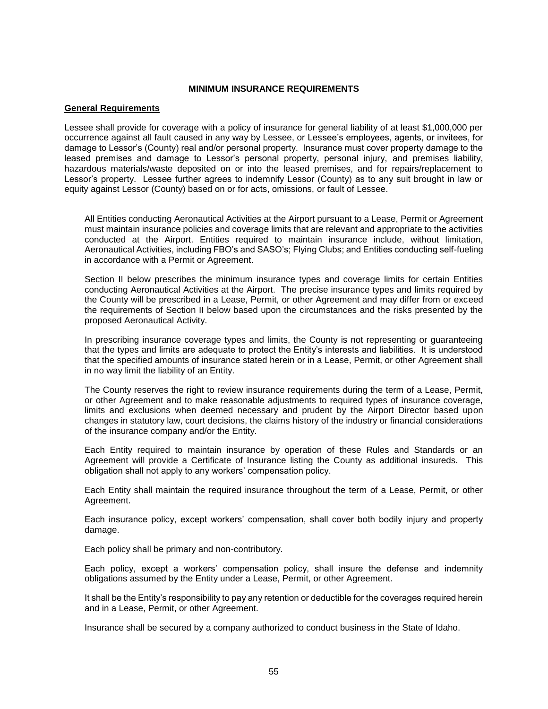# <span id="page-56-0"></span>**MINIMUM INSURANCE REQUIREMENTS**

#### **General Requirements**

Lessee shall provide for coverage with a policy of insurance for general liability of at least \$1,000,000 per occurrence against all fault caused in any way by Lessee, or Lessee's employees, agents, or invitees, for damage to Lessor's (County) real and/or personal property. Insurance must cover property damage to the leased premises and damage to Lessor's personal property, personal injury, and premises liability, hazardous materials/waste deposited on or into the leased premises, and for repairs/replacement to Lessor's property. Lessee further agrees to indemnify Lessor (County) as to any suit brought in law or equity against Lessor (County) based on or for acts, omissions, or fault of Lessee.

All Entities conducting Aeronautical Activities at the Airport pursuant to a Lease, Permit or Agreement must maintain insurance policies and coverage limits that are relevant and appropriate to the activities conducted at the Airport. Entities required to maintain insurance include, without limitation, Aeronautical Activities, including FBO's and SASO's; Flying Clubs; and Entities conducting self-fueling in accordance with a Permit or Agreement.

Section II below prescribes the minimum insurance types and coverage limits for certain Entities conducting Aeronautical Activities at the Airport. The precise insurance types and limits required by the County will be prescribed in a Lease, Permit, or other Agreement and may differ from or exceed the requirements of Section II below based upon the circumstances and the risks presented by the proposed Aeronautical Activity.

In prescribing insurance coverage types and limits, the County is not representing or guaranteeing that the types and limits are adequate to protect the Entity's interests and liabilities. It is understood that the specified amounts of insurance stated herein or in a Lease, Permit, or other Agreement shall in no way limit the liability of an Entity.

The County reserves the right to review insurance requirements during the term of a Lease, Permit, or other Agreement and to make reasonable adjustments to required types of insurance coverage, limits and exclusions when deemed necessary and prudent by the Airport Director based upon changes in statutory law, court decisions, the claims history of the industry or financial considerations of the insurance company and/or the Entity.

Each Entity required to maintain insurance by operation of these Rules and Standards or an Agreement will provide a Certificate of Insurance listing the County as additional insureds. This obligation shall not apply to any workers' compensation policy.

Each Entity shall maintain the required insurance throughout the term of a Lease, Permit, or other Agreement.

Each insurance policy, except workers' compensation, shall cover both bodily injury and property damage.

Each policy shall be primary and non-contributory.

Each policy, except a workers' compensation policy, shall insure the defense and indemnity obligations assumed by the Entity under a Lease, Permit, or other Agreement.

It shall be the Entity's responsibility to pay any retention or deductible for the coverages required herein and in a Lease, Permit, or other Agreement.

Insurance shall be secured by a company authorized to conduct business in the State of Idaho.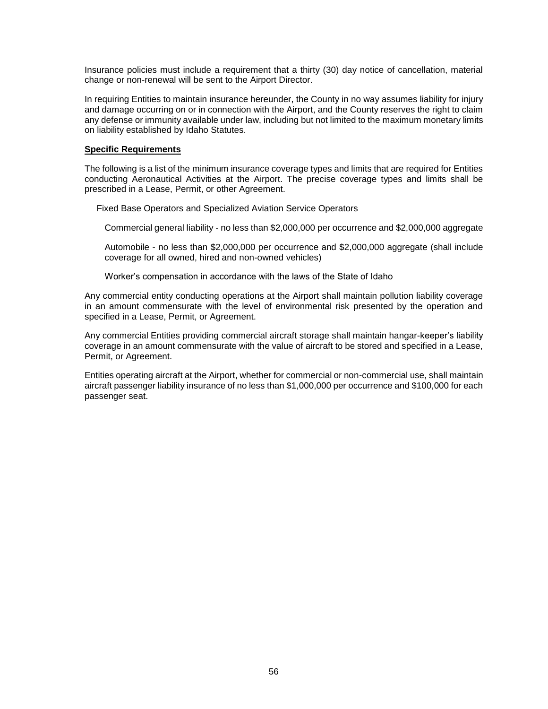Insurance policies must include a requirement that a thirty (30) day notice of cancellation, material change or non-renewal will be sent to the Airport Director.

In requiring Entities to maintain insurance hereunder, the County in no way assumes liability for injury and damage occurring on or in connection with the Airport, and the County reserves the right to claim any defense or immunity available under law, including but not limited to the maximum monetary limits on liability established by Idaho Statutes.

#### <span id="page-57-0"></span>**Specific Requirements**

The following is a list of the minimum insurance coverage types and limits that are required for Entities conducting Aeronautical Activities at the Airport. The precise coverage types and limits shall be prescribed in a Lease, Permit, or other Agreement.

Fixed Base Operators and Specialized Aviation Service Operators

Commercial general liability - no less than \$2,000,000 per occurrence and \$2,000,000 aggregate

Automobile - no less than \$2,000,000 per occurrence and \$2,000,000 aggregate (shall include coverage for all owned, hired and non-owned vehicles)

Worker's compensation in accordance with the laws of the State of Idaho

Any commercial entity conducting operations at the Airport shall maintain pollution liability coverage in an amount commensurate with the level of environmental risk presented by the operation and specified in a Lease, Permit, or Agreement.

Any commercial Entities providing commercial aircraft storage shall maintain hangar-keeper's liability coverage in an amount commensurate with the value of aircraft to be stored and specified in a Lease, Permit, or Agreement.

Entities operating aircraft at the Airport, whether for commercial or non-commercial use, shall maintain aircraft passenger liability insurance of no less than \$1,000,000 per occurrence and \$100,000 for each passenger seat.